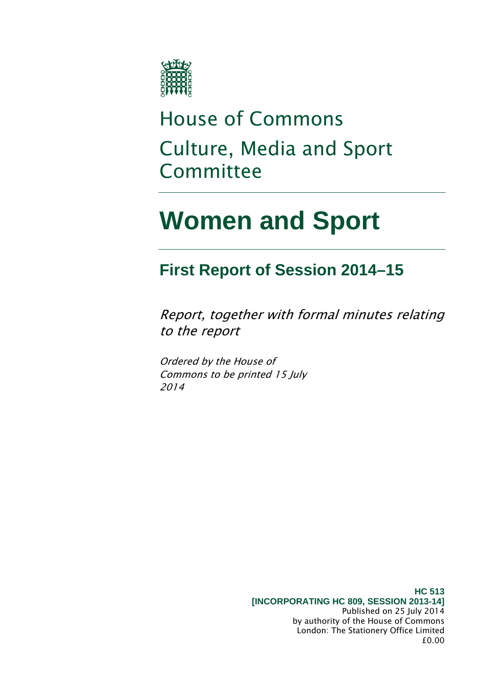

## House of Commons Culture, Media and Sport Committee

# **Women and Sport**

### **First Report of Session 2014–15**

Report, together with formal minutes relating to the report

Ordered by the House of Commons to be printed 15 July 2014

> **HC 513 [INCORPORATING HC 809, SESSION 2013-14]** Published on 25 July 2014 by authority of the House of Commons London: The Stationery Office Limited £0.00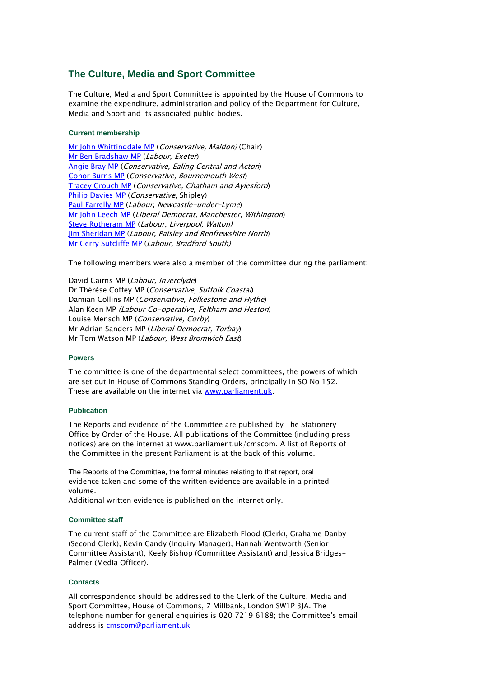#### **The Culture, Media and Sport Committee**

The Culture, Media and Sport Committee is appointed by the House of Commons to examine the expenditure, administration and policy of the Department for Culture, Media and Sport and its associated public bodies.

#### **Current membership**

[Mr John Whittingdale MP](http://www.parliament.uk/biographies/commons/mr-john-whittingdale/39) (Conservative, Maldon) (Chair) [Mr Ben Bradshaw MP](http://www.parliament.uk/biographies/commons/mr-ben-bradshaw/230) (Labour, Exeter) [Angie Bray MP](http://www.parliament.uk/biographies/commons/angie-bray/3979) (Conservative, Ealing Central and Acton) [Conor Burns MP](http://www.parliament.uk/biographies/commons/conor-burns/3922) (Conservative, Bournemouth West) [Tracey Crouch MP](http://www.parliament.uk/biographies/commons/tracey-crouch/3950) (Conservative, Chatham and Aylesford) [Philip Davies MP](http://www.parliament.uk/biographies/commons/philip-davies/1565) (Conservative, Shipley) [Paul Farrelly MP](http://www.parliament.uk/biographies/commons/paul-farrelly/1436) (Labour, Newcastle-under-Lyme) [Mr John Leech MP](http://www.parliament.uk/biographies/commons/mr-john-leech/1543) (Liberal Democrat, Manchester, Withington) [Steve Rotheram MP](http://www.parliament.uk/biographies/commons/steve-rotheram/4035) (Labour, Liverpool, Walton) [Jim Sheridan MP](http://www.parliament.uk/biographies/commons/jim-sheridan/1464) (Labour, Paisley and Renfrewshire North) [Mr Gerry Sutcliffe MP](http://www.parliament.uk/biographies/commons/mr-gerry-sutcliffe/403) (Labour, Bradford South)

The following members were also a member of the committee during the parliament:

David Cairns MP (Labour, Inverclyde) Dr Thérèse Coffey MP (Conservative, Suffolk Coastal) Damian Collins MP (Conservative, Folkestone and Hythe) Alan Keen MP (Labour Co-operative, Feltham and Heston) Louise Mensch MP (Conservative, Corby) Mr Adrian Sanders MP (Liberal Democrat, Torbay) Mr Tom Watson MP (Labour, West Bromwich East)

#### **Powers**

The committee is one of the departmental select committees, the powers of which are set out in House of Commons Standing Orders, principally in SO No 152. These are available on the internet via [www.parliament.uk.](http://www.parliament.uk/)

#### **Publication**

The Reports and evidence of the Committee are published by The Stationery Office by Order of the House. All publications of the Committee (including press notices) are on the internet at www.parliament.uk/cmscom. A list of Reports of the Committee in the present Parliament is at the back of this volume.

The Reports of the Committee, the formal minutes relating to that report, oral evidence taken and some of the written evidence are available in a printed volume.

Additional written evidence is published on the internet only.

#### **Committee staff**

The current staff of the Committee are Elizabeth Flood (Clerk), Grahame Danby (Second Clerk), Kevin Candy (Inquiry Manager), Hannah Wentworth (Senior Committee Assistant), Keely Bishop (Committee Assistant) and Jessica Bridges-Palmer (Media Officer).

#### **Contacts**

All correspondence should be addressed to the Clerk of the Culture, Media and Sport Committee, House of Commons, 7 Millbank, London SW1P 3JA. The telephone number for general enquiries is 020 7219 6188; the Committee's email address is **cmscom@parliament.uk**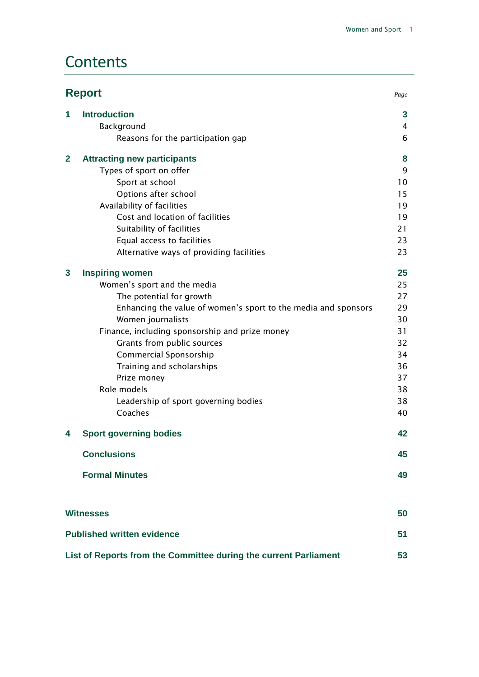### **Contents**

|                                   | <b>Report</b><br>Page                                            |    |
|-----------------------------------|------------------------------------------------------------------|----|
| 1                                 | <b>Introduction</b>                                              | 3  |
|                                   | Background                                                       | 4  |
|                                   | Reasons for the participation gap                                | 6  |
| $\mathbf{2}$                      | <b>Attracting new participants</b>                               | 8  |
|                                   | Types of sport on offer                                          | 9  |
|                                   | Sport at school                                                  | 10 |
|                                   | Options after school                                             | 15 |
|                                   | Availability of facilities                                       | 19 |
|                                   | Cost and location of facilities                                  | 19 |
|                                   | Suitability of facilities                                        | 21 |
|                                   | Equal access to facilities                                       | 23 |
|                                   | Alternative ways of providing facilities                         | 23 |
| $\mathbf{3}$                      | <b>Inspiring women</b>                                           | 25 |
|                                   | Women's sport and the media                                      | 25 |
|                                   | The potential for growth                                         | 27 |
|                                   | Enhancing the value of women's sport to the media and sponsors   | 29 |
|                                   | Women journalists                                                | 30 |
|                                   | Finance, including sponsorship and prize money                   | 31 |
|                                   | Grants from public sources                                       | 32 |
|                                   | Commercial Sponsorship                                           | 34 |
|                                   | Training and scholarships                                        | 36 |
|                                   | Prize money                                                      | 37 |
|                                   | Role models                                                      | 38 |
|                                   | Leadership of sport governing bodies                             | 38 |
|                                   | Coaches                                                          | 40 |
| 4                                 | <b>Sport governing bodies</b>                                    | 42 |
|                                   | <b>Conclusions</b>                                               | 45 |
|                                   | <b>Formal Minutes</b>                                            | 49 |
|                                   |                                                                  |    |
|                                   | <b>Witnesses</b>                                                 | 50 |
| <b>Published written evidence</b> |                                                                  | 51 |
|                                   | List of Reports from the Committee during the current Parliament | 53 |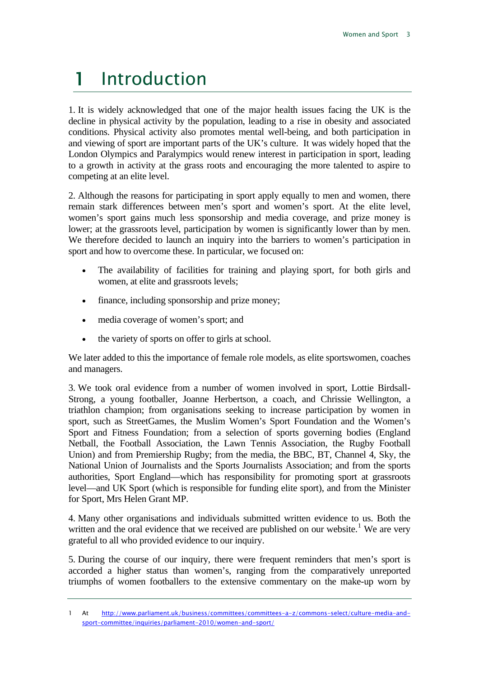## <span id="page-3-0"></span>1 Introduction

1. It is widely acknowledged that one of the major health issues facing the UK is the decline in physical activity by the population, leading to a rise in obesity and associated conditions. Physical activity also promotes mental well-being, and both participation in and viewing of sport are important parts of the UK's culture. It was widely hoped that the London Olympics and Paralympics would renew interest in participation in sport, leading to a growth in activity at the grass roots and encouraging the more talented to aspire to competing at an elite level.

2. Although the reasons for participating in sport apply equally to men and women, there remain stark differences between men's sport and women's sport. At the elite level, women's sport gains much less sponsorship and media coverage, and prize money is lower; at the grassroots level, participation by women is significantly lower than by men. We therefore decided to launch an inquiry into the barriers to women's participation in sport and how to overcome these. In particular, we focused on:

- The availability of facilities for training and playing sport, for both girls and women, at elite and grassroots levels;
- finance, including sponsorship and prize money;
- media coverage of women's sport; and
- the variety of sports on offer to girls at school.

We later added to this the importance of female role models, as elite sportswomen, coaches and managers.

3. We took oral evidence from a number of women involved in sport, Lottie Birdsall-Strong, a young footballer, Joanne Herbertson, a coach, and Chrissie Wellington, a triathlon champion; from organisations seeking to increase participation by women in sport, such as StreetGames, the Muslim Women's Sport Foundation and the Women's Sport and Fitness Foundation; from a selection of sports governing bodies (England Netball, the Football Association, the Lawn Tennis Association, the Rugby Football Union) and from Premiership Rugby; from the media, the BBC, BT, Channel 4, Sky, the National Union of Journalists and the Sports Journalists Association; and from the sports authorities, Sport England—which has responsibility for promoting sport at grassroots level—and UK Sport (which is responsible for funding elite sport), and from the Minister for Sport, Mrs Helen Grant MP.

4. Many other organisations and individuals submitted written evidence to us. Both the written and the oral evidence that we received are published on our website.<sup>[1](#page-3-1)</sup> We are very grateful to all who provided evidence to our inquiry.

5. During the course of our inquiry, there were frequent reminders that men's sport is accorded a higher status than women's, ranging from the comparatively unreported triumphs of women footballers to the extensive commentary on the make-up worn by

<span id="page-3-1"></span><sup>1</sup> At [http://www.parliament.uk/business/committees/committees-a-z/commons-select/culture-media-and](http://www.parliament.uk/business/committees/committees-a-z/commons-select/culture-media-and-sport-committee/inquiries/parliament-2010/women-and-sport/)[sport-committee/inquiries/parliament-2010/women-and-sport/](http://www.parliament.uk/business/committees/committees-a-z/commons-select/culture-media-and-sport-committee/inquiries/parliament-2010/women-and-sport/)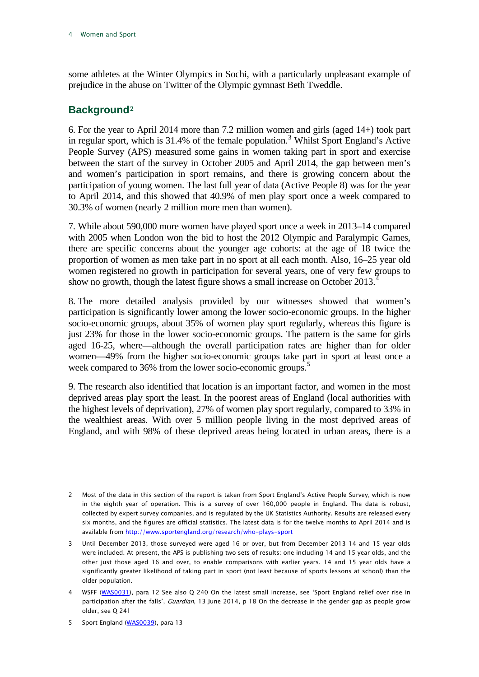some athletes at the Winter Olympics in Sochi, with a particularly unpleasant example of prejudice in the abuse on Twitter of the Olympic gymnast Beth Tweddle.

#### <span id="page-4-0"></span>**Background[2](#page-4-1)**

6. For the year to April 2014 more than 7.2 million women and girls (aged 14+) took part in regular sport, which is 31.4% of the female population. [3](#page-4-2) Whilst Sport England's Active People Survey (APS) measured some gains in women taking part in sport and exercise between the start of the survey in October 2005 and April 2014, the gap between men's and women's participation in sport remains, and there is growing concern about the participation of young women. The last full year of data (Active People 8) was for the year to April 2014, and this showed that 40.9% of men play sport once a week compared to 30.3% of women (nearly 2 million more men than women).

7. While about 590,000 more women have played sport once a week in 2013–14 compared with 2005 when London won the bid to host the 2012 Olympic and Paralympic Games, there are specific concerns about the younger age cohorts: at the age of 18 twice the proportion of women as men take part in no sport at all each month. Also, 16–25 year old women registered no growth in participation for several years, one of very few groups to show no growth, though the latest figure shows a small increase on October 2013.<sup>[4](#page-4-3)</sup>

8. The more detailed analysis provided by our witnesses showed that women's participation is significantly lower among the lower socio-economic groups. In the higher socio-economic groups, about 35% of women play sport regularly, whereas this figure is just 23% for those in the lower socio-economic groups. The pattern is the same for girls aged 16-25, where—although the overall participation rates are higher than for older women—49% from the higher socio-economic groups take part in sport at least once a week compared to 36% from the lower socio-economic groups.<sup>[5](#page-4-4)</sup>

9. The research also identified that location is an important factor, and women in the most deprived areas play sport the least. In the poorest areas of England (local authorities with the highest levels of deprivation), 27% of women play sport regularly, compared to 33% in the wealthiest areas. With over 5 million people living in the most deprived areas of England, and with 98% of these deprived areas being located in urban areas, there is a

<span id="page-4-1"></span><sup>2</sup> Most of the data in this section of the report is taken from Sport England's Active People Survey, which is now in the eighth year of operation. This is a survey of over 160,000 people in England. The data is robust, collected by expert survey companies, and is regulated by the UK Statistics Authority. Results are released every six months, and the figures are official statistics. The latest data is for the twelve months to April 2014 and is available from<http://www.sportengland.org/research/who-plays-sport>

<span id="page-4-2"></span><sup>3</sup> Until December 2013, those surveyed were aged 16 or over, but from December 2013 14 and 15 year olds were included. At present, the APS is publishing two sets of results: one including 14 and 15 year olds, and the other just those aged 16 and over, to enable comparisons with earlier years. 14 and 15 year olds have a significantly greater likelihood of taking part in sport (not least because of sports lessons at school) than the older population.

<span id="page-4-3"></span><sup>4</sup> WSFF [\(WAS0031\)](http://data.parliament.uk/WrittenEvidence/CommitteeEvidence.svc/EvidenceDocument/Culture,%20Media%20and%20Sport/Women%20and%20Sport/written/2246.html), para 12 See also Q 240 On the latest small increase, see 'Sport England relief over rise in participation after the falls', Guardian, 13 June 2014, p 18 On the decrease in the gender gap as people grow older, see Q 241

<span id="page-4-4"></span><sup>5</sup> Sport England [\(WAS0039\)](http://data.parliament.uk/WrittenEvidence/CommitteeEvidence.svc/EvidenceDocument/Culture,%20Media%20and%20Sport/Women%20and%20Sport/written/2528.html), para 13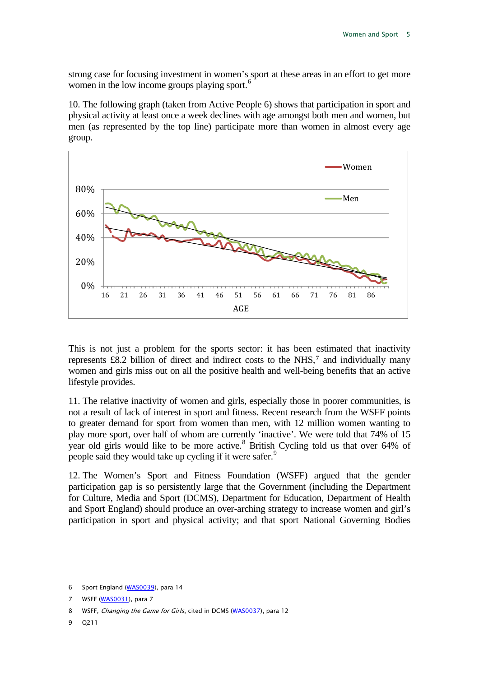strong case for focusing investment in women's sport at these areas in an effort to get more women in the low income groups playing sport.<sup>[6](#page-5-0)</sup>

10. The following graph (taken from Active People 6) shows that participation in sport and physical activity at least once a week declines with age amongst both men and women, but men (as represented by the top line) participate more than women in almost every age group.



This is not just a problem for the sports sector: it has been [e](#page-5-1)stimated that inactivity represents £8.2 billion of direct and indirect costs to the NHS,<sup>7</sup> and individually many women and girls miss out on all the positive health and well-being benefits that an active lifestyle provides.

11. The relative inactivity of women and girls, especially those in poorer communities, is not a result of lack of interest in sport and fitness. Recent research from the WSFF points to greater demand for sport from women than men, with 12 million women wanting to play more sport, over half of whom are currently 'inactive'. We were told that 74% of 15 year old girls would like to be more active.<sup>[8](#page-5-2)</sup> British Cycling told us that over 64% of people said they would take up cycling if it were safer.<sup>[9](#page-5-3)</sup>

12. The Women's Sport and Fitness Foundation (WSFF) argued that the gender participation gap is so persistently large that the Government (including the Department for Culture, Media and Sport (DCMS), Department for Education, Department of Health and Sport England) should produce an over-arching strategy to increase women and girl's participation in sport and physical activity; and that sport National Governing Bodies

<span id="page-5-3"></span>9 Q211

<span id="page-5-0"></span><sup>6</sup> Sport England [\(WAS0039\)](http://data.parliament.uk/WrittenEvidence/CommitteeEvidence.svc/EvidenceDocument/Culture,%20Media%20and%20Sport/Women%20and%20Sport/written/2528.html), para 14

<span id="page-5-1"></span><sup>7</sup> WSFF [\(WAS0031\)](http://data.parliament.uk/WrittenEvidence/CommitteeEvidence.svc/EvidenceDocument/Culture,%20Media%20and%20Sport/Women%20and%20Sport/written/2246.html), para 7

<span id="page-5-2"></span><sup>8</sup> WSFF, Changing the Game for Girls, cited in DCMS [\(WAS0037\)](http://data.parliament.uk/WrittenEvidence/CommitteeEvidence.svc/EvidenceDocument/Culture,%20Media%20and%20Sport/Women%20and%20Sport/written/2328.html), para 12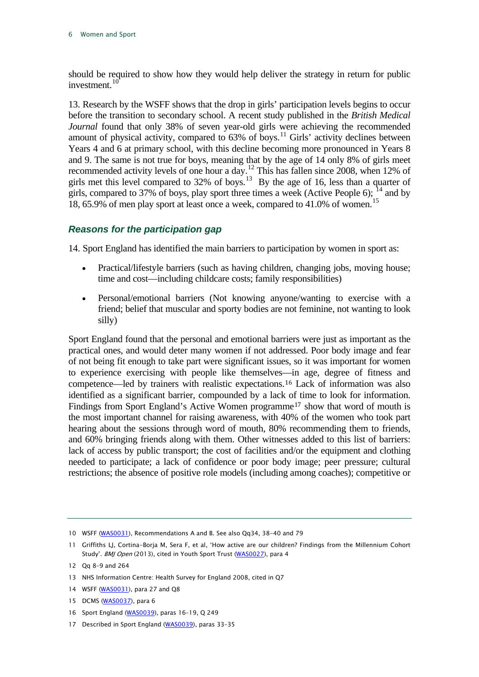should be required to show how they would help deliver the strategy in return for public investment.<sup>[10](#page-6-1)</sup>

13. Research by the WSFF shows that the drop in girls' participation levels begins to occur before the transition to secondary school. A recent study published in the *British Medical Journal* found that only 38% of seven year-old girls were achieving the recommended amount of physical activity, compared to  $63\%$  of boys.<sup>[11](#page-6-2)</sup> Girls' activity declines between Years 4 and 6 at primary school, with this decline becoming more pronounced in Years 8 and 9. The same is not true for boys, meaning that by the age of 14 only 8% of girls meet recommended activity levels of one hour a day.<sup>[12](#page-6-3)</sup> This has fallen since 2008, when 12% of girls met this level compared to  $32\%$  of boys.<sup>13</sup> By the age of 16, less than a quarter of girls, compared to 37% of boys, play sport three times a week (Active People 6);  $^{14}$  $^{14}$  $^{14}$  and by 18, 65.9% of men play sport at least once a week, compared to 41.0% of women.<sup>[15](#page-6-6)</sup>

#### <span id="page-6-0"></span>*Reasons for the participation gap*

14. Sport England has identified the main barriers to participation by women in sport as:

- Practical/lifestyle barriers (such as having children, changing jobs, moving house; time and cost—including childcare costs; family responsibilities)
- Personal/emotional barriers (Not knowing anyone/wanting to exercise with a friend; belief that muscular and sporty bodies are not feminine, not wanting to look silly)

Sport England found that the personal and emotional barriers were just as important as the practical ones, and would deter many women if not addressed. Poor body image and fear of not being fit enough to take part were significant issues, so it was important for women to experience exercising with people like themselves[—i](#page-6-7)n age, degree of fitness and competence—led by trainers with realistic expectations.<sup>16</sup> Lack of information was also identified as a significant barrier, compounded by a lack o[f t](#page-6-8)ime to look for information. Findings from Sport England's Active Women programme<sup>17</sup> show that word of mouth is the most important channel for raising awareness, with 40% of the women who took part hearing about the sessions through word of mouth, 80% recommending them to friends, and 60% bringing friends along with them. Other witnesses added to this list of barriers: lack of access by public transport; the cost of facilities and/or the equipment and clothing needed to participate; a lack of confidence or poor body image; peer pressure; cultural restrictions; the absence of positive role models (including among coaches); competitive or

- <span id="page-6-4"></span>13 NHS Information Centre: Health Survey for England 2008, cited in Q7
- <span id="page-6-5"></span>14 WSFF [\(WAS0031\)](http://data.parliament.uk/WrittenEvidence/CommitteeEvidence.svc/EvidenceDocument/Culture,%20Media%20and%20Sport/Women%20and%20Sport/written/2246.html), para 27 and Q8
- <span id="page-6-6"></span>15 DCMS [\(WAS0037\)](http://data.parliament.uk/WrittenEvidence/CommitteeEvidence.svc/EvidenceDocument/Culture,%20Media%20and%20Sport/Women%20and%20Sport/written/2328.html), para 6
- <span id="page-6-7"></span>16 Sport England [\(WAS0039\)](http://data.parliament.uk/WrittenEvidence/CommitteeEvidence.svc/EvidenceDocument/Culture,%20Media%20and%20Sport/Women%20and%20Sport/written/2528.html), paras 16–19, Q 249
- <span id="page-6-8"></span>17 Described in Sport England [\(WAS0039\)](http://data.parliament.uk/WrittenEvidence/CommitteeEvidence.svc/EvidenceDocument/Culture,%20Media%20and%20Sport/Women%20and%20Sport/written/2528.html), paras 33–35

<span id="page-6-1"></span><sup>10</sup> WSFF [\(WAS0031\)](http://data.parliament.uk/WrittenEvidence/CommitteeEvidence.svc/EvidenceDocument/Culture,%20Media%20and%20Sport/Women%20and%20Sport/written/2246.html), Recommendations A and B. See also Qq34, 38-40 and 79

<span id="page-6-2"></span><sup>11</sup> Griffiths LJ, Cortina-Borja M, Sera F, et al, 'How active are our children? Findings from the Millennium Cohort Study'. BMJ Open (2013), cited in Youth Sport Trust [\(WAS0027\),](http://data.parliament.uk/WrittenEvidence/CommitteeEvidence.svc/EvidenceDocument/Culture,%20Media%20and%20Sport/Women%20and%20Sport/written/2242.html) para 4

<span id="page-6-3"></span><sup>12</sup> Qq 8–9 and 264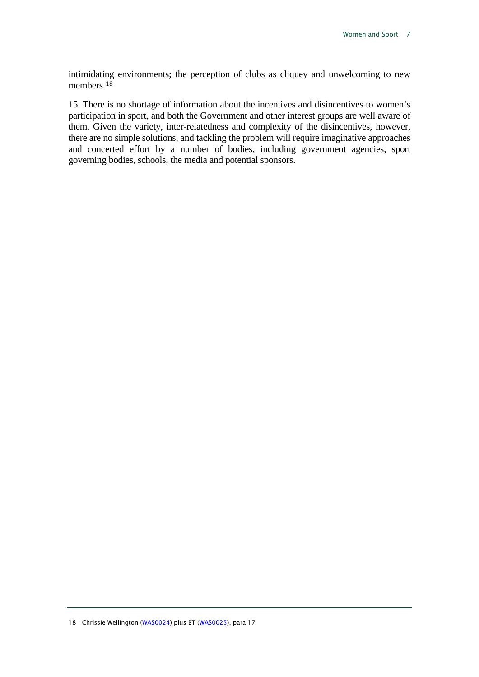intimidati[ng](#page-7-0) environments; the perception of clubs as cliquey and unwelcoming to new members.<sup>18</sup>

<span id="page-7-0"></span>15. There is no shortage of information about the incentives and disincentives to women's participation in sport, and both the Government and other interest groups are well aware of them. Given the variety, inter-relatedness and complexity of the disincentives, however, there are no simple solutions, and tackling the problem will require imaginative approaches and concerted effort by a number of bodies, including government agencies, sport governing bodies, schools, the media and potential sponsors.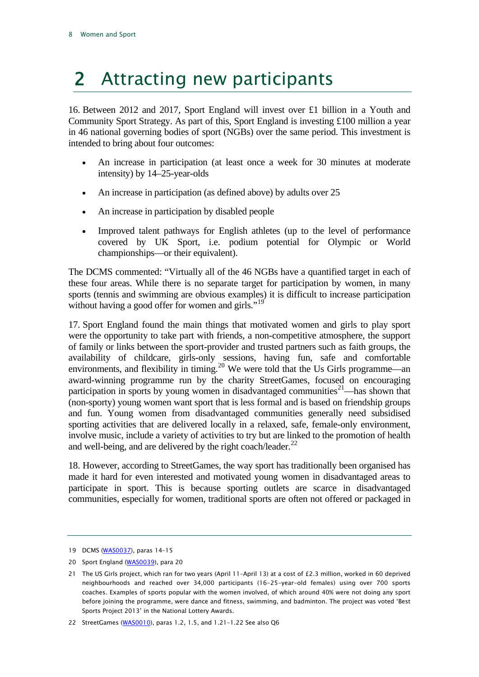## <span id="page-8-0"></span>2 Attracting new participants

16. Between 2012 and 2017, Sport England will invest over £1 billion in a Youth and Community Sport Strategy. As part of this, Sport England is investing £100 million a year in 46 national governing bodies of sport (NGBs) over the same period. This investment is intended to bring about four outcomes:

- An increase in participation (at least once a week for 30 minutes at moderate intensity) by 14–25-year-olds
- An increase in participation (as defined above) by adults over 25
- An increase in participation by disabled people
- Improved talent pathways for English athletes (up to the level of performance covered by UK Sport, i.e. podium potential for Olympic or World championships—or their equivalent).

The DCMS commented: "Virtually all of the 46 NGBs have a quantified target in each of these four areas. While there is no separate target for participation by women, in many sports (tennis and swimming are obvious examples) it is difficult to increase participation without having a good offer for women and girls."<sup>[19](#page-8-1)</sup>

17. Sport England found the main things that motivated women and girls to play sport were the opportunity to take part with friends, a non-competitive atmosphere, the support of family or links between the sport-provider and trusted partners such as faith groups, the availability of childcare, girls-only sessions, having fun, safe and comfortable environments, and flexibility in timing.<sup>[20](#page-8-2)</sup> We were told that the Us Girls programme—an award-winning programme run by the charity StreetGames, focused on encouraging participation in sports by young women in disadvantaged communities<sup>[21](#page-8-3)</sup>—has shown that (non-sporty) young women want sport that is less formal and is based on friendship groups and fun. Young women from disadvantaged communities generally need subsidised sporting activities that are delivered locally in a relaxed, safe, female-only environment, involve music, include a variety of activities to try but are linked to the promotion of health and well-being, and are delivered by the right coach/leader. $^{22}$  $^{22}$  $^{22}$ 

18. However, according to StreetGames, the way sport has traditionally been organised has made it hard for even interested and motivated young women in disadvantaged areas to participate in sport. This is because sporting outlets are scarce in disadvantaged communities, especially for women, traditional sports are often not offered or packaged in

<span id="page-8-1"></span><sup>19</sup> DCMS [\(WAS0037\)](http://data.parliament.uk/WrittenEvidence/CommitteeEvidence.svc/EvidenceDocument/Culture,%20Media%20and%20Sport/Women%20and%20Sport/written/2328.html), paras 14–15

<span id="page-8-2"></span><sup>20</sup> Sport England [\(WAS0039\)](http://data.parliament.uk/WrittenEvidence/CommitteeEvidence.svc/EvidenceDocument/Culture,%20Media%20and%20Sport/Women%20and%20Sport/written/2528.html), para 20

<span id="page-8-3"></span><sup>21</sup> The US Girls project, which ran for two years (April 11–April 13) at a cost of £2.3 million, worked in 60 deprived neighbourhoods and reached over 34,000 participants (16-25-year-old females) using over 700 sports coaches. Examples of sports popular with the women involved, of which around 40% were not doing any sport before joining the programme, were dance and fitness, swimming, and badminton. The project was voted 'Best Sports Project 2013' in the National Lottery Awards.

<span id="page-8-4"></span><sup>22</sup> StreetGames [\(WAS0010\)](http://data.parliament.uk/WrittenEvidence/CommitteeEvidence.svc/EvidenceDocument/Culture,%20Media%20and%20Sport/Women%20and%20Sport/written/2197.html), paras 1.2, 1.5, and 1.21–1.22 See also Q6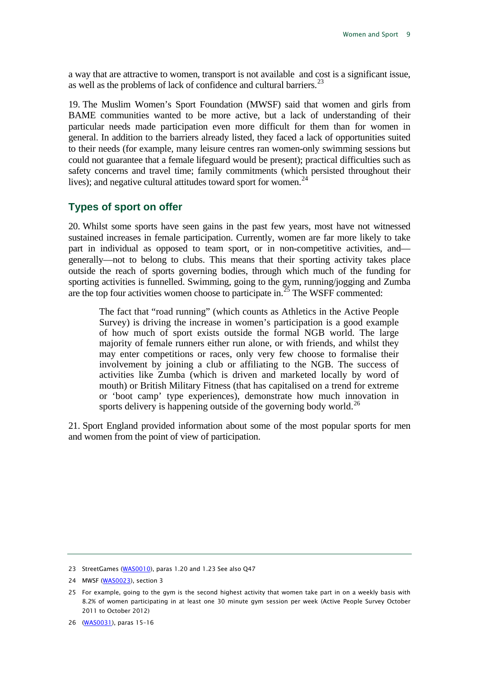a way that are attractive to women, transport is not available and cost is a significant issue, as well as the problems of lack of confidence and cultural barriers.<sup>[23](#page-9-1)</sup>

19. The Muslim Women's Sport Foundation (MWSF) said that women and girls from BAME communities wanted to be more active, but a lack of understanding of their particular needs made participation even more difficult for them than for women in general. In addition to the barriers already listed, they faced a lack of opportunities suited to their needs (for example, many leisure centres ran women-only swimming sessions but could not guarantee that a female lifeguard would be present); practical difficulties such as safety concerns and travel time; family commitments (which persisted throughout their lives); and negative cultural attitudes toward sport for women.<sup>[24](#page-9-2)</sup>

#### <span id="page-9-0"></span>**Types of sport on offer**

20. Whilst some sports have seen gains in the past few years, most have not witnessed sustained increases in female participation. Currently, women are far more likely to take part in individual as opposed to team sport, or in non-competitive activities, and generally—not to belong to clubs. This means that their sporting activity takes place outside the reach of sports governing bodies, through which much of the funding for sporting activities is funnelled. Swimming, going to the gym, running/jogging and Zumba are the top four activities women choose to participate in.<sup>[25](#page-9-3)</sup> The WSFF commented:

The fact that "road running" (which counts as Athletics in the Active People Survey) is driving the increase in women's participation is a good example of how much of sport exists outside the formal NGB world. The large majority of female runners either run alone, or with friends, and whilst they may enter competitions or races, only very few choose to formalise their involvement by joining a club or affiliating to the NGB. The success of activities like Zumba (which is driven and marketed locally by word of mouth) or British Military Fitness (that has capitalised on a trend for extreme or 'boot camp' type experiences), demonstrate how much innovation in sports delivery is happening outside of the governing body world.<sup>[26](#page-9-4)</sup>

21. Sport England provided information about some of the most popular sports for men and women from the point of view of participation.

<span id="page-9-1"></span><sup>23</sup> StreetGames [\(WAS0010\)](http://data.parliament.uk/WrittenEvidence/CommitteeEvidence.svc/EvidenceDocument/Culture,%20Media%20and%20Sport/Women%20and%20Sport/written/2197.html), paras 1.20 and 1.23 See also Q47

<span id="page-9-2"></span><sup>24</sup> MWSF [\(WAS0023\),](http://data.parliament.uk/WrittenEvidence/CommitteeEvidence.svc/EvidenceDocument/Culture,%20Media%20and%20Sport/Women%20and%20Sport/written/2237.html) section 3

<span id="page-9-3"></span><sup>25</sup> For example, going to the gym is the second highest activity that women take part in on a weekly basis with 8.2% of women participating in at least one 30 minute gym session per week (Active People Survey October 2011 to October 2012)

<span id="page-9-4"></span><sup>26</sup> [\(WAS0031\)](http://data.parliament.uk/WrittenEvidence/CommitteeEvidence.svc/EvidenceDocument/Culture,%20Media%20and%20Sport/Women%20and%20Sport/written/2246.html), paras 15–16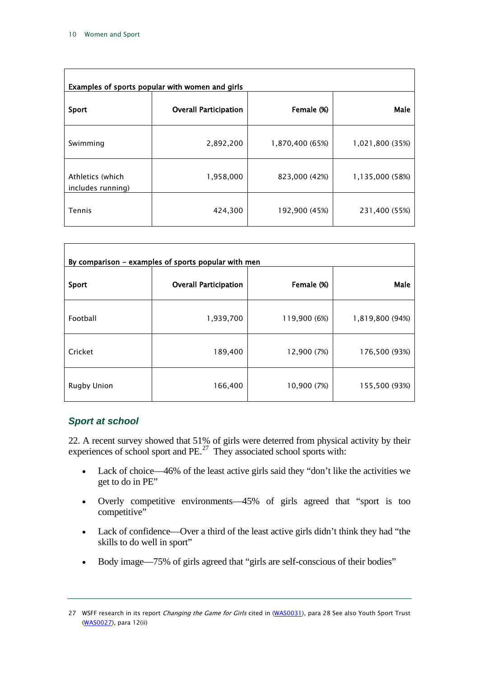| Examples of sports popular with women and girls |                              |                 |                 |  |
|-------------------------------------------------|------------------------------|-----------------|-----------------|--|
| Sport                                           | <b>Overall Participation</b> | Female (%)      | Male            |  |
| Swimming                                        | 2,892,200                    | 1,870,400 (65%) | 1,021,800 (35%) |  |
| Athletics (which<br>includes running)           | 1,958,000                    | 823,000 (42%)   | 1,135,000 (58%) |  |
| <b>Tennis</b>                                   | 424,300                      | 192,900 (45%)   | 231,400 (55%)   |  |

| By comparison - examples of sports popular with men |                              |              |                 |  |
|-----------------------------------------------------|------------------------------|--------------|-----------------|--|
| <b>Sport</b>                                        | <b>Overall Participation</b> | Female (%)   | Male            |  |
| Football                                            | 1,939,700                    | 119,900 (6%) | 1,819,800 (94%) |  |
| Cricket                                             | 189,400                      | 12,900 (7%)  | 176,500 (93%)   |  |
| <b>Rugby Union</b>                                  | 166,400                      | 10,900 (7%)  | 155,500 (93%)   |  |

#### <span id="page-10-0"></span>*Sport at school*

22. A recent survey showed that 51% of girls were deterred from physical activity by their experiences of school sport and  $PE.<sup>27</sup>$  They associated school sports with:

- Lack of choice—46% of the least active girls said they "don't like the activities we get to do in PE"
- Overly competitive environments—45% of girls agreed that "sport is too competitive"
- Lack of confidence—Over a third of the least active girls didn't think they had "the skills to do well in sport"
- Body image—75% of girls agreed that "girls are self-conscious of their bodies"

<span id="page-10-1"></span><sup>27</sup> WSFF research in its report Changing the Game for Girls cited in [\(WAS0031\),](http://data.parliament.uk/WrittenEvidence/CommitteeEvidence.svc/EvidenceDocument/Culture,%20Media%20and%20Sport/Women%20and%20Sport/written/2246.html) para 28 See also Youth Sport Trust [\(WAS0027\)](http://data.parliament.uk/WrittenEvidence/CommitteeEvidence.svc/EvidenceDocument/Culture,%20Media%20and%20Sport/Women%20and%20Sport/written/2242.html), para 12(ii)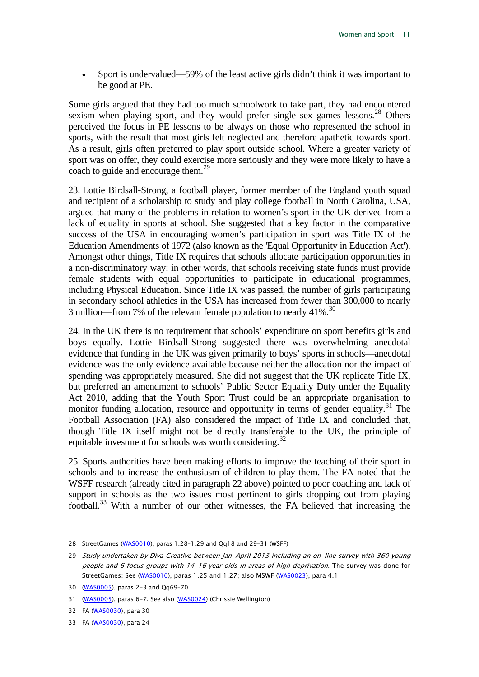• Sport is undervalued—59% of the least active girls didn't think it was important to be good at PE.

Some girls argued that they had too much schoolwork to take part, they had encountered sexism when playing sport, and they would prefer single sex games lessons.<sup>[28](#page-11-0)</sup> Others perceived the focus in PE lessons to be always on those who represented the school in sports, with the result that most girls felt neglected and therefore apathetic towards sport. As a result, girls often preferred to play sport outside school. Where a greater variety of sport was on offer, they could exercise more seriously and they were more likely to have a coach to guide and encourage them.<sup>[29](#page-11-1)</sup>

23. Lottie Birdsall-Strong, a football player, former member of the England youth squad and recipient of a scholarship to study and play college football in North Carolina, USA, argued that many of the problems in relation to women's sport in the UK derived from a lack of equality in sports at school. She suggested that a key factor in the comparative success of the USA in encouraging women's participation in sport was Title IX of the Education Amendments of 1972 (also known as the 'Equal Opportunity in Education Act'). Amongst other things, Title IX requires that schools allocate participation opportunities in a non-discriminatory way: in other words, that schools receiving state funds must provide female students with equal opportunities to participate in educational programmes, including Physical Education. Since Title IX was passed, the number of girls participating in secondary school athletics in the USA has increased from fewer than 300,000 to nearly 3 million—from 7% of the relevant female population to nearly  $41\%$ <sup>[30](#page-11-2)</sup>

24. In the UK there is no requirement that schools' expenditure on sport benefits girls and boys equally. Lottie Birdsall-Strong suggested there was overwhelming anecdotal evidence that funding in the UK was given primarily to boys' sports in schools—anecdotal evidence was the only evidence available because neither the allocation nor the impact of spending was appropriately measured. She did not suggest that the UK replicate Title IX, but preferred an amendment to schools' Public Sector Equality Duty under the Equality Act 2010, adding that the Youth Sport Trust could be an appropriate organisation to monitor funding allocation, resource and opportunity in terms of gender equality.<sup>[31](#page-11-3)</sup> The Football Association (FA) also considered the impact of Title IX and concluded that, though Title IX itself might not be directly transferable to the UK, the principle of equitable investment for schools was worth considering.<sup>[32](#page-11-4)</sup>

25. Sports authorities have been making efforts to improve the teaching of their sport in schools and to increase the enthusiasm of children to play them. The FA noted that the WSFF research (already cited in paragraph 22 above) pointed to poor coaching and lack of support in schools as the two issues most pertinent to girls dropping out from playing football.[33](#page-11-5) With a number of our other witnesses, the FA believed that increasing the

<span id="page-11-0"></span><sup>28</sup> StreetGames [\(WAS0010\)](http://data.parliament.uk/WrittenEvidence/CommitteeEvidence.svc/EvidenceDocument/Culture,%20Media%20and%20Sport/Women%20and%20Sport/written/2197.html), paras 1.28–1.29 and Qq18 and 29–31 (WSFF)

<span id="page-11-1"></span><sup>29</sup> Study undertaken by Diva Creative between Jan-April 2013 including an on-line survey with 360 young people and 6 focus groups with 14-16 year olds in areas of high deprivation. The survey was done for StreetGames: See [\(WAS0010\)](http://data.parliament.uk/WrittenEvidence/CommitteeEvidence.svc/EvidenceDocument/Culture,%20Media%20and%20Sport/Women%20and%20Sport/written/2197.html), paras 1.25 and 1.27; also MSWF [\(WAS0023\)](http://data.parliament.uk/WrittenEvidence/CommitteeEvidence.svc/EvidenceDocument/Culture,%20Media%20and%20Sport/Women%20and%20Sport/written/2237.html), para 4.1

<span id="page-11-2"></span><sup>30</sup> [\(WAS0005\)](http://data.parliament.uk/WrittenEvidence/CommitteeEvidence.svc/EvidenceDocument/Culture,%20Media%20and%20Sport/Women%20and%20Sport/written/1901.html), paras 2-3 and Qq69–70

<span id="page-11-3"></span><sup>31</sup> [\(WAS0005\)](http://data.parliament.uk/WrittenEvidence/CommitteeEvidence.svc/EvidenceDocument/Culture,%20Media%20and%20Sport/Women%20and%20Sport/written/1901.html), paras 6-7. See also [\(WAS0024\)](http://data.parliament.uk/WrittenEvidence/CommitteeEvidence.svc/EvidenceDocument/Culture,%20Media%20and%20Sport/Women%20and%20Sport/written/2239.html) (Chrissie Wellington)

<span id="page-11-4"></span><sup>32</sup> FA [\(WAS0030\)](http://data.parliament.uk/WrittenEvidence/CommitteeEvidence.svc/EvidenceDocument/Culture,%20Media%20and%20Sport/Women%20and%20Sport/written/2245.html), para 30

<span id="page-11-5"></span><sup>33</sup> FA [\(WAS0030\)](http://data.parliament.uk/WrittenEvidence/CommitteeEvidence.svc/EvidenceDocument/Culture,%20Media%20and%20Sport/Women%20and%20Sport/written/2245.html), para 24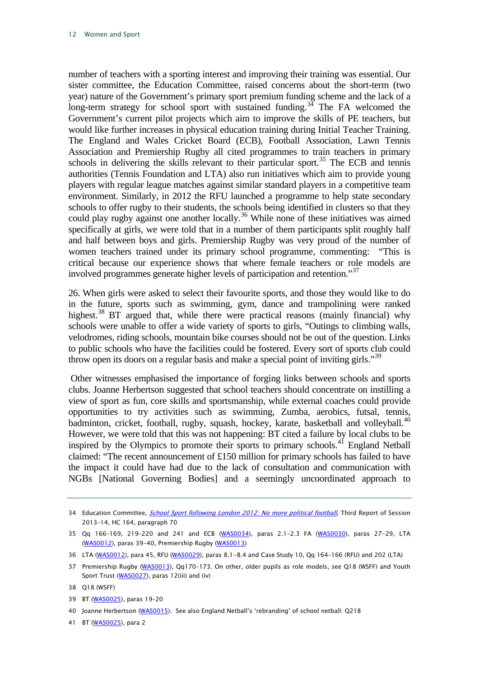number of teachers with a sporting interest and improving their training was essential. Our sister committee, the Education Committee, raised concerns about the short-term (two year) nature of the Government's primary sport premium funding scheme and the lack of a long-term strategy for school sport with sustained funding.<sup>[34](#page-12-0)</sup> The FA welcomed the Government's current pilot projects which aim to improve the skills of PE teachers, but would like further increases in physical education training during Initial Teacher Training. The England and Wales Cricket Board (ECB), Football Association, Lawn Tennis Association and Premiership Rugby all cited programmes to train teachers in primary schools in delivering the skills relevant to their particular sport.<sup>[35](#page-12-1)</sup> The ECB and tennis authorities (Tennis Foundation and LTA) also run initiatives which aim to provide young players with regular league matches against similar standard players in a competitive team environment. Similarly, in 2012 the RFU launched a programme to help state secondary schools to offer rugby to their students, the schools being identified in clusters so that they could play rugby against one another locally.<sup>[36](#page-12-2)</sup> While none of these initiatives was aimed specifically at girls, we were told that in a number of them participants split roughly half and half between boys and girls. Premiership Rugby was very proud of the number of women teachers trained under its primary school programme, commenting: "This is critical because our experience shows that where female teachers or role models are involved programmes generate higher levels of participation and retention."<sup>[37](#page-12-3)</sup>

26. When girls were asked to select their favourite sports, and those they would like to do in the future, sports such as swimming, gym, dance and trampolining were ranked highest.<sup>[38](#page-12-4)</sup> BT argued that, while there were practical reasons (mainly financial) why schools were unable to offer a wide variety of sports to girls, "Outings to climbing walls, velodromes, riding schools, mountain bike courses should not be out of the question. Links to public schools who have the facilities could be fostered. Every sort of sports club could throw open its doors on a regular basis and make a special point of inviting girls."<sup>[39](#page-12-5)</sup>

Other witnesses emphasised the importance of forging links between schools and sports clubs. Joanne Herbertson suggested that school teachers should concentrate on instilling a view of sport as fun, core skills and sportsmanship, while external coaches could provide opportunities to try activities such as swimming, Zumba, aerobics, futsal, tennis, badminton, cricket, football, rugby, squash, hockey, karate, basketball and volleyball.<sup>[40](#page-12-6)</sup> However, we were told that this was not happening: BT cited a failure by local clubs to be inspired by the Olympics to promote their sports to primary schools.<sup>[41](#page-12-7)</sup> England Netball claimed: "The recent announcement of £150 million for primary schools has failed to have the impact it could have had due to the lack of consultation and communication with NGBs [National Governing Bodies] and a seemingly uncoordinated approach to

<span id="page-12-0"></span><sup>34</sup> Education Committee, *[School Sport following London 2012: No more political football](http://www.publications.parliament.uk/pa/cm201314/cmselect/cmeduc/164/16402.htm)*, Third Report of Session 2013–14, HC 164, paragraph 70

<span id="page-12-1"></span><sup>35</sup> Qq 166–169, 219–220 and 241 and ECB [\(WAS0034\),](http://data.parliament.uk/WrittenEvidence/CommitteeEvidence.svc/EvidenceDocument/Culture,%20Media%20and%20Sport/Women%20and%20Sport/written/2254.html) paras 2.1–2.3 FA [\(WAS0030\)](http://data.parliament.uk/WrittenEvidence/CommitteeEvidence.svc/EvidenceDocument/Culture,%20Media%20and%20Sport/Women%20and%20Sport/written/2245.html), paras 27-29, LTA [\(WAS0012\)](http://data.parliament.uk/WrittenEvidence/CommitteeEvidence.svc/EvidenceDocument/Culture,%20Media%20and%20Sport/Women%20and%20Sport/written/2201.html), paras 39-40, Premiership Rugby [\(WAS0013\)](http://data.parliament.uk/WrittenEvidence/CommitteeEvidence.svc/EvidenceDocument/Culture,%20Media%20and%20Sport/Women%20and%20Sport/written/2203.html)

<span id="page-12-2"></span><sup>36</sup> LTA [\(WAS0012\),](http://data.parliament.uk/WrittenEvidence/CommitteeEvidence.svc/EvidenceDocument/Culture,%20Media%20and%20Sport/Women%20and%20Sport/written/2201.html) para 45, RFU [\(WAS0029\)](http://data.parliament.uk/WrittenEvidence/CommitteeEvidence.svc/EvidenceDocument/Culture,%20Media%20and%20Sport/Women%20and%20Sport/written/2244.html), paras 8.1-8.4 and Case Study 10, Qq 164–166 (RFU) and 202 (LTA)

<span id="page-12-3"></span><sup>37</sup> Premiership Rugby [\(WAS0013\)](http://data.parliament.uk/WrittenEvidence/CommitteeEvidence.svc/EvidenceDocument/Culture,%20Media%20and%20Sport/Women%20and%20Sport/written/2203.html), Qq170-173. On other, older pupils as role models, see Q18 (WSFF) and Youth Sport Trust [\(WAS0027\)](http://data.parliament.uk/WrittenEvidence/CommitteeEvidence.svc/EvidenceDocument/Culture,%20Media%20and%20Sport/Women%20and%20Sport/written/2242.html), paras 12(iii) and (iv)

<span id="page-12-4"></span><sup>38</sup> Q18 (WSFF)

<span id="page-12-5"></span><sup>39</sup> BT [\(WAS0025\)](http://data.parliament.uk/WrittenEvidence/CommitteeEvidence.svc/EvidenceDocument/Culture,%20Media%20and%20Sport/Women%20and%20Sport/written/2240.html), paras 19–20

<span id="page-12-6"></span><sup>40</sup> Joanne Herbertson [\(WAS0015\)](http://data.parliament.uk/WrittenEvidence/CommitteeEvidence.svc/EvidenceDocument/Culture,%20Media%20and%20Sport/Women%20and%20Sport/written/2206.html). See also England Netball's 'rebranding' of school netball: Q218

<span id="page-12-7"></span><sup>41</sup> BT [\(WAS0025\)](http://data.parliament.uk/WrittenEvidence/CommitteeEvidence.svc/EvidenceDocument/Culture,%20Media%20and%20Sport/Women%20and%20Sport/written/2240.html), para 2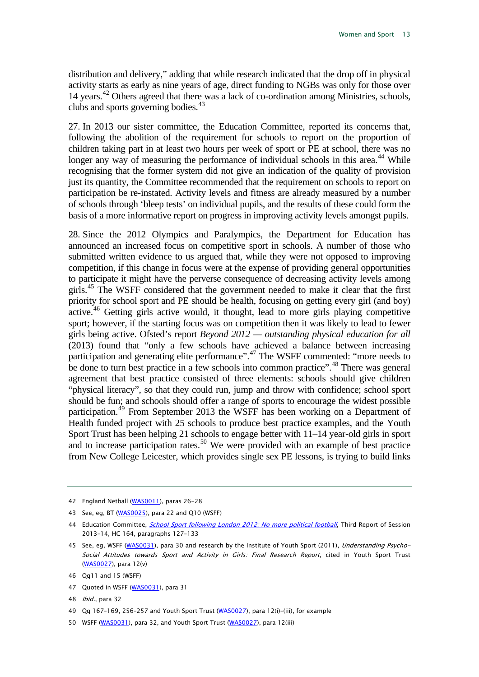distribution and delivery," adding that while research indicated that the drop off in physical activity starts as early as nine years of age, direct funding to NGBs was only for those over 14 years.<sup>[42](#page-13-0)</sup> Others agreed that there was a lack of co-ordination among Ministries, schools, clubs and sports governing bodies.<sup>[43](#page-13-1)</sup>

27. In 2013 our sister committee, the Education Committee, reported its concerns that, following the abolition of the requirement for schools to report on the proportion of children taking part in at least two hours per week of sport or PE at school, there was no longer any way of measuring the performance of individual schools in this area.<sup>[44](#page-13-2)</sup> While recognising that the former system did not give an indication of the quality of provision just its quantity, the Committee recommended that the requirement on schools to report on participation be re-instated. Activity levels and fitness are already measured by a number of schools through 'bleep tests' on individual pupils, and the results of these could form the basis of a more informative report on progress in improving activity levels amongst pupils.

28. Since the 2012 Olympics and Paralympics, the Department for Education has announced an increased focus on competitive sport in schools. A number of those who submitted written evidence to us argued that, while they were not opposed to improving competition, if this change in focus were at the expense of providing general opportunities to participate it might have the perverse consequence of decreasing activity levels among girls.<sup>[45](#page-13-3)</sup> The WSFF considered that the government needed to make it clear that the first priority for school sport and PE should be health, focusing on getting every girl (and boy) active.<sup>[46](#page-13-4)</sup> Getting girls active would, it thought, lead to more girls playing competitive sport; however, if the starting focus was on competition then it was likely to lead to fewer girls being active. Ofsted's report *Beyond 2012 — outstanding physical education for all* (2013) found that "only a few schools have achieved a balance between increasing participation and generating elite performance".<sup>[47](#page-13-5)</sup> The WSFF commented: "more needs to be done to turn best practice in a few schools into common practice".<sup>[48](#page-13-6)</sup> There was general agreement that best practice consisted of three elements: schools should give children "physical literacy", so that they could run, jump and throw with confidence; school sport should be fun; and schools should offer a range of sports to encourage the widest possible participation.<sup>[49](#page-13-7)</sup> From September 2013 the WSFF has been working on a Department of Health funded project with 25 schools to produce best practice examples, and the Youth Sport Trust has been helping 21 schools to engage better with 11–14 year-old girls in sport and to increase participation rates. [50](#page-13-8) We were provided with an example of best practice from New College Leicester, which provides single sex PE lessons, is trying to build links

<span id="page-13-5"></span>47 Quoted in WSFF [\(WAS0031\),](http://data.parliament.uk/WrittenEvidence/CommitteeEvidence.svc/EvidenceDocument/Culture,%20Media%20and%20Sport/Women%20and%20Sport/written/2246.html) para 31

<span id="page-13-0"></span><sup>42</sup> England Netball [\(WAS0011\)](http://data.parliament.uk/WrittenEvidence/CommitteeEvidence.svc/EvidenceDocument/Culture,%20Media%20and%20Sport/Women%20and%20Sport/written/2199.html), paras 26-28

<span id="page-13-1"></span><sup>43</sup> See, eg, BT [\(WAS0025\),](http://data.parliament.uk/WrittenEvidence/CommitteeEvidence.svc/EvidenceDocument/Culture,%20Media%20and%20Sport/Women%20and%20Sport/written/2240.html) para 22 and Q10 (WSFF)

<span id="page-13-2"></span><sup>44</sup> Education Committee, [School Sport following London 2012: No more political football](http://www.publications.parliament.uk/pa/cm201314/cmselect/cmeduc/164/16402.htm), Third Report of Session 2013–14, HC 164, paragraphs 127–133

<span id="page-13-3"></span><sup>45</sup> See, eg, WSFF [\(WAS0031\)](http://data.parliament.uk/WrittenEvidence/CommitteeEvidence.svc/EvidenceDocument/Culture,%20Media%20and%20Sport/Women%20and%20Sport/written/2246.html), para 30 and research by the Institute of Youth Sport (2011), Understanding Psycho-Social Attitudes towards Sport and Activity in Girls: Final Research Report, cited in Youth Sport Trust [\(WAS0027\)](http://data.parliament.uk/WrittenEvidence/CommitteeEvidence.svc/EvidenceDocument/Culture,%20Media%20and%20Sport/Women%20and%20Sport/written/2242.html), para 12(v)

<span id="page-13-4"></span><sup>46</sup> Qq11 and 15 (WSFF)

<span id="page-13-6"></span><sup>48</sup> Ibid., para 32

<span id="page-13-7"></span><sup>49</sup> Qq 167–169, 256–257 and Youth Sport Trust [\(WAS0027\),](http://data.parliament.uk/WrittenEvidence/CommitteeEvidence.svc/EvidenceDocument/Culture,%20Media%20and%20Sport/Women%20and%20Sport/written/2242.html) para 12(i)–(iii), for example

<span id="page-13-8"></span><sup>50</sup> WSFF [\(WAS0031\)](http://data.parliament.uk/WrittenEvidence/CommitteeEvidence.svc/EvidenceDocument/Culture,%20Media%20and%20Sport/Women%20and%20Sport/written/2246.html), para 32, and Youth Sport Trust [\(WAS0027\)](http://data.parliament.uk/WrittenEvidence/CommitteeEvidence.svc/EvidenceDocument/Culture,%20Media%20and%20Sport/Women%20and%20Sport/written/2242.html), para 12(iii)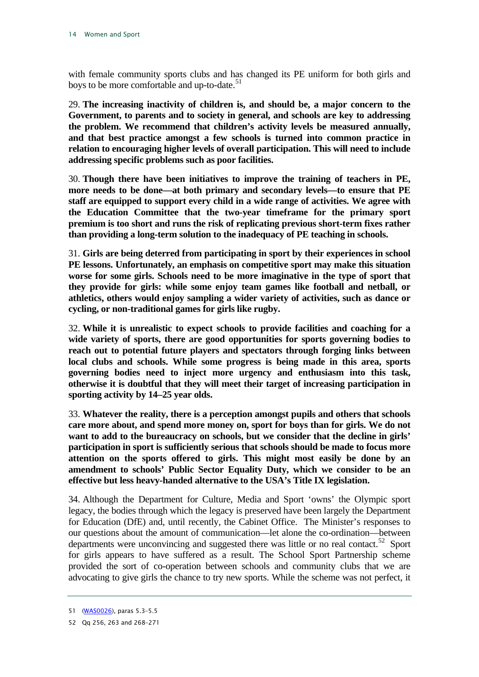with female community sports clubs and has changed its PE uniform for both girls and boys to be more comfortable and up-to-date. $51$ 

<span id="page-14-2"></span>29. **The increasing inactivity of children is, and should be, a major concern to the Government, to parents and to society in general, and schools are key to addressing the problem. We recommend that children's activity levels be measured annually, and that best practice amongst a few schools is turned into common practice in relation to encouraging higher levels of overall participation. This will need to include addressing specific problems such as poor facilities.**

<span id="page-14-3"></span>30. **Though there have been initiatives to improve the training of teachers in PE, more needs to be done—at both primary and secondary levels—to ensure that PE staff are equipped to support every child in a wide range of activities. We agree with the Education Committee that the two-year timeframe for the primary sport premium is too short and runs the risk of replicating previous short-term fixes rather than providing a long-term solution to the inadequacy of PE teaching in schools.** 

<span id="page-14-4"></span>31. **Girls are being deterred from participating in sport by their experiences in school PE lessons. Unfortunately, an emphasis on competitive sport may make this situation worse for some girls. Schools need to be more imaginative in the type of sport that they provide for girls: while some enjoy team games like football and netball, or athletics, others would enjoy sampling a wider variety of activities, such as dance or cycling, or non-traditional games for girls like rugby.**

<span id="page-14-5"></span>32. **While it is unrealistic to expect schools to provide facilities and coaching for a wide variety of sports, there are good opportunities for sports governing bodies to reach out to potential future players and spectators through forging links between local clubs and schools. While some progress is being made in this area, sports governing bodies need to inject more urgency and enthusiasm into this task, otherwise it is doubtful that they will meet their target of increasing participation in sporting activity by 14–25 year olds.** 

<span id="page-14-6"></span>33. **Whatever the reality, there is a perception amongst pupils and others that schools care more about, and spend more money on, sport for boys than for girls. We do not want to add to the bureaucracy on schools, but we consider that the decline in girls' participation in sport is sufficiently serious that schools should be made to focus more attention on the sports offered to girls. This might most easily be done by an amendment to schools' Public Sector Equality Duty, which we consider to be an effective but less heavy-handed alternative to the USA's Title IX legislation.**

34. Although the Department for Culture, Media and Sport 'owns' the Olympic sport legacy, the bodies through which the legacy is preserved have been largely the Department for Education (DfE) and, until recently, the Cabinet Office. The Minister's responses to our questions about the amount of communication—let alone the co-ordination—between departments were unconvincing and suggested there was little or no real contact.<sup>[52](#page-14-1)</sup> Sport for girls appears to have suffered as a result. The School Sport Partnership scheme provided the sort of co-operation between schools and community clubs that we are advocating to give girls the chance to try new sports. While the scheme was not perfect, it

<span id="page-14-0"></span><sup>51</sup> [\(WAS0026\)](http://data.parliament.uk/WrittenEvidence/CommitteeEvidence.svc/EvidenceDocument/Culture,%20Media%20and%20Sport/Women%20and%20Sport/written/2241.html), paras 5.3–5.5

<span id="page-14-1"></span><sup>52</sup> Qq 256, 263 and 268–271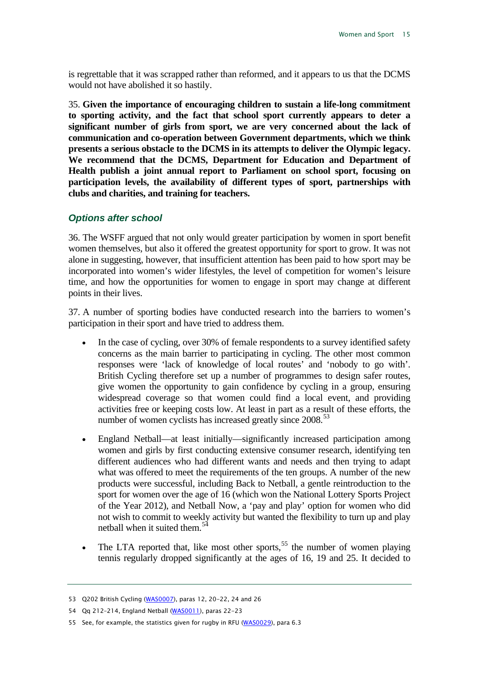is regrettable that it was scrapped rather than reformed, and it appears to us that the DCMS would not have abolished it so hastily.

<span id="page-15-4"></span>35. **Given the importance of encouraging children to sustain a life-long commitment to sporting activity, and the fact that school sport currently appears to deter a significant number of girls from sport, we are very concerned about the lack of communication and co-operation between Government departments, which we think presents a serious obstacle to the DCMS in its attempts to deliver the Olympic legacy. We recommend that the DCMS, Department for Education and Department of Health publish a joint annual report to Parliament on school sport, focusing on participation levels, the availability of different types of sport, partnerships with clubs and charities, and training for teachers.**

#### <span id="page-15-0"></span>*Options after school*

36. The WSFF argued that not only would greater participation by women in sport benefit women themselves, but also it offered the greatest opportunity for sport to grow. It was not alone in suggesting, however, that insufficient attention has been paid to how sport may be incorporated into women's wider lifestyles, the level of competition for women's leisure time, and how the opportunities for women to engage in sport may change at different points in their lives.

37. A number of sporting bodies have conducted research into the barriers to women's participation in their sport and have tried to address them.

- In the case of cycling, over 30% of female respondents to a survey identified safety concerns as the main barrier to participating in cycling. The other most common responses were 'lack of knowledge of local routes' and 'nobody to go with'. British Cycling therefore set up a number of programmes to design safer routes, give women the opportunity to gain confidence by cycling in a group, ensuring widespread coverage so that women could find a local event, and providing activities free or keeping costs low. At least in part as a result of these efforts, the number of women cyclists has increased greatly since  $2008$ .<sup>[53](#page-15-1)</sup>
- England Netball—at least initially—significantly increased participation among women and girls by first conducting extensive consumer research, identifying ten different audiences who had different wants and needs and then trying to adapt what was offered to meet the requirements of the ten groups. A number of the new products were successful, including Back to Netball, a gentle reintroduction to the sport for women over the age of 16 (which won the National Lottery Sports Project of the Year 2012), and Netball Now, a 'pay and play' option for women who did not wish to commit to weekly activity but wanted the flexibility to turn up and play netball when it suited them.<sup>[54](#page-15-2)</sup>
- The LTA reported that, like most other sports,<sup>[55](#page-15-3)</sup> the number of women playing tennis regularly dropped significantly at the ages of 16, 19 and 25. It decided to

<span id="page-15-1"></span><sup>53</sup> Q202 British Cycling [\(WAS0007\)](http://data.parliament.uk/WrittenEvidence/CommitteeEvidence.svc/EvidenceDocument/Culture,%20Media%20and%20Sport/Women%20and%20Sport/written/1992.html), paras 12, 20-22, 24 and 26

<span id="page-15-2"></span><sup>54</sup> Qq 212–214, England Netball [\(WAS0011\),](http://data.parliament.uk/WrittenEvidence/CommitteeEvidence.svc/EvidenceDocument/Culture,%20Media%20and%20Sport/Women%20and%20Sport/written/2199.html) paras 22-23

<span id="page-15-3"></span><sup>55</sup> See, for example, the statistics given for rugby in RFU [\(WAS0029\)](http://data.parliament.uk/WrittenEvidence/CommitteeEvidence.svc/EvidenceDocument/Culture,%20Media%20and%20Sport/Women%20and%20Sport/written/2244.html), para 6.3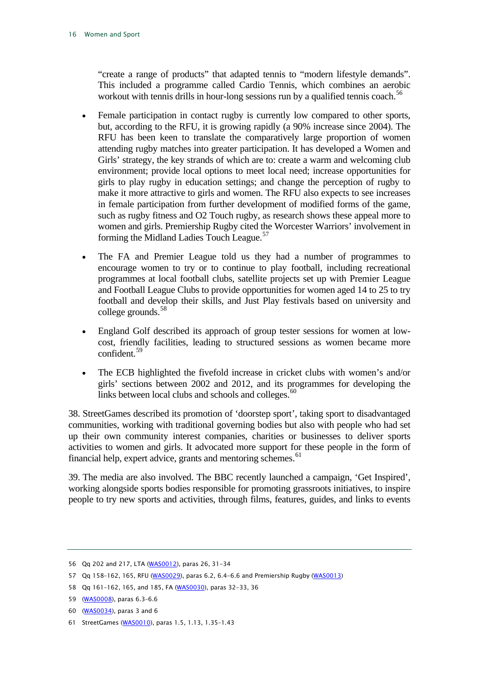"create a range of products" that adapted tennis to "modern lifestyle demands". This included a programme called Cardio Tennis, which combines an aerobic workout with tennis drills in hour-long sessions run by a qualified tennis coach.<sup>56</sup>

- Female participation in contact rugby is currently low compared to other sports, but, according to the RFU, it is growing rapidly (a 90% increase since 2004). The RFU has been keen to translate the comparatively large proportion of women attending rugby matches into greater participation. It has developed a Women and Girls' strategy, the key strands of which are to: create a warm and welcoming club environment; provide local options to meet local need; increase opportunities for girls to play rugby in education settings; and change the perception of rugby to make it more attractive to girls and women. The RFU also expects to see increases in female participation from further development of modified forms of the game, such as rugby fitness and O2 Touch rugby, as research shows these appeal more to women and girls. Premiership Rugby cited the Worcester Warriors' involvement in forming the Midland Ladies Touch League.<sup>[57](#page-16-1)</sup>
- The FA and Premier League told us they had a number of programmes to encourage women to try or to continue to play football, including recreational programmes at local football clubs, satellite projects set up with Premier League and Football League Clubs to provide opportunities for women aged 14 to 25 to try football and develop their skills, and Just Play festivals based on university and college grounds.<sup>[58](#page-16-2)</sup>
- England Golf described its approach of group tester sessions for women at lowcost, friendly facilities, leading to structured sessions as women became more confident.[59](#page-16-3)
- The ECB highlighted the fivefold increase in cricket clubs with women's and/or girls' sections between 2002 and 2012, and its programmes for developing the links between local clubs and schools and colleges.<sup>[60](#page-16-4)</sup>

38. StreetGames described its promotion of 'doorstep sport', taking sport to disadvantaged communities, working with traditional governing bodies but also with people who had set up their own community interest companies, charities or businesses to deliver sports activities to women and girls. It advocated more support for these people in the form of financial help, expert advice, grants and mentoring schemes.<sup>[61](#page-16-5)</sup>

39. The media are also involved. The BBC recently launched a campaign, 'Get Inspired', working alongside sports bodies responsible for promoting grassroots initiatives, to inspire people to try new sports and activities, through films, features, guides, and links to events

<span id="page-16-0"></span><sup>56</sup> Qq 202 and 217, LTA [\(WAS0012\)](http://data.parliament.uk/WrittenEvidence/CommitteeEvidence.svc/EvidenceDocument/Culture,%20Media%20and%20Sport/Women%20and%20Sport/written/2201.html), paras 26, 31-34

<span id="page-16-1"></span><sup>57</sup> Qq 158–162, 165, RFU [\(WAS0029\),](http://data.parliament.uk/WrittenEvidence/CommitteeEvidence.svc/EvidenceDocument/Culture,%20Media%20and%20Sport/Women%20and%20Sport/written/2244.html) paras 6.2, 6.4-6.6 and Premiership Rugby [\(WAS0013\)](http://data.parliament.uk/WrittenEvidence/CommitteeEvidence.svc/EvidenceDocument/Culture,%20Media%20and%20Sport/Women%20and%20Sport/written/2203.html)

<span id="page-16-2"></span><sup>58</sup> Qq 161–162, 165, and 185, FA [\(WAS0030\),](http://data.parliament.uk/WrittenEvidence/CommitteeEvidence.svc/EvidenceDocument/Culture,%20Media%20and%20Sport/Women%20and%20Sport/written/2245.html) paras 32-33, 36

<span id="page-16-3"></span><sup>59</sup> [\(WAS0008\)](http://data.parliament.uk/WrittenEvidence/CommitteeEvidence.svc/EvidenceDocument/Culture,%20Media%20and%20Sport/Women%20and%20Sport/written/2168.html), paras 6.3–6.6

<span id="page-16-4"></span><sup>60</sup> [\(WAS0034\)](http://data.parliament.uk/WrittenEvidence/CommitteeEvidence.svc/EvidenceDocument/Culture,%20Media%20and%20Sport/Women%20and%20Sport/written/2254.html), paras 3 and 6

<span id="page-16-5"></span><sup>61</sup> StreetGames [\(WAS0010\)](http://data.parliament.uk/WrittenEvidence/CommitteeEvidence.svc/EvidenceDocument/Culture,%20Media%20and%20Sport/Women%20and%20Sport/written/2197.html), paras 1.5, 1.13, 1.35–1.43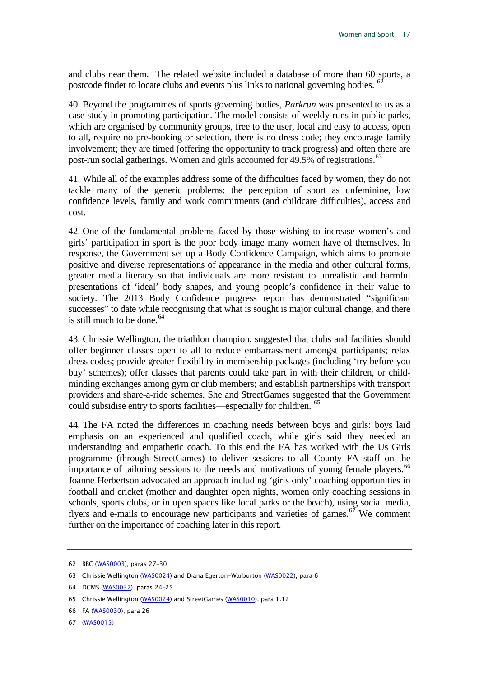and clubs near them. The related website included a database of more than 60 sports, a postcode finder to locate clubs and events plus links to national governing bodies. <sup>6</sup>

40. Beyond the programmes of sports governing bodies*, Parkrun* was presented to us as a case study in promoting participation. The model consists of weekly runs in public parks, which are organised by community groups, free to the user, local and easy to access, open to all, require no pre-booking or selection, there is no dress code; they encourage family involvement; they are timed (offering the opportunity to track progress) and often there are post-run social gatherings. Women and girls accounted for 49.5% of registrations.<sup>[63](#page-17-1)</sup>

41. While all of the examples address some of the difficulties faced by women, they do not tackle many of the generic problems: the perception of sport as unfeminine, low confidence levels, family and work commitments (and childcare difficulties), access and cost.

42. One of the fundamental problems faced by those wishing to increase women's and girls' participation in sport is the poor body image many women have of themselves. In response, the Government set up a Body Confidence Campaign, which aims to promote positive and diverse representations of appearance in the media and other cultural forms, greater media literacy so that individuals are more resistant to unrealistic and harmful presentations of 'ideal' body shapes, and young people's confidence in their value to society. The 2013 Body Confidence progress report has demonstrated "significant successes" to date while recognising that what is sought is major cultural change, and there is still much to be done.  $64$ 

43. Chrissie Wellington, the triathlon champion, suggested that clubs and facilities should offer beginner classes open to all to reduce embarrassment amongst participants; relax dress codes; provide greater flexibility in membership packages (including 'try before you buy' schemes); offer classes that parents could take part in with their children, or childminding exchanges among gym or club members; and establish partnerships with transport providers and share-a-ride schemes. She and StreetGames suggested that the Government could subsidise entry to sports facilities—especially for children. [65](#page-17-3)

44. The FA noted the differences in coaching needs between boys and girls: boys laid emphasis on an experienced and qualified coach, while girls said they needed an understanding and empathetic coach. To this end the FA has worked with the Us Girls programme (through StreetGames) to deliver sessions to all County FA staff on the importance of tailoring sessions to the needs and motivations of young female players.<sup>[66](#page-17-4)</sup> Joanne Herbertson advocated an approach including 'girls only' coaching opportunities in football and cricket (mother and daughter open nights, women only coaching sessions in schools, sports clubs, or in open spaces like local parks or the beach), using social media, flyers and e-mails to encourage new participants and varieties of games.<sup> $67$ </sup> We comment further on the importance of coaching later in this report.

<span id="page-17-0"></span><sup>62</sup> BBC [\(WAS0003\),](http://data.parliament.uk/WrittenEvidence/CommitteeEvidence.svc/EvidenceDocument/Culture,%20Media%20and%20Sport/Women%20and%20Sport/written/1336.html) paras 27–30

<span id="page-17-1"></span><sup>63</sup> Chrissie Wellington [\(WAS0024\)](http://data.parliament.uk/WrittenEvidence/CommitteeEvidence.svc/EvidenceDocument/Culture,%20Media%20and%20Sport/Women%20and%20Sport/written/2239.html) and Diana Egerton-Warburton [\(WAS0022\)](http://data.parliament.uk/WrittenEvidence/CommitteeEvidence.svc/EvidenceDocument/Culture,%20Media%20and%20Sport/Women%20and%20Sport/written/2235.html), para 6

<span id="page-17-2"></span><sup>64</sup> DCMS [\(WAS0037\)](http://data.parliament.uk/WrittenEvidence/CommitteeEvidence.svc/EvidenceDocument/Culture,%20Media%20and%20Sport/Women%20and%20Sport/written/2328.html), paras 24–25

<span id="page-17-3"></span><sup>65</sup> Chrissie Wellington [\(WAS0024\)](http://data.parliament.uk/WrittenEvidence/CommitteeEvidence.svc/EvidenceDocument/Culture,%20Media%20and%20Sport/Women%20and%20Sport/written/2239.html) and StreetGames [\(WAS0010\)](http://data.parliament.uk/WrittenEvidence/CommitteeEvidence.svc/EvidenceDocument/Culture,%20Media%20and%20Sport/Women%20and%20Sport/written/2197.html), para 1.12

<span id="page-17-4"></span><sup>66</sup> FA [\(WAS0030\)](http://data.parliament.uk/WrittenEvidence/CommitteeEvidence.svc/EvidenceDocument/Culture,%20Media%20and%20Sport/Women%20and%20Sport/written/2245.html), para 26

<span id="page-17-5"></span><sup>67</sup> [\(WAS0015\)](http://data.parliament.uk/WrittenEvidence/CommitteeEvidence.svc/EvidenceDocument/Culture,%20Media%20and%20Sport/Women%20and%20Sport/written/2206.html)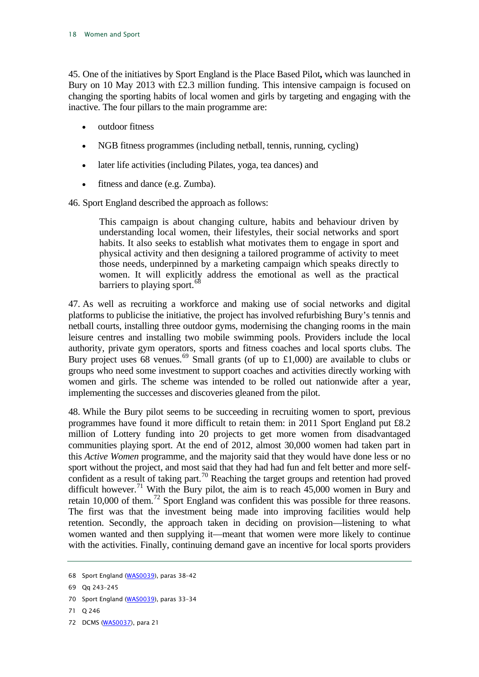45. One of the initiatives by Sport England is the Place Based Pilot**,** which was launched in Bury on 10 May 2013 with £2.3 million funding. This intensive campaign is focused on changing the sporting habits of local women and girls by targeting and engaging with the inactive. The four pillars to the main programme are:

- outdoor fitness
- NGB fitness programmes (including netball, tennis, running, cycling)
- later life activities (including Pilates, yoga, tea dances) and
- fitness and dance (e.g. Zumba).

46. Sport England described the approach as follows:

This campaign is about changing culture, habits and behaviour driven by understanding local women, their lifestyles, their social networks and sport habits. It also seeks to establish what motivates them to engage in sport and physical activity and then designing a tailored programme of activity to meet those needs, underpinned by a marketing campaign which speaks directly to women. It will explicitly address the emotional as well as the practical barriers to playing sport.<sup>[68](#page-18-0)</sup>

47. As well as recruiting a workforce and making use of social networks and digital platforms to publicise the initiative, the project has involved refurbishing Bury's tennis and netball courts, installing three outdoor gyms, modernising the changing rooms in the main leisure centres and installing two mobile swimming pools. Providers include the local authority, private gym operators, sports and fitness coaches and local sports clubs. The Bury project uses 68 venues.<sup>[69](#page-18-1)</sup> Small grants (of up to £1,000) are available to clubs or groups who need some investment to support coaches and activities directly working with women and girls. The scheme was intended to be rolled out nationwide after a year, implementing the successes and discoveries gleaned from the pilot.

48. While the Bury pilot seems to be succeeding in recruiting women to sport, previous programmes have found it more difficult to retain them: in 2011 Sport England put £8.2 million of Lottery funding into 20 projects to get more women from disadvantaged communities playing sport. At the end of 2012, almost 30,000 women had taken part in this *Active Women* programme, and the majority said that they would have done less or no sport without the project, and most said that they had had fun and felt better and more self-confident as a result of taking part.<sup>[70](#page-18-2)</sup> Reaching the target groups and retention had proved difficult however.<sup>[71](#page-18-3)</sup> With the Bury pilot, the aim is to reach  $45,000$  women in Bury and retain 10,000 of them.<sup>[72](#page-18-4)</sup> Sport England was confident this was possible for three reasons. The first was that the investment being made into improving facilities would help retention. Secondly, the approach taken in deciding on provision—listening to what women wanted and then supplying it—meant that women were more likely to continue with the activities. Finally, continuing demand gave an incentive for local sports providers

- <span id="page-18-2"></span>70 Sport England [\(WAS0039\)](http://data.parliament.uk/WrittenEvidence/CommitteeEvidence.svc/EvidenceDocument/Culture,%20Media%20and%20Sport/Women%20and%20Sport/written/2528.html), paras 33-34
- <span id="page-18-3"></span>71 Q 246
- <span id="page-18-4"></span>72 DCMS [\(WAS0037\)](http://data.parliament.uk/WrittenEvidence/CommitteeEvidence.svc/EvidenceDocument/Culture,%20Media%20and%20Sport/Women%20and%20Sport/written/2328.html), para 21

<span id="page-18-0"></span><sup>68</sup> Sport England [\(WAS0039\)](http://data.parliament.uk/WrittenEvidence/CommitteeEvidence.svc/EvidenceDocument/Culture,%20Media%20and%20Sport/Women%20and%20Sport/written/2528.html), paras 38–42

<span id="page-18-1"></span><sup>69</sup> Qq 243–245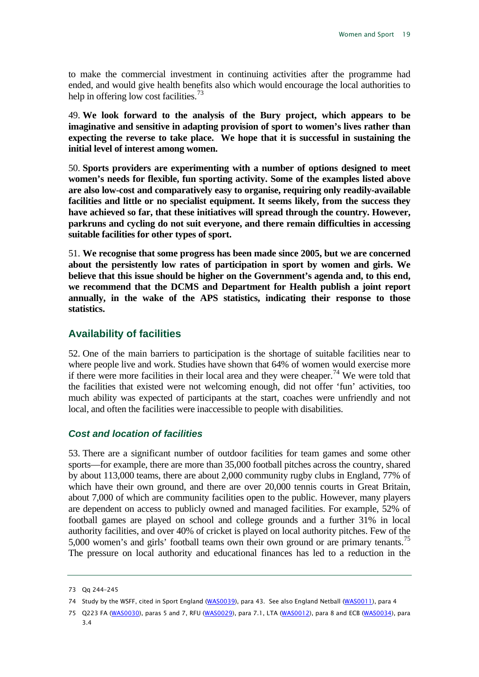to make the commercial investment in continuing activities after the programme had ended, and would give health benefits also which would encourage the local authorities to help in offering low cost facilities.<sup>[73](#page-19-2)</sup>

<span id="page-19-7"></span>49. **We look forward to the analysis of the Bury project, which appears to be imaginative and sensitive in adapting provision of sport to women's lives rather than expecting the reverse to take place. We hope that it is successful in sustaining the initial level of interest among women.**

<span id="page-19-6"></span>50. **Sports providers are experimenting with a number of options designed to meet women's needs for flexible, fun sporting activity. Some of the examples listed above are also low-cost and comparatively easy to organise, requiring only readily-available facilities and little or no specialist equipment. It seems likely, from the success they have achieved so far, that these initiatives will spread through the country. However, parkruns and cycling do not suit everyone, and there remain difficulties in accessing suitable facilities for other types of sport.**

<span id="page-19-5"></span>51. **We recognise that some progress has been made since 2005, but we are concerned about the persistently low rates of participation in sport by women and girls. We believe that this issue should be higher on the Government's agenda and, to this end, we recommend that the DCMS and Department for Health publish a joint report annually, in the wake of the APS statistics, indicating their response to those statistics.**

#### <span id="page-19-0"></span>**Availability of facilities**

52. One of the main barriers to participation is the shortage of suitable facilities near to where people live and work. Studies have shown that 64% of women would exercise more if there were more facilities in their local area and they were cheaper.<sup>[74](#page-19-3)</sup> We were told that the facilities that existed were not welcoming enough, did not offer 'fun' activities, too much ability was expected of participants at the start, coaches were unfriendly and not local, and often the facilities were inaccessible to people with disabilities.

#### <span id="page-19-1"></span>*Cost and location of facilities*

53. There are a significant number of outdoor facilities for team games and some other sports—for example, there are more than 35,000 football pitches across the country, shared by about 113,000 teams, there are about 2,000 community rugby clubs in England, 77% of which have their own ground, and there are over 20,000 tennis courts in Great Britain, about 7,000 of which are community facilities open to the public. However, many players are dependent on access to publicly owned and managed facilities. For example, 52% of football games are played on school and college grounds and a further 31% in local authority facilities, and over 40% of cricket is played on local authority pitches. Few of the 5,000 women's and girls' football teams own their own ground or are primary tenants.<sup>[75](#page-19-4)</sup> The pressure on local authority and educational finances has led to a reduction in the

<span id="page-19-2"></span><sup>73</sup> Qq 244–245

<span id="page-19-3"></span><sup>74</sup> Study by the WSFF, cited in Sport England [\(WAS0039\)](http://data.parliament.uk/WrittenEvidence/CommitteeEvidence.svc/EvidenceDocument/Culture,%20Media%20and%20Sport/Women%20and%20Sport/written/2528.html), para 43. See also England Netball [\(WAS0011\)](http://data.parliament.uk/WrittenEvidence/CommitteeEvidence.svc/EvidenceDocument/Culture,%20Media%20and%20Sport/Women%20and%20Sport/written/2199.html), para 4

<span id="page-19-4"></span><sup>75</sup> Q223 FA [\(WAS0030\)](http://data.parliament.uk/WrittenEvidence/CommitteeEvidence.svc/EvidenceDocument/Culture,%20Media%20and%20Sport/Women%20and%20Sport/written/2245.html), paras 5 and 7, RFU [\(WAS0029\)](http://data.parliament.uk/WrittenEvidence/CommitteeEvidence.svc/EvidenceDocument/Culture,%20Media%20and%20Sport/Women%20and%20Sport/written/2244.html), para 7.1, LTA [\(WAS0012\)](http://data.parliament.uk/WrittenEvidence/CommitteeEvidence.svc/EvidenceDocument/Culture,%20Media%20and%20Sport/Women%20and%20Sport/written/2201.html), para 8 and ECB [\(WAS0034\)](http://data.parliament.uk/WrittenEvidence/CommitteeEvidence.svc/EvidenceDocument/Culture,%20Media%20and%20Sport/Women%20and%20Sport/written/2254.html), para 3.4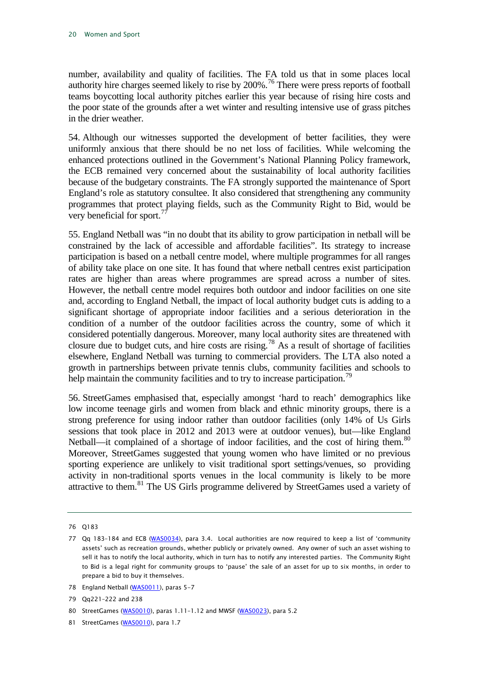number, availability and quality of facilities. The FA told us that in some places local authority hire charges seemed likely to rise by 200%.<sup>[76](#page-20-0)</sup> There were press reports of football teams boycotting local authority pitches earlier this year because of rising hire costs and the poor state of the grounds after a wet winter and resulting intensive use of grass pitches in the drier weather.

54. Although our witnesses supported the development of better facilities, they were uniformly anxious that there should be no net loss of facilities. While welcoming the enhanced protections outlined in the Government's National Planning Policy framework, the ECB remained very concerned about the sustainability of local authority facilities because of the budgetary constraints. The FA strongly supported the maintenance of Sport England's role as statutory consultee. It also considered that strengthening any community programmes that protect playing fields, such as the Community Right to Bid, would be very beneficial for sport.<sup>7</sup>

55. England Netball was "in no doubt that its ability to grow participation in netball will be constrained by the lack of accessible and affordable facilities". Its strategy to increase participation is based on a netball centre model, where multiple programmes for all ranges of ability take place on one site. It has found that where netball centres exist participation rates are higher than areas where programmes are spread across a number of sites. However, the netball centre model requires both outdoor and indoor facilities on one site and, according to England Netball, the impact of local authority budget cuts is adding to a significant shortage of appropriate indoor facilities and a serious deterioration in the condition of a number of the outdoor facilities across the country, some of which it considered potentially dangerous. Moreover, many local authority sites are threatened with closure due to budget cuts, and hire costs are rising.<sup>[78](#page-20-2)</sup> As a result of shortage of facilities elsewhere, England Netball was turning to commercial providers. The LTA also noted a growth in partnerships between private tennis clubs, community facilities and schools to help maintain the community facilities and to try to increase participation.<sup>[79](#page-20-3)</sup>

56. StreetGames emphasised that, especially amongst 'hard to reach' demographics like low income teenage girls and women from black and ethnic minority groups, there is a strong preference for using indoor rather than outdoor facilities (only 14% of Us Girls sessions that took place in 2012 and 2013 were at outdoor venues), but—like England Netball—it complained of a shortage of indoor facilities, and the cost of hiring them.<sup>[80](#page-20-4)</sup> Moreover, StreetGames suggested that young women who have limited or no previous sporting experience are unlikely to visit traditional sport settings/venues, so providing activity in non-traditional sports venues in the local community is likely to be more attractive to them.[81](#page-20-5) The US Girls programme delivered by StreetGames used a variety of

<span id="page-20-0"></span><sup>76</sup> Q183

<span id="page-20-1"></span><sup>77</sup> Qq 183–184 and ECB [\(WAS0034\),](http://data.parliament.uk/WrittenEvidence/CommitteeEvidence.svc/EvidenceDocument/Culture,%20Media%20and%20Sport/Women%20and%20Sport/written/2254.html) para 3.4. Local authorities are now required to keep a list of 'community assets' such as recreation grounds, whether publicly or privately owned. Any owner of such an asset wishing to sell it has to notify the local authority, which in turn has to notify any interested parties. The Community Right to Bid is a legal right for community groups to 'pause' the sale of an asset for up to six months, in order to prepare a bid to buy it themselves.

<span id="page-20-2"></span><sup>78</sup> England Netball [\(WAS0011\)](http://data.parliament.uk/WrittenEvidence/CommitteeEvidence.svc/EvidenceDocument/Culture,%20Media%20and%20Sport/Women%20and%20Sport/written/2199.html), paras 5-7

<span id="page-20-3"></span><sup>79</sup> Qq221–222 and 238

<span id="page-20-4"></span><sup>80</sup> StreetGames [\(WAS0010\)](http://data.parliament.uk/WrittenEvidence/CommitteeEvidence.svc/EvidenceDocument/Culture,%20Media%20and%20Sport/Women%20and%20Sport/written/2197.html), paras 1.11-1.12 and MWSF [\(WAS0023\)](http://data.parliament.uk/WrittenEvidence/CommitteeEvidence.svc/EvidenceDocument/Culture,%20Media%20and%20Sport/Women%20and%20Sport/written/2237.html), para 5.2

<span id="page-20-5"></span><sup>81</sup> StreetGames [\(WAS0010\)](http://data.parliament.uk/WrittenEvidence/CommitteeEvidence.svc/EvidenceDocument/Culture,%20Media%20and%20Sport/Women%20and%20Sport/written/2197.html), para 1.7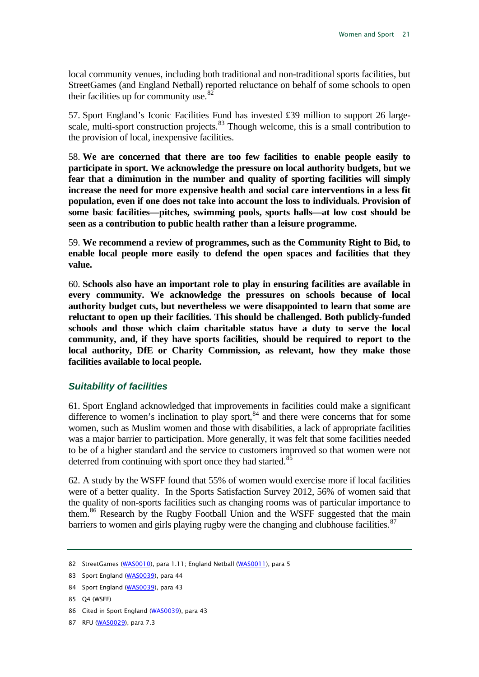local community venues, including both traditional and non-traditional sports facilities, but StreetGames (and England Netball) reported reluctance on behalf of some schools to open their facilities up for community use. $82$ 

57. Sport England's Iconic Facilities Fund has invested £39 million to support 26 large-scale, multi-sport construction projects.<sup>[83](#page-21-2)</sup> Though welcome, this is a small contribution to the provision of local, inexpensive facilities.

<span id="page-21-7"></span>58. **We are concerned that there are too few facilities to enable people easily to participate in sport. We acknowledge the pressure on local authority budgets, but we fear that a diminution in the number and quality of sporting facilities will simply increase the need for more expensive health and social care interventions in a less fit population, even if one does not take into account the loss to individuals. Provision of some basic facilities—pitches, swimming pools, sports halls—at low cost should be seen as a contribution to public health rather than a leisure programme.**

<span id="page-21-8"></span>59. **We recommend a review of programmes, such as the Community Right to Bid, to enable local people more easily to defend the open spaces and facilities that they value.**

<span id="page-21-9"></span>60. **Schools also have an important role to play in ensuring facilities are available in every community. We acknowledge the pressures on schools because of local authority budget cuts, but nevertheless we were disappointed to learn that some are reluctant to open up their facilities. This should be challenged. Both publicly-funded schools and those which claim charitable status have a duty to serve the local community, and, if they have sports facilities, should be required to report to the local authority, DfE or Charity Commission, as relevant, how they make those facilities available to local people.**

#### <span id="page-21-0"></span>*Suitability of facilities*

61. Sport England acknowledged that improvements in facilities could make a significant difference to women's inclination to play sport,  $84$  and there were concerns that for some women, such as Muslim women and those with disabilities, a lack of appropriate facilities was a major barrier to participation. More generally, it was felt that some facilities needed to be of a higher standard and the service to customers improved so that women were not deterred from continuing with sport once they had started.<sup>[85](#page-21-4)</sup>

62. A study by the WSFF found that 55% of women would exercise more if local facilities were of a better quality. In the Sports Satisfaction Survey 2012, 56% of women said that the quality of non-sports facilities such as changing rooms was of particular importance to them.<sup>[86](#page-21-5)</sup> Research by the Rugby Football Union and the WSFF suggested that the main barriers to women and girls playing rugby were the changing and clubhouse facilities. $87$ 

<span id="page-21-1"></span><sup>82</sup> StreetGames [\(WAS0010\)](http://data.parliament.uk/WrittenEvidence/CommitteeEvidence.svc/EvidenceDocument/Culture,%20Media%20and%20Sport/Women%20and%20Sport/written/2197.html), para 1.11; England Netball [\(WAS0011\)](http://data.parliament.uk/WrittenEvidence/CommitteeEvidence.svc/EvidenceDocument/Culture,%20Media%20and%20Sport/Women%20and%20Sport/written/2199.html), para 5

<span id="page-21-2"></span><sup>83</sup> Sport England [\(WAS0039\)](http://data.parliament.uk/WrittenEvidence/CommitteeEvidence.svc/EvidenceDocument/Culture,%20Media%20and%20Sport/Women%20and%20Sport/written/2528.html), para 44

<span id="page-21-3"></span><sup>84</sup> Sport England [\(WAS0039\)](http://data.parliament.uk/WrittenEvidence/CommitteeEvidence.svc/EvidenceDocument/Culture,%20Media%20and%20Sport/Women%20and%20Sport/written/2528.html), para 43

<span id="page-21-4"></span><sup>85</sup> Q4 (WSFF)

<span id="page-21-5"></span><sup>86</sup> Cited in Sport England [\(WAS0039\)](http://data.parliament.uk/WrittenEvidence/CommitteeEvidence.svc/EvidenceDocument/Culture,%20Media%20and%20Sport/Women%20and%20Sport/written/2528.html), para 43

<span id="page-21-6"></span><sup>87</sup> RFU [\(WAS0029\),](http://data.parliament.uk/WrittenEvidence/CommitteeEvidence.svc/EvidenceDocument/Culture,%20Media%20and%20Sport/Women%20and%20Sport/written/2244.html) para 7.3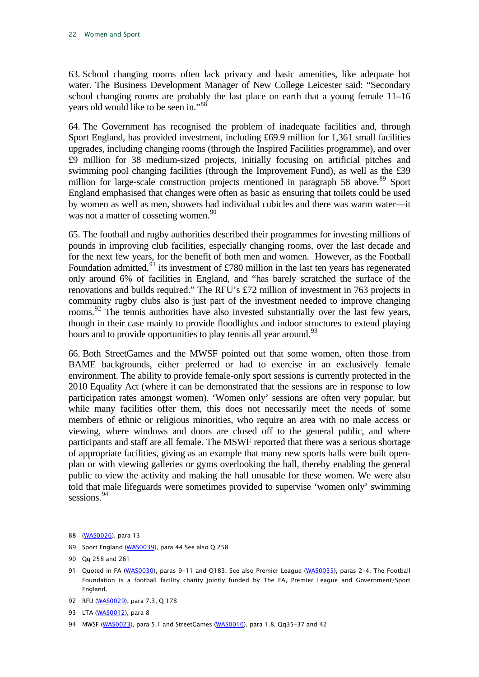63. School changing rooms often lack privacy and basic amenities, like adequate hot water. The Business Development Manager of New College Leicester said: "Secondary school changing rooms are probably the last place on earth that a young female 11–16 years old would like to be seen in."[88](#page-22-0)

64. The Government has recognised the problem of inadequate facilities and, through Sport England, has provided investment, including £69.9 million for 1,361 small facilities upgrades, including changing rooms (through the Inspired Facilities programme), and over £9 million for 38 medium-sized projects, initially focusing on artificial pitches and swimming pool changing facilities (through the Improvement Fund), as well as the £39 million for large-scale construction projects mentioned in paragraph 58 above.<sup>[89](#page-22-1)</sup> Sport England emphasised that changes were often as basic as ensuring that toilets could be used by women as well as men, showers had individual cubicles and there was warm water—it was not a matter of cosseting women.<sup>[90](#page-22-2)</sup>

65. The football and rugby authorities described their programmes for investing millions of pounds in improving club facilities, especially changing rooms, over the last decade and for the next few years, for the benefit of both men and women. However, as the Football Foundation admitted, $91$  its investment of £780 million in the last ten years has regenerated only around 6% of facilities in England, and "has barely scratched the surface of the renovations and builds required." The RFU's £72 million of investment in 763 projects in community rugby clubs also is just part of the investment needed to improve changing rooms.<sup>[92](#page-22-4)</sup> The tennis authorities have also invested substantially over the last few years, though in their case mainly to provide floodlights and indoor structures to extend playing hours and to provide opportunities to play tennis all year around.<sup>[93](#page-22-5)</sup>

66. Both StreetGames and the MWSF pointed out that some women, often those from BAME backgrounds, either preferred or had to exercise in an exclusively female environment. The ability to provide female-only sport sessions is currently protected in the 2010 Equality Act (where it can be demonstrated that the sessions are in response to low participation rates amongst women). 'Women only' sessions are often very popular, but while many facilities offer them, this does not necessarily meet the needs of some members of ethnic or religious minorities, who require an area with no male access or viewing, where windows and doors are closed off to the general public, and where participants and staff are all female. The MSWF reported that there was a serious shortage of appropriate facilities, giving as an example that many new sports halls were built openplan or with viewing galleries or gyms overlooking the hall, thereby enabling the general public to view the activity and making the hall unusable for these women. We were also told that male lifeguards were sometimes provided to supervise 'women only' swimming sessions.<sup>[94](#page-22-6)</sup>

<span id="page-22-0"></span><sup>88</sup> [\(WAS0026\)](http://data.parliament.uk/WrittenEvidence/CommitteeEvidence.svc/EvidenceDocument/Culture,%20Media%20and%20Sport/Women%20and%20Sport/written/2241.html), para 13

<span id="page-22-1"></span><sup>89</sup> Sport England [\(WAS0039\)](http://data.parliament.uk/WrittenEvidence/CommitteeEvidence.svc/EvidenceDocument/Culture,%20Media%20and%20Sport/Women%20and%20Sport/written/2528.html), para 44 See also Q 258

<span id="page-22-2"></span><sup>90</sup> Qq 258 and 261

<span id="page-22-3"></span><sup>91</sup> Quoted in FA [\(WAS0030\)](http://data.parliament.uk/WrittenEvidence/CommitteeEvidence.svc/EvidenceDocument/Culture,%20Media%20and%20Sport/Women%20and%20Sport/written/2245.html), paras 9-11 and Q183. See also Premier League [\(WAS0035\)](http://data.parliament.uk/WrittenEvidence/CommitteeEvidence.svc/EvidenceDocument/Culture,%20Media%20and%20Sport/Women%20and%20Sport/written/2309.html), paras 2-4. The Football Foundation is a football facility charity jointly funded by The FA, Premier League and Government/Sport England.

<span id="page-22-4"></span><sup>92</sup> RFU [\(WAS0029\),](http://data.parliament.uk/WrittenEvidence/CommitteeEvidence.svc/EvidenceDocument/Culture,%20Media%20and%20Sport/Women%20and%20Sport/written/2244.html) para 7.3, Q 178

<span id="page-22-5"></span><sup>93</sup> LTA [\(WAS0012\),](http://data.parliament.uk/WrittenEvidence/CommitteeEvidence.svc/EvidenceDocument/Culture,%20Media%20and%20Sport/Women%20and%20Sport/written/2201.html) para 8

<span id="page-22-6"></span><sup>94</sup> MWSF [\(WAS0023\),](http://data.parliament.uk/WrittenEvidence/CommitteeEvidence.svc/EvidenceDocument/Culture,%20Media%20and%20Sport/Women%20and%20Sport/written/2237.html) para 5.1 and StreetGames [\(WAS0010\)](http://data.parliament.uk/WrittenEvidence/CommitteeEvidence.svc/EvidenceDocument/Culture,%20Media%20and%20Sport/Women%20and%20Sport/written/2197.html), para 1.8, Qq35-37 and 42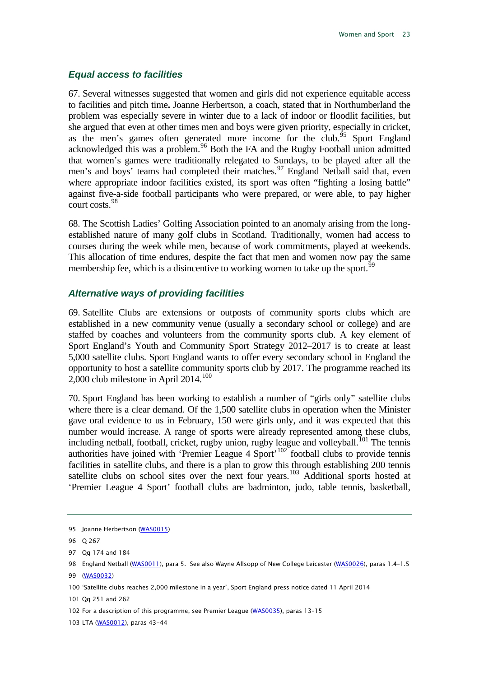#### <span id="page-23-0"></span>*Equal access to facilities*

67. Several witnesses suggested that women and girls did not experience equitable access to facilities and pitch time**.** Joanne Herbertson, a coach, stated that in Northumberland the problem was especially severe in winter due to a lack of indoor or floodlit facilities, but she argued that even at other times men and boys were given priority, especially in cricket, as the men's games often generated more income for the club.<sup>[95](#page-23-2)</sup> Sport England acknowledged this was a problem.<sup>[96](#page-23-3)</sup> Both the FA and the Rugby Football union admitted that women's games were traditionally relegated to Sundays, to be played after all the men's and boys' teams had completed their matches.<sup>[97](#page-23-4)</sup> England Netball said that, even where appropriate indoor facilities existed, its sport was often "fighting a losing battle" against five-a-side football participants who were prepared, or were able, to pay higher court costs.<sup>[98](#page-23-5)</sup>

68. The Scottish Ladies' Golfing Association pointed to an anomaly arising from the longestablished nature of many golf clubs in Scotland. Traditionally, women had access to courses during the week while men, because of work commitments, played at weekends. This allocation of time endures, despite the fact that men and women now pay the same membership fee, which is a disincentive to working women to take up the sport.<sup>[99](#page-23-6)</sup>

#### <span id="page-23-1"></span>*Alternative ways of providing facilities*

69. Satellite Clubs are extensions or outposts of community sports clubs which are established in a new community venue (usually a secondary school or college) and are staffed by coaches and volunteers from the community sports club. A key element of Sport England's Youth and Community Sport Strategy 2012–2017 is to create at least 5,000 satellite clubs. Sport England wants to offer every secondary school in England the opportunity to host a satellite community sports club by 2017. The programme reached its 2,000 club milestone in April 2014.<sup>[100](#page-23-7)</sup>

70. Sport England has been working to establish a number of "girls only" satellite clubs where there is a clear demand. Of the 1,500 satellite clubs in operation when the Minister gave oral evidence to us in February, 150 were girls only, and it was expected that this number would increase. A range of sports were already represented among these clubs, including netball, football, cricket, rugby union, rugby league and volleyball.<sup>[101](#page-23-8)</sup> The tennis authorities have joined with 'Premier League  $4$  Sport'<sup>[102](#page-23-9)</sup> football clubs to provide tennis facilities in satellite clubs, and there is a plan to grow this through establishing 200 tennis satellite clubs on school sites over the next four years.<sup>[103](#page-23-10)</sup> Additional sports hosted at 'Premier League 4 Sport' football clubs are badminton, judo, table tennis, basketball,

<span id="page-23-3"></span><span id="page-23-2"></span><sup>95</sup> Joanne Herbertson [\(WAS0015\)](http://data.parliament.uk/WrittenEvidence/CommitteeEvidence.svc/EvidenceDocument/Culture,%20Media%20and%20Sport/Women%20and%20Sport/written/2206.html)

<sup>96</sup> Q 267

<span id="page-23-4"></span><sup>97</sup> Qq 174 and 184

<span id="page-23-5"></span><sup>98</sup> England Netball [\(WAS0011\)](http://data.parliament.uk/WrittenEvidence/CommitteeEvidence.svc/EvidenceDocument/Culture,%20Media%20and%20Sport/Women%20and%20Sport/written/2199.html), para 5. See also Wayne Allsopp of New College Leicester [\(WAS0026\)](http://data.parliament.uk/WrittenEvidence/CommitteeEvidence.svc/EvidenceDocument/Culture,%20Media%20and%20Sport/Women%20and%20Sport/written/2241.html), paras 1.4-1.5

<span id="page-23-6"></span><sup>99</sup> [\(WAS0032\)](http://data.parliament.uk/WrittenEvidence/CommitteeEvidence.svc/EvidenceDocument/Culture,%20Media%20and%20Sport/Women%20and%20Sport/written/2247.html)

<span id="page-23-7"></span><sup>100</sup> 'Satellite clubs reaches 2,000 milestone in a year', Sport England press notice dated 11 April 2014

<span id="page-23-8"></span><sup>101</sup> Qq 251 and 262

<span id="page-23-9"></span><sup>102</sup> For a description of this programme, see Premier League [\(WAS0035\),](http://data.parliament.uk/WrittenEvidence/CommitteeEvidence.svc/EvidenceDocument/Culture,%20Media%20and%20Sport/Women%20and%20Sport/written/2309.html) paras 13–15

<span id="page-23-10"></span><sup>103</sup> LTA [\(WAS0012\),](http://data.parliament.uk/WrittenEvidence/CommitteeEvidence.svc/EvidenceDocument/Culture,%20Media%20and%20Sport/Women%20and%20Sport/written/2201.html) paras 43-44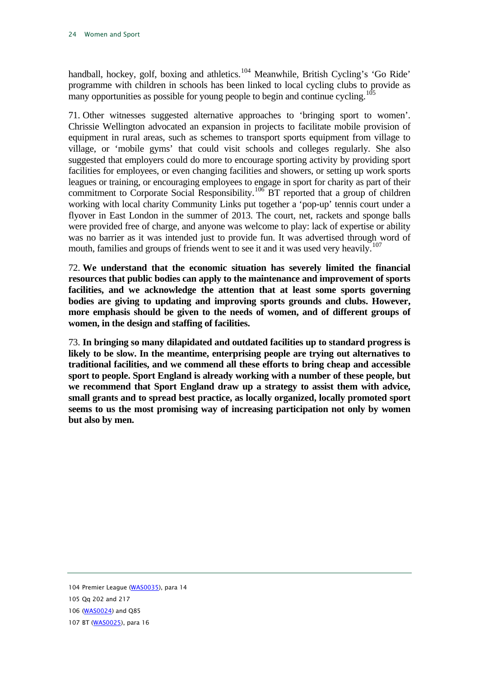handball, hockey, golf, boxing and athletics.<sup>[104](#page-24-0)</sup> Meanwhile, British Cycling's 'Go Ride' programme with children in schools has been linked to local cycling clubs to provide as many opportunities as possible for young people to begin and continue cycling.<sup>[105](#page-24-1)</sup>

71. Other witnesses suggested alternative approaches to 'bringing sport to women'. Chrissie Wellington advocated an expansion in projects to facilitate mobile provision of equipment in rural areas, such as schemes to transport sports equipment from village to village, or 'mobile gyms' that could visit schools and colleges regularly. She also suggested that employers could do more to encourage sporting activity by providing sport facilities for employees, or even changing facilities and showers, or setting up work sports leagues or training, or encouraging employees to engage in sport for charity as part of their commitment to Corporate Social Responsibility.<sup>[106](#page-24-2)</sup> BT reported that a group of children working with local charity Community Links put together a 'pop-up' tennis court under a flyover in East London in the summer of 2013. The court, net, rackets and sponge balls were provided free of charge, and anyone was welcome to play: lack of expertise or ability was no barrier as it was intended just to provide fun. It was advertised through word of mouth, families and groups of friends went to see it and it was used very heavily.<sup>[107](#page-24-3)</sup>

<span id="page-24-4"></span>72. **We understand that the economic situation has severely limited the financial resources that public bodies can apply to the maintenance and improvement of sports facilities, and we acknowledge the attention that at least some sports governing bodies are giving to updating and improving sports grounds and clubs. However, more emphasis should be given to the needs of women, and of different groups of women, in the design and staffing of facilities.**

<span id="page-24-5"></span>73. **In bringing so many dilapidated and outdated facilities up to standard progress is likely to be slow. In the meantime, enterprising people are trying out alternatives to traditional facilities, and we commend all these efforts to bring cheap and accessible sport to people. Sport England is already working with a number of these people, but we recommend that Sport England draw up a strategy to assist them with advice, small grants and to spread best practice, as locally organized, locally promoted sport seems to us the most promising way of increasing participation not only by women but also by men.**

<span id="page-24-0"></span><sup>104</sup> Premier League [\(WAS0035\),](http://data.parliament.uk/WrittenEvidence/CommitteeEvidence.svc/EvidenceDocument/Culture,%20Media%20and%20Sport/Women%20and%20Sport/written/2309.html) para 14

<span id="page-24-1"></span><sup>105</sup> Qq 202 and 217

<span id="page-24-2"></span><sup>106</sup> [\(WAS0024\)](http://data.parliament.uk/WrittenEvidence/CommitteeEvidence.svc/EvidenceDocument/Culture,%20Media%20and%20Sport/Women%20and%20Sport/written/2239.html) and Q85

<span id="page-24-3"></span><sup>107</sup> BT [\(WAS0025\)](http://data.parliament.uk/WrittenEvidence/CommitteeEvidence.svc/EvidenceDocument/Culture,%20Media%20and%20Sport/Women%20and%20Sport/written/2240.html), para 16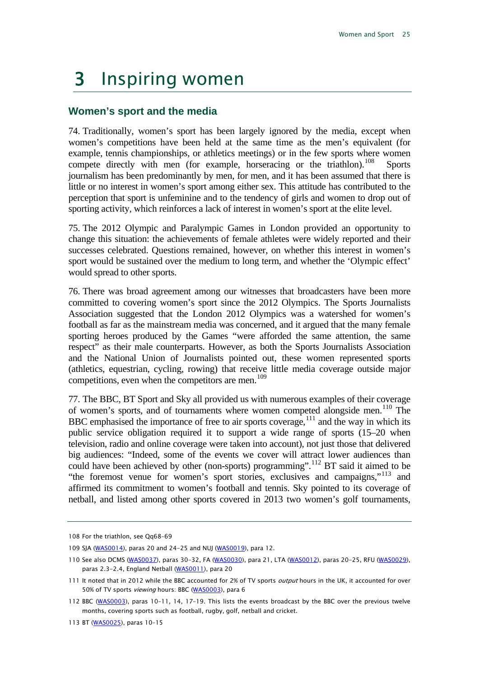## <span id="page-25-0"></span>3 Inspiring women

#### <span id="page-25-1"></span>**Women's sport and the media**

74. Traditionally, women's sport has been largely ignored by the media, except when women's competitions have been held at the same time as the men's equivalent (for example, tennis championships, or athletics meetings) or in the few sports where women compete directly with men (for example, horseracing or the triathlon).<sup>[108](#page-25-2)</sup> Sports journalism has been predominantly by men, for men, and it has been assumed that there is little or no interest in women's sport among either sex. This attitude has contributed to the perception that sport is unfeminine and to the tendency of girls and women to drop out of sporting activity, which reinforces a lack of interest in women's sport at the elite level.

75. The 2012 Olympic and Paralympic Games in London provided an opportunity to change this situation: the achievements of female athletes were widely reported and their successes celebrated. Questions remained, however, on whether this interest in women's sport would be sustained over the medium to long term, and whether the 'Olympic effect' would spread to other sports.

76. There was broad agreement among our witnesses that broadcasters have been more committed to covering women's sport since the 2012 Olympics. The Sports Journalists Association suggested that the London 2012 Olympics was a watershed for women's football as far as the mainstream media was concerned, and it argued that the many female sporting heroes produced by the Games "were afforded the same attention, the same respect" as their male counterparts. However, as both the Sports Journalists Association and the National Union of Journalists pointed out, these women represented sports (athletics, equestrian, cycling, rowing) that receive little media coverage outside major competitions, even when the competitors are men. $109$ 

77. The BBC, BT Sport and Sky all provided us with numerous examples of their coverage of women's sports, and of tournaments where women competed alongside men.<sup>[110](#page-25-4)</sup> The BBC emphasised the importance of free to air sports coverage,<sup>[111](#page-25-5)</sup> and the way in which its public service obligation required it to support a wide range of sports (15–20 when television, radio and online coverage were taken into account), not just those that delivered big audiences: "Indeed, some of the events we cover will attract lower audiences than could have been achieved by other (non-sports) programming".<sup>[112](#page-25-6)</sup> BT said it aimed to be "the foremost venue for women's sport stories, exclusives and campaigns,"<sup>[113](#page-25-7)</sup> and affirmed its commitment to women's football and tennis. Sky pointed to its coverage of netball, and listed among other sports covered in 2013 two women's golf tournaments,

<span id="page-25-2"></span><sup>108</sup> For the triathlon, see Qq68–69

<span id="page-25-3"></span><sup>109</sup> SJA [\(WAS0014\)](http://data.parliament.uk/WrittenEvidence/CommitteeEvidence.svc/EvidenceDocument/Culture,%20Media%20and%20Sport/Women%20and%20Sport/written/2205.html), paras 20 and 24-25 and NUJ [\(WAS0019\),](http://data.parliament.uk/WrittenEvidence/CommitteeEvidence.svc/EvidenceDocument/Culture,%20Media%20and%20Sport/Women%20and%20Sport/written/2228.html) para 12.

<span id="page-25-4"></span><sup>110</sup> See also DCMS [\(WAS0037\)](http://data.parliament.uk/WrittenEvidence/CommitteeEvidence.svc/EvidenceDocument/Culture,%20Media%20and%20Sport/Women%20and%20Sport/written/2328.html), paras 30-32, FA [\(WAS0030\)](http://data.parliament.uk/WrittenEvidence/CommitteeEvidence.svc/EvidenceDocument/Culture,%20Media%20and%20Sport/Women%20and%20Sport/written/2245.html), para 21, LTA [\(WAS0012\),](http://data.parliament.uk/WrittenEvidence/CommitteeEvidence.svc/EvidenceDocument/Culture,%20Media%20and%20Sport/Women%20and%20Sport/written/2201.html) paras 20-25, RFU [\(WAS0029\),](http://data.parliament.uk/WrittenEvidence/CommitteeEvidence.svc/EvidenceDocument/Culture,%20Media%20and%20Sport/Women%20and%20Sport/written/2244.html) paras 2.3-2.4, England Netball [\(WAS0011\)](http://data.parliament.uk/WrittenEvidence/CommitteeEvidence.svc/EvidenceDocument/Culture,%20Media%20and%20Sport/Women%20and%20Sport/written/2199.html), para 20

<span id="page-25-5"></span><sup>111</sup> It noted that in 2012 while the BBC accounted for 2% of TV sports output hours in the UK, it accounted for over 50% of TV sports viewing hours: BBC [\(WAS0003\)](http://data.parliament.uk/WrittenEvidence/CommitteeEvidence.svc/EvidenceDocument/Culture,%20Media%20and%20Sport/Women%20and%20Sport/written/1336.html), para 6

<span id="page-25-6"></span><sup>112</sup> BBC [\(WAS0003\)](http://data.parliament.uk/WrittenEvidence/CommitteeEvidence.svc/EvidenceDocument/Culture,%20Media%20and%20Sport/Women%20and%20Sport/written/1336.html), paras 10-11, 14, 17-19. This lists the events broadcast by the BBC over the previous twelve months, covering sports such as football, rugby, golf, netball and cricket.

<span id="page-25-7"></span><sup>113</sup> BT [\(WAS0025\)](http://data.parliament.uk/WrittenEvidence/CommitteeEvidence.svc/EvidenceDocument/Culture,%20Media%20and%20Sport/Women%20and%20Sport/written/2240.html), paras 10–15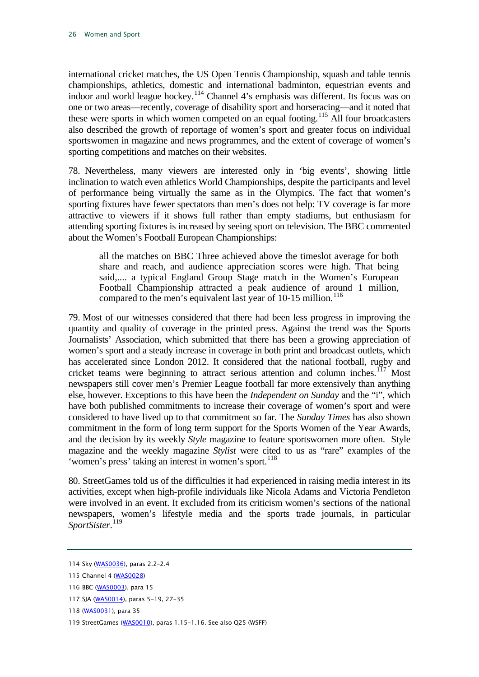international cricket matches, the US Open Tennis Championship, squash and table tennis championships, athletics, domestic and international badminton, equestrian events and indoor and world league hockey.<sup>[114](#page-26-0)</sup> Channel 4's emphasis was different. Its focus was on one or two areas—recently, coverage of disability sport and horseracing—and it noted that these were sports in which women competed on an equal footing.<sup>[115](#page-26-1)</sup> All four broadcasters also described the growth of reportage of women's sport and greater focus on individual sportswomen in magazine and news programmes, and the extent of coverage of women's sporting competitions and matches on their websites.

78. Nevertheless, many viewers are interested only in 'big events', showing little inclination to watch even athletics World Championships, despite the participants and level of performance being virtually the same as in the Olympics. The fact that women's sporting fixtures have fewer spectators than men's does not help: TV coverage is far more attractive to viewers if it shows full rather than empty stadiums, but enthusiasm for attending sporting fixtures is increased by seeing sport on television. The BBC commented about the Women's Football European Championships:

all the matches on BBC Three achieved above the timeslot average for both share and reach, and audience appreciation scores were high. That being said,.... a typical England Group Stage match in the Women's European Football Championship attracted a peak audience of around 1 million, compared to the men's equivalent last year of 10-15 million.<sup>[116](#page-26-2)</sup>

79. Most of our witnesses considered that there had been less progress in improving the quantity and quality of coverage in the printed press. Against the trend was the Sports Journalists' Association, which submitted that there has been a growing appreciation of women's sport and a steady increase in coverage in both print and broadcast outlets, which has accelerated since London 2012. It considered that the national football, rugby and cricket teams were beginning to attract serious attention and column inches.<sup>[117](#page-26-3)</sup> Most newspapers still cover men's Premier League football far more extensively than anything else, however. Exceptions to this have been the *Independent on Sunday* and the "i", which have both published commitments to increase their coverage of women's sport and were considered to have lived up to that commitment so far. The *Sunday Times* has also shown commitment in the form of long term support for the Sports Women of the Year Awards, and the decision by its weekly *Style* magazine to feature sportswomen more often. Style magazine and the weekly magazine *Stylist* were cited to us as "rare" examples of the 'women's press' taking an interest in women's sport.<sup>[118](#page-26-4)</sup>

80. StreetGames told us of the difficulties it had experienced in raising media interest in its activities, except when high-profile individuals like Nicola Adams and Victoria Pendleton were involved in an event. It excluded from its criticism women's sections of the national newspapers, women's lifestyle media and the sports trade journals, in particular *SportSister*. [119](#page-26-5)

<span id="page-26-0"></span><sup>114</sup> Sky [\(WAS0036\)](http://data.parliament.uk/WrittenEvidence/CommitteeEvidence.svc/EvidenceDocument/Culture,%20Media%20and%20Sport/Women%20and%20Sport/written/2327.html), paras 2.2–2.4

<span id="page-26-1"></span><sup>115</sup> Channel 4 [\(WAS0028\)](http://data.parliament.uk/WrittenEvidence/CommitteeEvidence.svc/EvidenceDocument/Culture,%20Media%20and%20Sport/Women%20and%20Sport/written/2243.html)

<span id="page-26-2"></span><sup>116</sup> BBC [\(WAS0003\),](http://data.parliament.uk/WrittenEvidence/CommitteeEvidence.svc/EvidenceDocument/Culture,%20Media%20and%20Sport/Women%20and%20Sport/written/1336.html) para 15

<span id="page-26-3"></span><sup>117</sup> SJA [\(WAS0014\)](http://data.parliament.uk/WrittenEvidence/CommitteeEvidence.svc/EvidenceDocument/Culture,%20Media%20and%20Sport/Women%20and%20Sport/written/2205.html), paras 5-19, 27-35

<span id="page-26-4"></span><sup>118</sup> [\(WAS0031\)](http://data.parliament.uk/WrittenEvidence/CommitteeEvidence.svc/EvidenceDocument/Culture,%20Media%20and%20Sport/Women%20and%20Sport/written/2246.html), para 35

<span id="page-26-5"></span><sup>119</sup> StreetGames [\(WAS0010\)](http://data.parliament.uk/WrittenEvidence/CommitteeEvidence.svc/EvidenceDocument/Culture,%20Media%20and%20Sport/Women%20and%20Sport/written/2197.html), paras 1.15-1.16. See also Q25 (WSFF)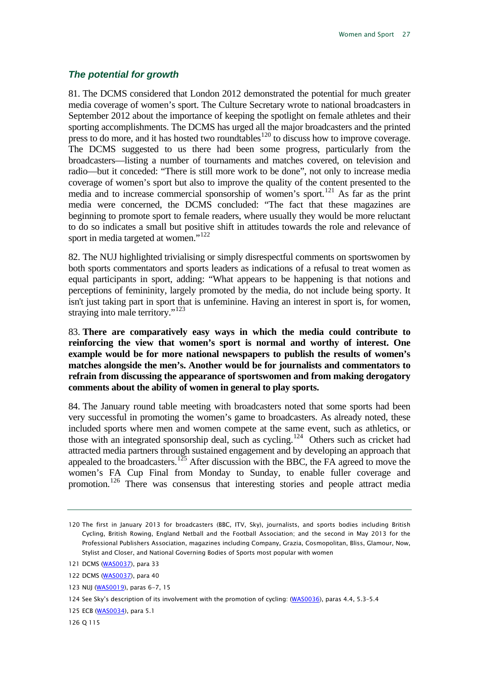#### <span id="page-27-0"></span>*The potential for growth*

81. The DCMS considered that London 2012 demonstrated the potential for much greater media coverage of women's sport. The Culture Secretary wrote to national broadcasters in September 2012 about the importance of keeping the spotlight on female athletes and their sporting accomplishments. The DCMS has urged all the major broadcasters and the printed press to do more, and it has hosted two roundtables<sup>[120](#page-27-1)</sup> to discuss how to improve coverage. The DCMS suggested to us there had been some progress, particularly from the broadcasters—listing a number of tournaments and matches covered, on television and radio—but it conceded: "There is still more work to be done", not only to increase media coverage of women's sport but also to improve the quality of the content presented to the media and to increase commercial sponsorship of women's sport.<sup>[121](#page-27-2)</sup> As far as the print media were concerned, the DCMS concluded: "The fact that these magazines are beginning to promote sport to female readers, where usually they would be more reluctant to do so indicates a small but positive shift in attitudes towards the role and relevance of sport in media targeted at women."<sup>[122](#page-27-3)</sup>

82. The NUJ highlighted trivialising or simply disrespectful comments on sportswomen by both sports commentators and sports leaders as indications of a refusal to treat women as equal participants in sport, adding: "What appears to be happening is that notions and perceptions of femininity, largely promoted by the media, do not include being sporty. It isn't just taking part in sport that is unfeminine. Having an interest in sport is, for women, straying into male territory."<sup>[123](#page-27-4)</sup>

<span id="page-27-8"></span>83. **There are comparatively easy ways in which the media could contribute to reinforcing the view that women's sport is normal and worthy of interest. One example would be for more national newspapers to publish the results of women's matches alongside the men's. Another would be for journalists and commentators to refrain from discussing the appearance of sportswomen and from making derogatory comments about the ability of women in general to play sports.** 

84. The January round table meeting with broadcasters noted that some sports had been very successful in promoting the women's game to broadcasters. As already noted, these included sports where men and women compete at the same event, such as athletics, or those with an integrated sponsorship deal, such as cycling.<sup>124</sup> Others such as cricket had attracted media partners through sustained engagement and by developing an approach that appealed to the broadcasters.<sup>[125](#page-27-6)</sup> After discussion with the BBC, the FA agreed to move the women's FA Cup Final from Monday to Sunday, to enable fuller coverage and promotion.<sup>[126](#page-27-7)</sup> There was consensus that interesting stories and people attract media

<span id="page-27-1"></span><sup>120</sup> The first in January 2013 for broadcasters (BBC, ITV, Sky), journalists, and sports bodies including British Cycling, British Rowing, England Netball and the Football Association; and the second in May 2013 for the Professional Publishers Association, magazines including Company, Grazia, Cosmopolitan, Bliss, Glamour, Now, Stylist and Closer, and National Governing Bodies of Sports most popular with women

<span id="page-27-2"></span><sup>121</sup> DCMS [\(WAS0037\)](http://data.parliament.uk/WrittenEvidence/CommitteeEvidence.svc/EvidenceDocument/Culture,%20Media%20and%20Sport/Women%20and%20Sport/written/2328.html), para 33

<span id="page-27-3"></span><sup>122</sup> DCMS [\(WAS0037\)](http://data.parliament.uk/WrittenEvidence/CommitteeEvidence.svc/EvidenceDocument/Culture,%20Media%20and%20Sport/Women%20and%20Sport/written/2328.html), para 40

<span id="page-27-4"></span><sup>123</sup> NUJ [\(WAS0019\)](http://data.parliament.uk/WrittenEvidence/CommitteeEvidence.svc/EvidenceDocument/Culture,%20Media%20and%20Sport/Women%20and%20Sport/written/2228.html), paras 6-7, 15

<span id="page-27-5"></span><sup>124</sup> See Sky's description of its involvement with the promotion of cycling: [\(WAS0036\),](http://data.parliament.uk/WrittenEvidence/CommitteeEvidence.svc/EvidenceDocument/Culture,%20Media%20and%20Sport/Women%20and%20Sport/written/2327.html) paras 4.4, 5.3-5.4

<span id="page-27-6"></span><sup>125</sup> ECB [\(WAS0034\)](http://data.parliament.uk/WrittenEvidence/CommitteeEvidence.svc/EvidenceDocument/Culture,%20Media%20and%20Sport/Women%20and%20Sport/written/2254.html), para 5.1

<span id="page-27-7"></span><sup>126</sup> Q 115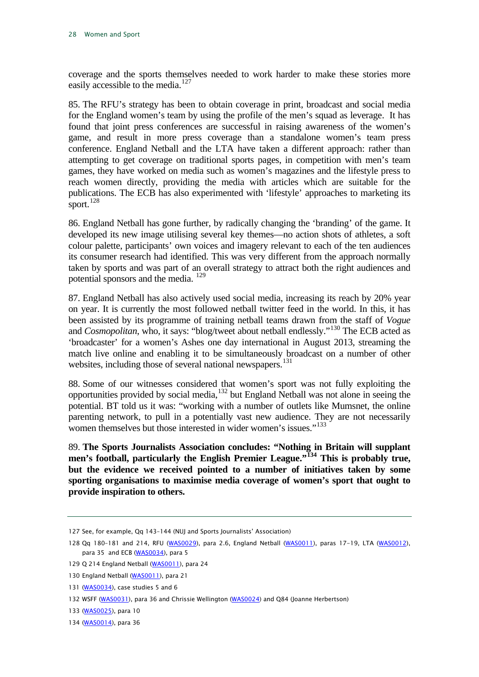coverage and the sports themselves needed to work harder to make these stories more easily accessible to the media.<sup>[127](#page-28-0)</sup>

85. The RFU's strategy has been to obtain coverage in print, broadcast and social media for the England women's team by using the profile of the men's squad as leverage. It has found that joint press conferences are successful in raising awareness of the women's game, and result in more press coverage than a standalone women's team press conference. England Netball and the LTA have taken a different approach: rather than attempting to get coverage on traditional sports pages, in competition with men's team games, they have worked on media such as women's magazines and the lifestyle press to reach women directly, providing the media with articles which are suitable for the publications. The ECB has also experimented with 'lifestyle' approaches to marketing its sport. $^{128}$  $^{128}$  $^{128}$ 

86. England Netball has gone further, by radically changing the 'branding' of the game. It developed its new image utilising several key themes—no action shots of athletes, a soft colour palette, participants' own voices and imagery relevant to each of the ten audiences its consumer research had identified. This was very different from the approach normally taken by sports and was part of an overall strategy to attract both the right audiences and potential sponsors and the media.<sup>[129](#page-28-2)</sup>

87. England Netball has also actively used social media, increasing its reach by 20% year on year. It is currently the most followed netball twitter feed in the world. In this, it has been assisted by its programme of training netball teams drawn from the staff of *Vogue* and *Cosmopolitan*, who, it says: "blog/tweet about netball endlessly."[130](#page-28-3) The ECB acted as 'broadcaster' for a women's Ashes one day international in August 2013, streaming the match live online and enabling it to be simultaneously broadcast on a number of other websites, including those of several national newspapers.<sup>[131](#page-28-4)</sup>

88. Some of our witnesses considered that women's sport was not fully exploiting the opportunities provided by social media,  $132$  but England Netball was not alone in seeing the potential. BT told us it was: "working with a number of outlets like Mumsnet, the online parenting network, to pull in a potentially vast new audience. They are not necessarily women themselves but those interested in wider women's issues."<sup>[133](#page-28-6)</sup>

<span id="page-28-8"></span>89. **The Sports Journalists Association concludes: "Nothing in Britain will supplant men's football, particularly the English Premier League."[134](#page-28-7) This is probably true, but the evidence we received pointed to a number of initiatives taken by some sporting organisations to maximise media coverage of women's sport that ought to provide inspiration to others.** 

<span id="page-28-0"></span><sup>127</sup> See, for example, Qq 143–144 (NUJ and Sports Journalists' Association)

<span id="page-28-1"></span><sup>128</sup> Qq 180–181 and 214, RFU [\(WAS0029\)](http://data.parliament.uk/WrittenEvidence/CommitteeEvidence.svc/EvidenceDocument/Culture,%20Media%20and%20Sport/Women%20and%20Sport/written/2244.html), para 2.6, England Netball [\(WAS0011\),](http://data.parliament.uk/WrittenEvidence/CommitteeEvidence.svc/EvidenceDocument/Culture,%20Media%20and%20Sport/Women%20and%20Sport/written/2199.html) paras 17-19, LTA [\(WAS0012\),](http://data.parliament.uk/WrittenEvidence/CommitteeEvidence.svc/EvidenceDocument/Culture,%20Media%20and%20Sport/Women%20and%20Sport/written/2201.html) para 35 and ECB [\(WAS0034\)](http://data.parliament.uk/WrittenEvidence/CommitteeEvidence.svc/EvidenceDocument/Culture,%20Media%20and%20Sport/Women%20and%20Sport/written/2254.html), para 5

<span id="page-28-2"></span><sup>129</sup> Q 214 England Netball [\(WAS0011\),](http://data.parliament.uk/WrittenEvidence/CommitteeEvidence.svc/EvidenceDocument/Culture,%20Media%20and%20Sport/Women%20and%20Sport/written/2199.html) para 24

<span id="page-28-3"></span><sup>130</sup> England Netball [\(WAS0011\)](http://data.parliament.uk/WrittenEvidence/CommitteeEvidence.svc/EvidenceDocument/Culture,%20Media%20and%20Sport/Women%20and%20Sport/written/2199.html), para 21

<span id="page-28-4"></span><sup>131</sup> [\(WAS0034\)](http://data.parliament.uk/WrittenEvidence/CommitteeEvidence.svc/EvidenceDocument/Culture,%20Media%20and%20Sport/Women%20and%20Sport/written/2254.html), case studies 5 and 6

<span id="page-28-5"></span><sup>132</sup> WSFF [\(WAS0031\)](http://data.parliament.uk/WrittenEvidence/CommitteeEvidence.svc/EvidenceDocument/Culture,%20Media%20and%20Sport/Women%20and%20Sport/written/2246.html), para 36 and Chrissie Wellington [\(WAS0024\)](http://data.parliament.uk/WrittenEvidence/CommitteeEvidence.svc/EvidenceDocument/Culture,%20Media%20and%20Sport/Women%20and%20Sport/written/2239.html) and Q84 (Joanne Herbertson)

<span id="page-28-6"></span><sup>133</sup> [\(WAS0025\)](http://data.parliament.uk/WrittenEvidence/CommitteeEvidence.svc/EvidenceDocument/Culture,%20Media%20and%20Sport/Women%20and%20Sport/written/2240.html), para 10

<span id="page-28-7"></span><sup>134</sup> [\(WAS0014\)](http://data.parliament.uk/WrittenEvidence/CommitteeEvidence.svc/EvidenceDocument/Culture,%20Media%20and%20Sport/Women%20and%20Sport/written/2205.html), para 36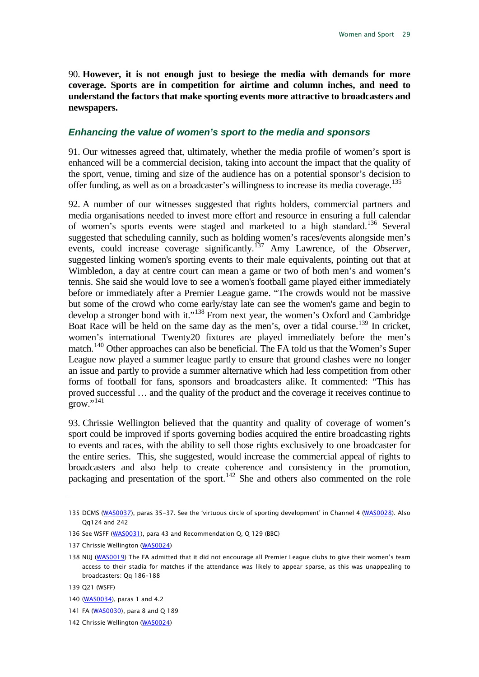<span id="page-29-9"></span>90. **However, it is not enough just to besiege the media with demands for more coverage. Sports are in competition for airtime and column inches, and need to understand the factors that make sporting events more attractive to broadcasters and newspapers.**

#### <span id="page-29-0"></span>*Enhancing the value of women's sport to the media and sponsors*

91. Our witnesses agreed that, ultimately, whether the media profile of women's sport is enhanced will be a commercial decision, taking into account the impact that the quality of the sport, venue, timing and size of the audience has on a potential sponsor's decision to offer funding, as well as on a broadcaster's willingness to increase its media coverage.<sup>[135](#page-29-1)</sup>

92. A number of our witnesses suggested that rights holders, commercial partners and media organisations needed to invest more effort and resource in ensuring a full calendar of women's sports events were staged and marketed to a high standard.<sup>[136](#page-29-2)</sup> Several suggested that scheduling cannily, such as holding women's races/events alongside men's events, could increase coverage significantly. [137](#page-29-3) Amy Lawrence, of the *Observer*, suggested linking women's sporting events to their male equivalents, pointing out that at Wimbledon, a day at centre court can mean a game or two of both men's and women's tennis. She said she would love to see a women's football game played either immediately before or immediately after a Premier League game. "The crowds would not be massive but some of the crowd who come early/stay late can see the women's game and begin to develop a stronger bond with it."<sup>[138](#page-29-4)</sup> From next year, the women's Oxford and Cambridge Boat Race will be held on the same day as the men's, over a tidal course.<sup>[139](#page-29-5)</sup> In cricket, women's international Twenty20 fixtures are played immediately before the men's match.<sup>[140](#page-29-6)</sup> Other approaches can also be beneficial. The FA told us that the Women's Super League now played a summer league partly to ensure that ground clashes were no longer an issue and partly to provide a summer alternative which had less competition from other forms of football for fans, sponsors and broadcasters alike. It commented: "This has proved successful … and the quality of the product and the coverage it receives continue to  $g_{\text{row}}$ .  $^{141}$  $^{141}$  $^{141}$ 

93. Chrissie Wellington believed that the quantity and quality of coverage of women's sport could be improved if sports governing bodies acquired the entire broadcasting rights to events and races, with the ability to sell those rights exclusively to one broadcaster for the entire series. This, she suggested, would increase the commercial appeal of rights to broadcasters and also help to create coherence and consistency in the promotion, packaging and presentation of the sport.<sup>[142](#page-29-8)</sup> She and others also commented on the role

<span id="page-29-1"></span><sup>135</sup> DCMS [\(WAS0037\)](http://data.parliament.uk/WrittenEvidence/CommitteeEvidence.svc/EvidenceDocument/Culture,%20Media%20and%20Sport/Women%20and%20Sport/written/2328.html), paras 35-37. See the 'virtuous circle of sporting development' in Channel 4 [\(WAS0028\)](http://data.parliament.uk/WrittenEvidence/CommitteeEvidence.svc/EvidenceDocument/Culture,%20Media%20and%20Sport/Women%20and%20Sport/written/2243.html). Also Qq124 and 242

<span id="page-29-2"></span><sup>136</sup> See WSFF [\(WAS0031\)](http://data.parliament.uk/WrittenEvidence/CommitteeEvidence.svc/EvidenceDocument/Culture,%20Media%20and%20Sport/Women%20and%20Sport/written/2246.html), para 43 and Recommendation Q, Q 129 (BBC)

<span id="page-29-3"></span><sup>137</sup> Chrissie Wellington [\(WAS0024\)](http://data.parliament.uk/WrittenEvidence/CommitteeEvidence.svc/EvidenceDocument/Culture,%20Media%20and%20Sport/Women%20and%20Sport/written/2239.html)

<span id="page-29-4"></span><sup>138</sup> NUJ [\(WAS0019\)](http://data.parliament.uk/WrittenEvidence/CommitteeEvidence.svc/EvidenceDocument/Culture,%20Media%20and%20Sport/Women%20and%20Sport/written/2228.html) The FA admitted that it did not encourage all Premier League clubs to give their women's team access to their stadia for matches if the attendance was likely to appear sparse, as this was unappealing to broadcasters: Qq 186–188

<span id="page-29-5"></span><sup>139</sup> Q21 (WSFF)

<span id="page-29-6"></span><sup>140</sup> [\(WAS0034\)](http://data.parliament.uk/WrittenEvidence/CommitteeEvidence.svc/EvidenceDocument/Culture,%20Media%20and%20Sport/Women%20and%20Sport/written/2254.html), paras 1 and 4.2

<span id="page-29-7"></span><sup>141</sup> FA [\(WAS0030\)](http://data.parliament.uk/WrittenEvidence/CommitteeEvidence.svc/EvidenceDocument/Culture,%20Media%20and%20Sport/Women%20and%20Sport/written/2245.html), para 8 and Q 189

<span id="page-29-8"></span><sup>142</sup> Chrissie Wellington [\(WAS0024\)](http://data.parliament.uk/WrittenEvidence/CommitteeEvidence.svc/EvidenceDocument/Culture,%20Media%20and%20Sport/Women%20and%20Sport/written/2239.html)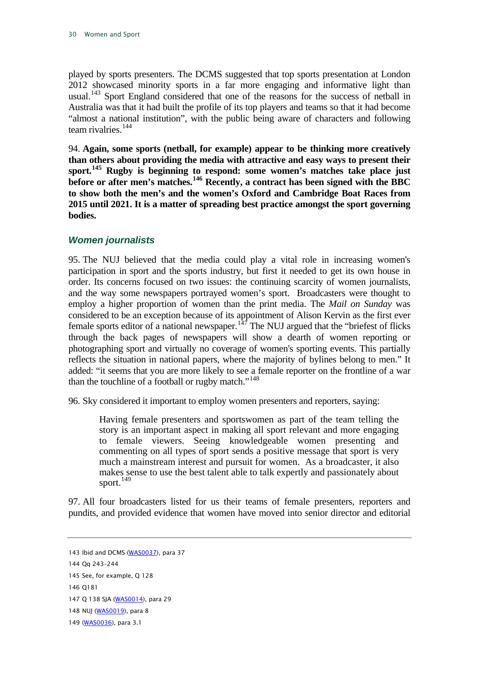played by sports presenters. The DCMS suggested that top sports presentation at London 2012 showcased minority sports in a far more engaging and informative light than usual.<sup>[143](#page-30-1)</sup> Sport England considered that one of the reasons for the success of netball in Australia was that it had built the profile of its top players and teams so that it had become "almost a national institution", with the public being aware of characters and following team rivalries.<sup>[144](#page-30-2)</sup>

94. **Again, some sports (netball, for example) appear to be thinking more creatively than others about providing the media with attractive and easy ways to present their sport.[145](#page-30-3) Rugby is beginning to respond: some women's matches take place just before or after men's matches.[146](#page-30-4) Recently, a contract has been signed with the BBC to show both the men's and the women's Oxford and Cambridge Boat Races from 2015 until 2021. It is a matter of spreading best practice amongst the sport governing bodies.**

#### <span id="page-30-0"></span>*Women journalists*

95. The NUJ believed that the media could play a vital role in increasing women's participation in sport and the sports industry, but first it needed to get its own house in order. Its concerns focused on two issues: the continuing scarcity of women journalists, and the way some newspapers portrayed women's sport. Broadcasters were thought to employ a higher proportion of women than the print media. The *Mail on Sunday* was considered to be an exception because of its appointment of Alison Kervin as the first ever female sports editor of a national newspaper.<sup>[147](#page-30-5)</sup> The NUJ argued that the "briefest of flicks" through the back pages of newspapers will show a dearth of women reporting or photographing sport and virtually no coverage of women's sporting events. This partially reflects the situation in national papers, where the majority of bylines belong to men." It added: "it seems that you are more likely to see a female reporter on the frontline of a war than the touchline of a football or rugby match."<sup>[148](#page-30-6)</sup>

96. Sky considered it important to employ women presenters and reporters, saying:

Having female presenters and sportswomen as part of the team telling the story is an important aspect in making all sport relevant and more engaging to female viewers. Seeing knowledgeable women presenting and commenting on all types of sport sends a positive message that sport is very much a mainstream interest and pursuit for women. As a broadcaster, it also makes sense to use the best talent able to talk expertly and passionately about sport. $149$ 

97. All four broadcasters listed for us their teams of female presenters, reporters and pundits, and provided evidence that women have moved into senior director and editorial

<span id="page-30-1"></span><sup>143</sup> Ibid and DCMS [\(WAS0037\)](http://data.parliament.uk/WrittenEvidence/CommitteeEvidence.svc/EvidenceDocument/Culture,%20Media%20and%20Sport/Women%20and%20Sport/written/2328.html), para 37

<span id="page-30-2"></span><sup>144</sup> Qq 243–244

<span id="page-30-3"></span><sup>145</sup> See, for example, Q 128

<span id="page-30-4"></span><sup>146</sup> Q181

<span id="page-30-5"></span><sup>147</sup> Q 138 SJA [\(WAS0014\)](http://data.parliament.uk/WrittenEvidence/CommitteeEvidence.svc/EvidenceDocument/Culture,%20Media%20and%20Sport/Women%20and%20Sport/written/2205.html), para 29

<span id="page-30-6"></span><sup>148</sup> NUJ [\(WAS0019\)](http://data.parliament.uk/WrittenEvidence/CommitteeEvidence.svc/EvidenceDocument/Culture,%20Media%20and%20Sport/Women%20and%20Sport/written/2228.html), para 8

<span id="page-30-7"></span><sup>149</sup> [\(WAS0036\)](http://data.parliament.uk/WrittenEvidence/CommitteeEvidence.svc/EvidenceDocument/Culture,%20Media%20and%20Sport/Women%20and%20Sport/written/2327.html), para 3.1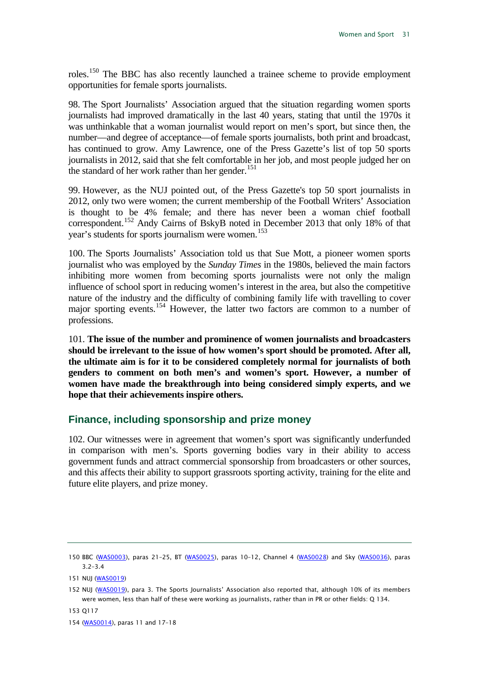roles.[150](#page-31-1) The BBC has also recently launched a trainee scheme to provide employment opportunities for female sports journalists.

98. The Sport Journalists' Association argued that the situation regarding women sports journalists had improved dramatically in the last 40 years, stating that until the 1970s it was unthinkable that a woman journalist would report on men's sport, but since then, the number—and degree of acceptance—of female sports journalists, both print and broadcast, has continued to grow. Amy Lawrence, one of the Press Gazette's list of top 50 sports journalists in 2012, said that she felt comfortable in her job, and most people judged her on the standard of her work rather than her gender.<sup>[151](#page-31-2)</sup>

99. However, as the NUJ pointed out, of the Press Gazette's top 50 sport journalists in 2012, only two were women; the current membership of the Football Writers' Association is thought to be 4% female; and there has never been a woman chief football correspondent.[152](#page-31-3) Andy Cairns of BskyB noted in December 2013 that only 18% of that year's students for sports journalism were women.<sup>[153](#page-31-4)</sup>

100. The Sports Journalists' Association told us that Sue Mott, a pioneer women sports journalist who was employed by the *Sunday Times* in the 1980s, believed the main factors inhibiting more women from becoming sports journalists were not only the malign influence of school sport in reducing women's interest in the area, but also the competitive nature of the industry and the difficulty of combining family life with travelling to cover major sporting events.[154](#page-31-5) However, the latter two factors are common to a number of professions.

<span id="page-31-6"></span>101. **The issue of the number and prominence of women journalists and broadcasters should be irrelevant to the issue of how women's sport should be promoted. After all, the ultimate aim is for it to be considered completely normal for journalists of both genders to comment on both men's and women's sport. However, a number of women have made the breakthrough into being considered simply experts, and we hope that their achievements inspire others.** 

#### <span id="page-31-0"></span>**Finance, including sponsorship and prize money**

102. Our witnesses were in agreement that women's sport was significantly underfunded in comparison with men's. Sports governing bodies vary in their ability to access government funds and attract commercial sponsorship from broadcasters or other sources, and this affects their ability to support grassroots sporting activity, training for the elite and future elite players, and prize money.

<span id="page-31-5"></span>154 [\(WAS0014\)](http://data.parliament.uk/WrittenEvidence/CommitteeEvidence.svc/EvidenceDocument/Culture,%20Media%20and%20Sport/Women%20and%20Sport/written/2205.html), paras 11 and 17–18

<span id="page-31-1"></span><sup>150</sup> BBC [\(WAS0003\),](http://data.parliament.uk/WrittenEvidence/CommitteeEvidence.svc/EvidenceDocument/Culture,%20Media%20and%20Sport/Women%20and%20Sport/written/1336.html) paras 21–25, BT [\(WAS0025\)](http://data.parliament.uk/WrittenEvidence/CommitteeEvidence.svc/EvidenceDocument/Culture,%20Media%20and%20Sport/Women%20and%20Sport/written/2240.html), paras 10–12, Channel 4 [\(WAS0028\)](http://data.parliament.uk/WrittenEvidence/CommitteeEvidence.svc/EvidenceDocument/Culture,%20Media%20and%20Sport/Women%20and%20Sport/written/2243.html) and Sky [\(WAS0036\)](http://data.parliament.uk/WrittenEvidence/CommitteeEvidence.svc/EvidenceDocument/Culture,%20Media%20and%20Sport/Women%20and%20Sport/written/2327.html), paras 3.2–3.4

<span id="page-31-2"></span><sup>151</sup> NUJ [\(WAS0019\)](http://data.parliament.uk/WrittenEvidence/CommitteeEvidence.svc/EvidenceDocument/Culture,%20Media%20and%20Sport/Women%20and%20Sport/written/2228.html)

<span id="page-31-3"></span><sup>152</sup> NUJ [\(WAS0019\)](http://data.parliament.uk/WrittenEvidence/CommitteeEvidence.svc/EvidenceDocument/Culture,%20Media%20and%20Sport/Women%20and%20Sport/written/2228.html), para 3. The Sports Journalists' Association also reported that, although 10% of its members were women, less than half of these were working as journalists, rather than in PR or other fields: Q 134.

<span id="page-31-4"></span><sup>153</sup> Q117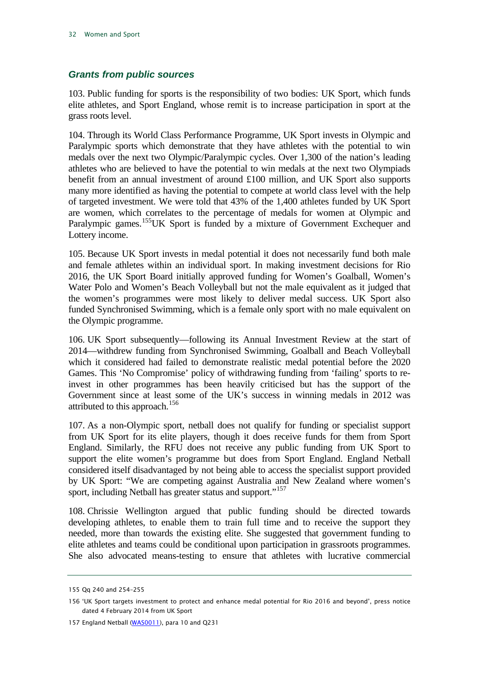#### <span id="page-32-0"></span>*Grants from public sources*

103. Public funding for sports is the responsibility of two bodies: UK Sport, which funds elite athletes, and Sport England, whose remit is to increase participation in sport at the grass roots level.

104. Through its World Class Performance Programme, UK Sport invests in Olympic and Paralympic sports which demonstrate that they have athletes with the potential to win medals over the next two Olympic/Paralympic cycles. Over 1,300 of the nation's leading athletes who are believed to have the potential to win medals at the next two Olympiads benefit from an annual investment of around £100 million, and UK Sport also supports many more identified as having the potential to compete at world class level with the help of targeted investment. We were told that 43% of the 1,400 athletes funded by UK Sport are women, which correlates to the percentage of medals for women at Olympic and Paralympic games.<sup>155</sup>UK Sport is funded by a mixture of Government Exchequer and Lottery income.

105. Because UK Sport invests in medal potential it does not necessarily fund both male and female athletes within an individual sport. In making investment decisions for Rio 2016, the UK Sport Board initially approved funding for Women's Goalball, Women's Water Polo and Women's Beach Volleyball but not the male equivalent as it judged that the women's programmes were most likely to deliver medal success. UK Sport also funded Synchronised Swimming, which is a female only sport with no male equivalent on the Olympic programme.

106. UK Sport subsequently—following its Annual Investment Review at the start of 2014—withdrew funding from Synchronised Swimming, Goalball and Beach Volleyball which it considered had failed to demonstrate realistic medal potential before the 2020 Games. This 'No Compromise' policy of withdrawing funding from 'failing' sports to reinvest in other programmes has been heavily criticised but has the support of the Government since at least some of the UK's success in winning medals in 2012 was attributed to this approach.<sup>[156](#page-32-2)</sup>

107. As a non-Olympic sport, netball does not qualify for funding or specialist support from UK Sport for its elite players, though it does receive funds for them from Sport England. Similarly, the RFU does not receive any public funding from UK Sport to support the elite women's programme but does from Sport England. England Netball considered itself disadvantaged by not being able to access the specialist support provided by UK Sport: "We are competing against Australia and New Zealand where women's sport, including Netball has greater status and support."<sup>[157](#page-32-3)</sup>

108. Chrissie Wellington argued that public funding should be directed towards developing athletes, to enable them to train full time and to receive the support they needed, more than towards the existing elite. She suggested that government funding to elite athletes and teams could be conditional upon participation in grassroots programmes. She also advocated means-testing to ensure that athletes with lucrative commercial

<span id="page-32-1"></span><sup>155</sup> Qq 240 and 254–255

<span id="page-32-2"></span><sup>156</sup> 'UK Sport targets investment to protect and enhance medal potential for Rio 2016 and beyond', press notice dated 4 February 2014 from UK Sport

<span id="page-32-3"></span><sup>157</sup> England Netball [\(WAS0011\)](http://data.parliament.uk/WrittenEvidence/CommitteeEvidence.svc/EvidenceDocument/Culture,%20Media%20and%20Sport/Women%20and%20Sport/written/2199.html), para 10 and Q231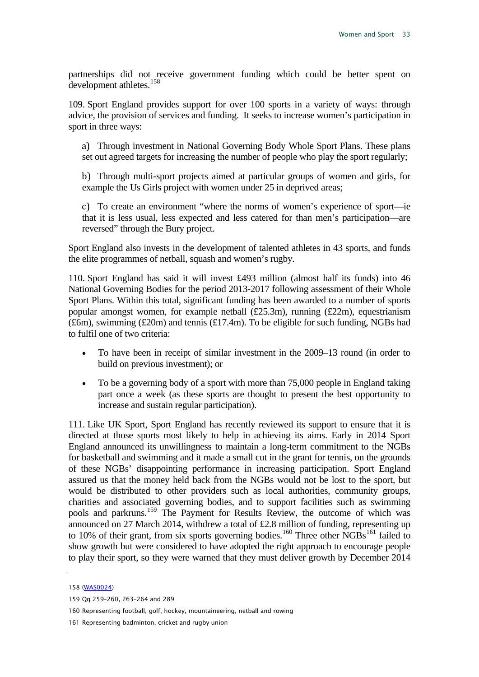partnerships did not receive government funding which could be better spent on development athletes.<sup>[158](#page-33-0)</sup>

109. Sport England provides support for over 100 sports in a variety of ways: through advice, the provision of services and funding. It seeks to increase women's participation in sport in three ways:

a) Through investment in National Governing Body Whole Sport Plans. These plans set out agreed targets for increasing the number of people who play the sport regularly;

b) Through multi-sport projects aimed at particular groups of women and girls, for example the Us Girls project with women under 25 in deprived areas;

c) To create an environment "where the norms of women's experience of sport—ie that it is less usual, less expected and less catered for than men's participation—are reversed" through the Bury project.

Sport England also invests in the development of talented athletes in 43 sports, and funds the elite programmes of netball, squash and women's rugby.

110. Sport England has said it will invest £493 million (almost half its funds) into 46 National Governing Bodies for the period 2013-2017 following assessment of their Whole Sport Plans. Within this total, significant funding has been awarded to a number of sports popular amongst women, for example netball  $(\text{\textsterling}25.3m)$ , running  $(\text{\textsterling}22m)$ , equestrianism (£6m), swimming (£20m) and tennis (£17.4m). To be eligible for such funding, NGBs had to fulfil one of two criteria:

- To have been in receipt of similar investment in the 2009–13 round (in order to build on previous investment); or
- To be a governing body of a sport with more than 75,000 people in England taking part once a week (as these sports are thought to present the best opportunity to increase and sustain regular participation).

111. Like UK Sport, Sport England has recently reviewed its support to ensure that it is directed at those sports most likely to help in achieving its aims. Early in 2014 Sport England announced its unwillingness to maintain a long-term commitment to the NGBs for basketball and swimming and it made a small cut in the grant for tennis, on the grounds of these NGBs' disappointing performance in increasing participation. Sport England assured us that the money held back from the NGBs would not be lost to the sport, but would be distributed to other providers such as local authorities, community groups, charities and associated governing bodies, and to support facilities such as swimming pools and parkruns.[159](#page-33-1) The Payment for Results Review, the outcome of which was announced on 27 March 2014, withdrew a total of £2.8 million of funding, representing up to 10% of their grant, from six sports governing bodies.<sup>[160](#page-33-2)</sup> Three other  $\overline{\text{NGBs}}^{\text{161}}$  $\overline{\text{NGBs}}^{\text{161}}$  $\overline{\text{NGBs}}^{\text{161}}$  failed to show growth but were considered to have adopted the right approach to encourage people to play their sport, so they were warned that they must deliver growth by December 2014

<span id="page-33-0"></span><sup>158</sup> [\(WAS0024\)](http://data.parliament.uk/WrittenEvidence/CommitteeEvidence.svc/EvidenceDocument/Culture,%20Media%20and%20Sport/Women%20and%20Sport/written/2239.html)

<span id="page-33-1"></span><sup>159</sup> Qq 259–260, 263–264 and 289

<span id="page-33-2"></span><sup>160</sup> Representing football, golf, hockey, mountaineering, netball and rowing

<span id="page-33-3"></span><sup>161</sup> Representing badminton, cricket and rugby union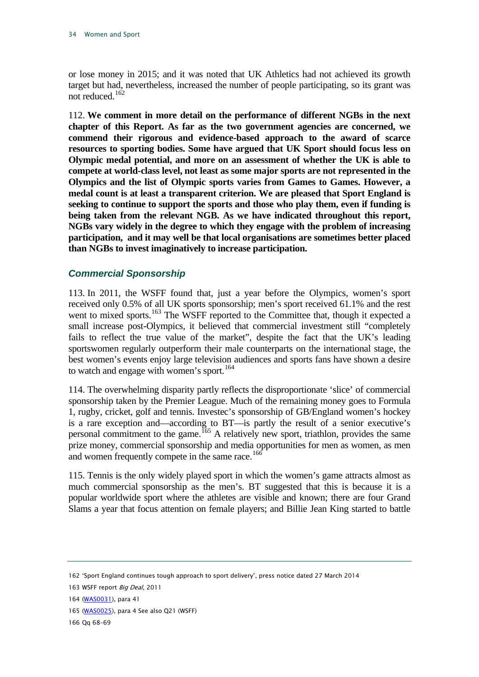or lose money in 2015; and it was noted that UK Athletics had not achieved its growth target but had, nevertheless, increased the number of people participating, so its grant was not reduced.<sup>[162](#page-34-1)</sup>

112. **We comment in more detail on the performance of different NGBs in the next chapter of this Report. As far as the two government agencies are concerned, we commend their rigorous and evidence-based approach to the award of scarce resources to sporting bodies. Some have argued that UK Sport should focus less on Olympic medal potential, and more on an assessment of whether the UK is able to compete at world-class level, not least as some major sports are not represented in the Olympics and the list of Olympic sports varies from Games to Games. However, a medal count is at least a transparent criterion. We are pleased that Sport England is seeking to continue to support the sports and those who play them, even if funding is being taken from the relevant NGB. As we have indicated throughout this report, NGBs vary widely in the degree to which they engage with the problem of increasing participation, and it may well be that local organisations are sometimes better placed than NGBs to invest imaginatively to increase participation.**

#### <span id="page-34-0"></span>*Commercial Sponsorship*

113. In 2011, the WSFF found that, just a year before the Olympics, women's sport received only 0.5% of all UK sports sponsorship; men's sport received 61.1% and the rest went to mixed sports.<sup>[163](#page-34-2)</sup> The WSFF reported to the Committee that, though it expected a small increase post-Olympics, it believed that commercial investment still "completely fails to reflect the true value of the market", despite the fact that the UK's leading sportswomen regularly outperform their male counterparts on the international stage, the best women's events enjoy large television audiences and sports fans have shown a desire to watch and engage with women's sport.<sup>[164](#page-34-3)</sup>

114. The overwhelming disparity partly reflects the disproportionate 'slice' of commercial sponsorship taken by the Premier League. Much of the remaining money goes to Formula 1, rugby, cricket, golf and tennis. Investec's sponsorship of GB/England women's hockey is a rare exception and—according to BT—is partly the result of a senior executive's personal commitment to the game. <sup>[165](#page-34-4)</sup> A relatively new sport, triathlon, provides the same prize money, commercial sponsorship and media opportunities for men as women, as men and women frequently compete in the same race.<sup>[166](#page-34-5)</sup>

115. Tennis is the only widely played sport in which the women's game attracts almost as much commercial sponsorship as the men's. BT suggested that this is because it is a popular worldwide sport where the athletes are visible and known; there are four Grand Slams a year that focus attention on female players; and Billie Jean King started to battle

<span id="page-34-4"></span>165 [\(WAS0025\)](http://data.parliament.uk/WrittenEvidence/CommitteeEvidence.svc/EvidenceDocument/Culture,%20Media%20and%20Sport/Women%20and%20Sport/written/2240.html), para 4 See also Q21 (WSFF)

<span id="page-34-5"></span>166 Qq 68–69

<span id="page-34-1"></span><sup>162</sup> 'Sport England continues tough approach to sport delivery', press notice dated 27 March 2014

<span id="page-34-2"></span><sup>163</sup> WSFF report Big Deal, 2011

<span id="page-34-3"></span><sup>164</sup> [\(WAS0031\)](http://data.parliament.uk/WrittenEvidence/CommitteeEvidence.svc/EvidenceDocument/Culture,%20Media%20and%20Sport/Women%20and%20Sport/written/2246.html), para 41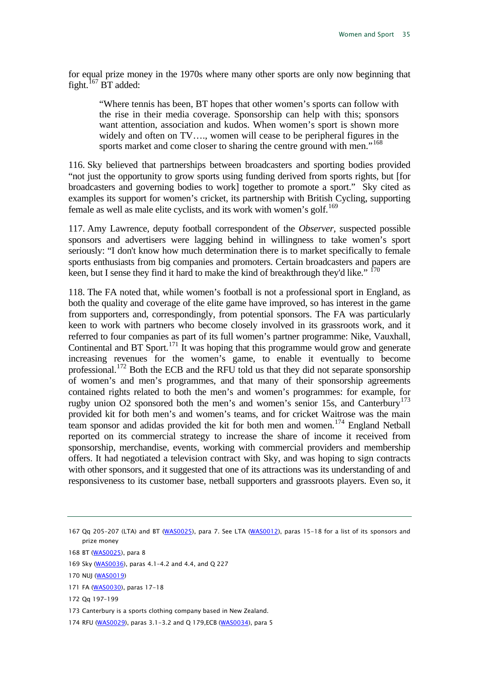for equal prize money in the 1970s where many other sports are only now beginning that fight.<sup>[167](#page-35-0)</sup> BT added:

"Where tennis has been, BT hopes that other women's sports can follow with the rise in their media coverage. Sponsorship can help with this; sponsors want attention, association and kudos. When women's sport is shown more widely and often on TV…., women will cease to be peripheral figures in the sports market and come closer to sharing the centre ground with men."<sup>[168](#page-35-1)</sup>

116. Sky believed that partnerships between broadcasters and sporting bodies provided "not just the opportunity to grow sports using funding derived from sports rights, but [for broadcasters and governing bodies to work] together to promote a sport." Sky cited as examples its support for women's cricket, its partnership with British Cycling, supporting female as well as male elite cyclists, and its work with women's golf.<sup>[169](#page-35-2)</sup>

117. Amy Lawrence, deputy football correspondent of the *Observer,* suspected possible sponsors and advertisers were lagging behind in willingness to take women's sport seriously: "I don't know how much determination there is to market specifically to female sports enthusiasts from big companies and promoters. Certain broadcasters and papers are keen, but I sense they find it hard to make the kind of breakthrough they'd like."<sup>17</sup>

118. The FA noted that, while women's football is not a professional sport in England, as both the quality and coverage of the elite game have improved, so has interest in the game from supporters and, correspondingly, from potential sponsors. The FA was particularly keen to work with partners who become closely involved in its grassroots work, and it referred to four companies as part of its full women's partner programme: Nike, Vauxhall, Continental and BT Sport.<sup>[171](#page-35-4)</sup> It was hoping that this programme would grow and generate increasing revenues for the women's game, to enable it eventually to become professional.<sup>[172](#page-35-5)</sup> Both the ECB and the RFU told us that they did not separate sponsorship of women's and men's programmes, and that many of their sponsorship agreements contained rights related to both the men's and women's programmes: for example, for rugby union O2 sponsored both the men's and women's senior 15s, and Canterbury<sup>[173](#page-35-6)</sup> provided kit for both men's and women's teams, and for cricket Waitrose was the main team sponsor and adidas provided the kit for both men and women. [174](#page-35-7) England Netball reported on its commercial strategy to increase the share of income it received from sponsorship, merchandise, events, working with commercial providers and membership offers. It had negotiated a television contract with Sky, and was hoping to sign contracts with other sponsors, and it suggested that one of its attractions was its understanding of and responsiveness to its customer base, netball supporters and grassroots players. Even so, it

<span id="page-35-3"></span>170 NUJ [\(WAS0019\)](http://data.parliament.uk/WrittenEvidence/CommitteeEvidence.svc/EvidenceDocument/Culture,%20Media%20and%20Sport/Women%20and%20Sport/written/2228.html)

<span id="page-35-5"></span>172 Qq 197–199

<span id="page-35-0"></span><sup>167</sup> Qq 205-207 (LTA) and BT [\(WAS0025\)](http://data.parliament.uk/WrittenEvidence/CommitteeEvidence.svc/EvidenceDocument/Culture,%20Media%20and%20Sport/Women%20and%20Sport/written/2240.html), para 7. See LTA [\(WAS0012\)](http://data.parliament.uk/WrittenEvidence/CommitteeEvidence.svc/EvidenceDocument/Culture,%20Media%20and%20Sport/Women%20and%20Sport/written/2201.html), paras 15-18 for a list of its sponsors and prize money

<span id="page-35-1"></span><sup>168</sup> BT [\(WAS0025\)](http://data.parliament.uk/WrittenEvidence/CommitteeEvidence.svc/EvidenceDocument/Culture,%20Media%20and%20Sport/Women%20and%20Sport/written/2240.html), para 8

<span id="page-35-2"></span><sup>169</sup> Sky [\(WAS0036\)](http://data.parliament.uk/WrittenEvidence/CommitteeEvidence.svc/EvidenceDocument/Culture,%20Media%20and%20Sport/Women%20and%20Sport/written/2327.html), paras 4.1–4.2 and 4.4, and Q 227

<span id="page-35-4"></span><sup>171</sup> FA [\(WAS0030\)](http://data.parliament.uk/WrittenEvidence/CommitteeEvidence.svc/EvidenceDocument/Culture,%20Media%20and%20Sport/Women%20and%20Sport/written/2245.html), paras 17-18

<span id="page-35-6"></span><sup>173</sup> Canterbury is a sports clothing company based in New Zealand.

<span id="page-35-7"></span><sup>174</sup> RFU [\(WAS0029\),](http://data.parliament.uk/WrittenEvidence/CommitteeEvidence.svc/EvidenceDocument/Culture,%20Media%20and%20Sport/Women%20and%20Sport/written/2244.html) paras 3.1-3.2 and Q 179, ECB [\(WAS0034\)](http://data.parliament.uk/WrittenEvidence/CommitteeEvidence.svc/EvidenceDocument/Culture,%20Media%20and%20Sport/Women%20and%20Sport/written/2254.html), para 5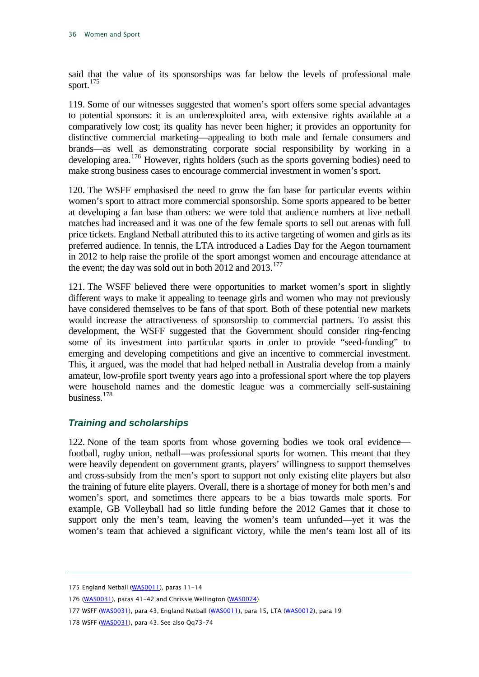said that the value of its sponsorships was far below the levels of professional male sport. $175$ 

119. Some of our witnesses suggested that women's sport offers some special advantages to potential sponsors: it is an underexploited area, with extensive rights available at a comparatively low cost; its quality has never been higher; it provides an opportunity for distinctive commercial marketing—appealing to both male and female consumers and brands—as well as demonstrating corporate social responsibility by working in a developing area.<sup>[176](#page-36-2)</sup> However, rights holders (such as the sports governing bodies) need to make strong business cases to encourage commercial investment in women's sport.

120. The WSFF emphasised the need to grow the fan base for particular events within women's sport to attract more commercial sponsorship. Some sports appeared to be better at developing a fan base than others: we were told that audience numbers at live netball matches had increased and it was one of the few female sports to sell out arenas with full price tickets. England Netball attributed this to its active targeting of women and girls as its preferred audience. In tennis, the LTA introduced a Ladies Day for the Aegon tournament in 2012 to help raise the profile of the sport amongst women and encourage attendance at the event; the day was sold out in both  $2012$  and  $2013$ .<sup>[177](#page-36-3)</sup>

121. The WSFF believed there were opportunities to market women's sport in slightly different ways to make it appealing to teenage girls and women who may not previously have considered themselves to be fans of that sport. Both of these potential new markets would increase the attractiveness of sponsorship to commercial partners. To assist this development, the WSFF suggested that the Government should consider ring-fencing some of its investment into particular sports in order to provide "seed-funding" to emerging and developing competitions and give an incentive to commercial investment. This, it argued, was the model that had helped netball in Australia develop from a mainly amateur, low-profile sport twenty years ago into a professional sport where the top players were household names and the domestic league was a commercially self-sustaining business.[178](#page-36-4)

#### <span id="page-36-0"></span>*Training and scholarships*

122. None of the team sports from whose governing bodies we took oral evidence football, rugby union, netball—was professional sports for women. This meant that they were heavily dependent on government grants, players' willingness to support themselves and cross-subsidy from the men's sport to support not only existing elite players but also the training of future elite players. Overall, there is a shortage of money for both men's and women's sport, and sometimes there appears to be a bias towards male sports*.* For example, GB Volleyball had so little funding before the 2012 Games that it chose to support only the men's team, leaving the women's team unfunded—yet it was the women's team that achieved a significant victory, while the men's team lost all of its

<span id="page-36-1"></span><sup>175</sup> England Netball [\(WAS0011\)](http://data.parliament.uk/WrittenEvidence/CommitteeEvidence.svc/EvidenceDocument/Culture,%20Media%20and%20Sport/Women%20and%20Sport/written/2199.html), paras 11-14

<span id="page-36-2"></span><sup>176</sup> [\(WAS0031\)](http://data.parliament.uk/WrittenEvidence/CommitteeEvidence.svc/EvidenceDocument/Culture,%20Media%20and%20Sport/Women%20and%20Sport/written/2246.html), paras 41-42 and Chrissie Wellington [\(WAS0024\)](http://data.parliament.uk/WrittenEvidence/CommitteeEvidence.svc/EvidenceDocument/Culture,%20Media%20and%20Sport/Women%20and%20Sport/written/2239.html)

<span id="page-36-3"></span><sup>177</sup> WSFF [\(WAS0031\)](http://data.parliament.uk/WrittenEvidence/CommitteeEvidence.svc/EvidenceDocument/Culture,%20Media%20and%20Sport/Women%20and%20Sport/written/2246.html), para 43, England Netball [\(WAS0011\),](http://data.parliament.uk/WrittenEvidence/CommitteeEvidence.svc/EvidenceDocument/Culture,%20Media%20and%20Sport/Women%20and%20Sport/written/2199.html) para 15, LTA [\(WAS0012\)](http://data.parliament.uk/WrittenEvidence/CommitteeEvidence.svc/EvidenceDocument/Culture,%20Media%20and%20Sport/Women%20and%20Sport/written/2201.html), para 19

<span id="page-36-4"></span><sup>178</sup> WSFF [\(WAS0031\)](http://data.parliament.uk/WrittenEvidence/CommitteeEvidence.svc/EvidenceDocument/Culture,%20Media%20and%20Sport/Women%20and%20Sport/written/2246.html), para 43. See also Qq73-74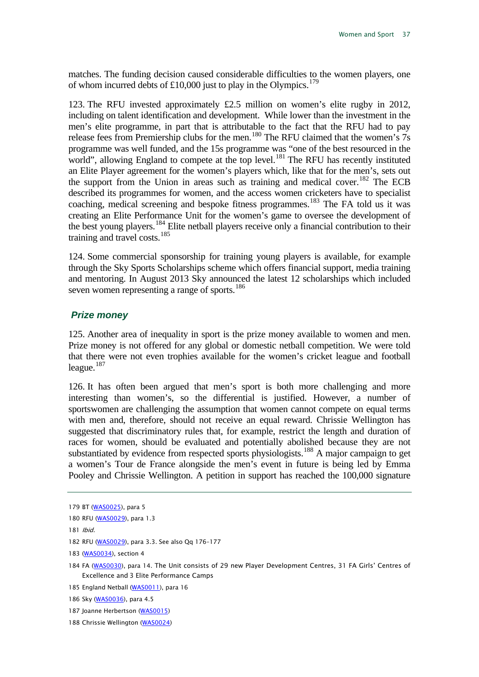matches. The funding decision caused considerable difficulties to the women players, one of whom incurred debts of £10,000 just to play in the Olympics.<sup>[179](#page-37-1)</sup>

123. The RFU invested approximately £2.5 million on women's elite rugby in 2012, including on talent identification and development. While lower than the investment in the men's elite programme, in part that is attributable to the fact that the RFU had to pay release fees from Premiership clubs for the men.<sup>[180](#page-37-2)</sup> The RFU claimed that the women's 7s programme was well funded, and the 15s programme was "one of the best resourced in the world", allowing England to compete at the top level.<sup>[181](#page-37-3)</sup> The RFU has recently instituted an Elite Player agreement for the women's players which, like that for the men's, sets out the support from the Union in areas such as training and medical cover.<sup>[182](#page-37-4)</sup> The ECB described its programmes for women, and the access women cricketers have to specialist coaching, medical screening and bespoke fitness programmes.<sup>[183](#page-37-5)</sup> The FA told us it was creating an Elite Performance Unit for the women's game to oversee the development of the best young players.<sup>[184](#page-37-6)</sup> Elite netball players receive only a financial contribution to their training and travel costs.<sup>[185](#page-37-7)</sup>

124. Some commercial sponsorship for training young players is available, for example through the Sky Sports Scholarships scheme which offers financial support, media training and mentoring. In August 2013 Sky announced the latest 12 scholarships which included seven women representing a range of sports.<sup>[186](#page-37-8)</sup>

#### <span id="page-37-0"></span>*Prize money*

125. Another area of inequality in sport is the prize money available to women and men. Prize money is not offered for any global or domestic netball competition. We were told that there were not even trophies available for the women's cricket league and football league. $187$ 

126. It has often been argued that men's sport is both more challenging and more interesting than women's, so the differential is justified. However, a number of sportswomen are challenging the assumption that women cannot compete on equal terms with men and, therefore, should not receive an equal reward. Chrissie Wellington has suggested that discriminatory rules that, for example, restrict the length and duration of races for women, should be evaluated and potentially abolished because they are not substantiated by evidence from respected sports physiologists.<sup>[188](#page-37-10)</sup> A major campaign to get a women's Tour de France alongside the men's event in future is being led by Emma Pooley and Chrissie Wellington. A petition in support has reached the 100,000 signature

<span id="page-37-3"></span>181 Ibid.

- <span id="page-37-5"></span>183 [\(WAS0034\)](http://data.parliament.uk/WrittenEvidence/CommitteeEvidence.svc/EvidenceDocument/Culture,%20Media%20and%20Sport/Women%20and%20Sport/written/2254.html), section 4
- <span id="page-37-6"></span>184 FA [\(WAS0030\)](http://data.parliament.uk/WrittenEvidence/CommitteeEvidence.svc/EvidenceDocument/Culture,%20Media%20and%20Sport/Women%20and%20Sport/written/2245.html), para 14. The Unit consists of 29 new Player Development Centres, 31 FA Girls' Centres of Excellence and 3 Elite Performance Camps

<span id="page-37-7"></span>185 England Netball [\(WAS0011\)](http://data.parliament.uk/WrittenEvidence/CommitteeEvidence.svc/EvidenceDocument/Culture,%20Media%20and%20Sport/Women%20and%20Sport/written/2199.html), para 16

- <span id="page-37-9"></span>187 Joanne Herbertson [\(WAS0015\)](http://data.parliament.uk/WrittenEvidence/CommitteeEvidence.svc/EvidenceDocument/Culture,%20Media%20and%20Sport/Women%20and%20Sport/written/2206.html)
- <span id="page-37-10"></span>188 Chrissie Wellington [\(WAS0024\)](http://data.parliament.uk/WrittenEvidence/CommitteeEvidence.svc/EvidenceDocument/Culture,%20Media%20and%20Sport/Women%20and%20Sport/written/2239.html)

<span id="page-37-1"></span><sup>179</sup> BT [\(WAS0025\)](http://data.parliament.uk/WrittenEvidence/CommitteeEvidence.svc/EvidenceDocument/Culture,%20Media%20and%20Sport/Women%20and%20Sport/written/2240.html), para 5

<span id="page-37-2"></span><sup>180</sup> RFU [\(WAS0029\),](http://data.parliament.uk/WrittenEvidence/CommitteeEvidence.svc/EvidenceDocument/Culture,%20Media%20and%20Sport/Women%20and%20Sport/written/2244.html) para 1.3

<span id="page-37-4"></span><sup>182</sup> RFU [\(WAS0029\),](http://data.parliament.uk/WrittenEvidence/CommitteeEvidence.svc/EvidenceDocument/Culture,%20Media%20and%20Sport/Women%20and%20Sport/written/2244.html) para 3.3. See also Qq 176–177

<span id="page-37-8"></span><sup>186</sup> Sky [\(WAS0036\)](http://data.parliament.uk/WrittenEvidence/CommitteeEvidence.svc/EvidenceDocument/Culture,%20Media%20and%20Sport/Women%20and%20Sport/written/2327.html), para 4.5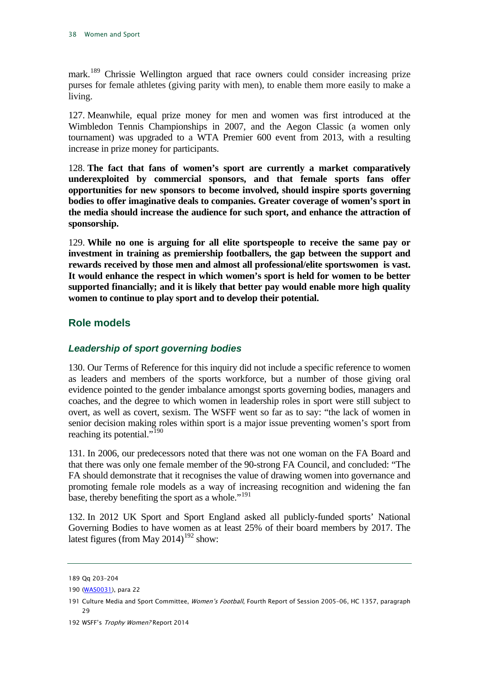mark.[189](#page-38-2) Chrissie Wellington argued that race owners could consider increasing prize purses for female athletes (giving parity with men), to enable them more easily to make a living.

127. Meanwhile, equal prize money for men and women was first introduced at the Wimbledon Tennis Championships in 2007, and the Aegon Classic (a women only tournament) was upgraded to a WTA Premier 600 event from 2013, with a resulting increase in prize money for participants.

<span id="page-38-6"></span>128. **The fact that fans of women's sport are currently a market comparatively underexploited by commercial sponsors, and that female sports fans offer opportunities for new sponsors to become involved, should inspire sports governing bodies to offer imaginative deals to companies. Greater coverage of women's sport in the media should increase the audience for such sport, and enhance the attraction of sponsorship.**

<span id="page-38-7"></span>129. **While no one is arguing for all elite sportspeople to receive the same pay or investment in training as premiership footballers, the gap between the support and rewards received by those men and almost all professional/elite sportswomen is vast. It would enhance the respect in which women's sport is held for women to be better supported financially; and it is likely that better pay would enable more high quality women to continue to play sport and to develop their potential.**

#### <span id="page-38-0"></span>**Role models**

#### <span id="page-38-1"></span>*Leadership of sport governing bodies*

130. Our Terms of Reference for this inquiry did not include a specific reference to women as leaders and members of the sports workforce, but a number of those giving oral evidence pointed to the gender imbalance amongst sports governing bodies, managers and coaches, and the degree to which women in leadership roles in sport were still subject to overt, as well as covert, sexism. The WSFF went so far as to say: "the lack of women in senior decision making roles within sport is a major issue preventing women's sport from reaching its potential."<sup>[190](#page-38-3)</sup>

131. In 2006, our predecessors noted that there was not one woman on the FA Board and that there was only one female member of the 90-strong FA Council, and concluded: "The FA should demonstrate that it recognises the value of drawing women into governance and promoting female role models as a way of increasing recognition and widening the fan base, thereby benefiting the sport as a whole."<sup>[191](#page-38-4)</sup>

132. In 2012 UK Sport and Sport England asked all publicly-funded sports' National Governing Bodies to have women as at least 25% of their board members by 2017. The latest figures (from May 2014)<sup>[192](#page-38-5)</sup> show:

<span id="page-38-2"></span><sup>189</sup> Qq 203–204

<span id="page-38-3"></span><sup>190</sup> [\(WAS0031\)](http://data.parliament.uk/WrittenEvidence/CommitteeEvidence.svc/EvidenceDocument/Culture,%20Media%20and%20Sport/Women%20and%20Sport/written/2246.html), para 22

<span id="page-38-4"></span><sup>191</sup> Culture Media and Sport Committee, Women's Football, Fourth Report of Session 2005-06, HC 1357, paragraph 29

<span id="page-38-5"></span><sup>192</sup> WSFF's Trophy Women? Report 2014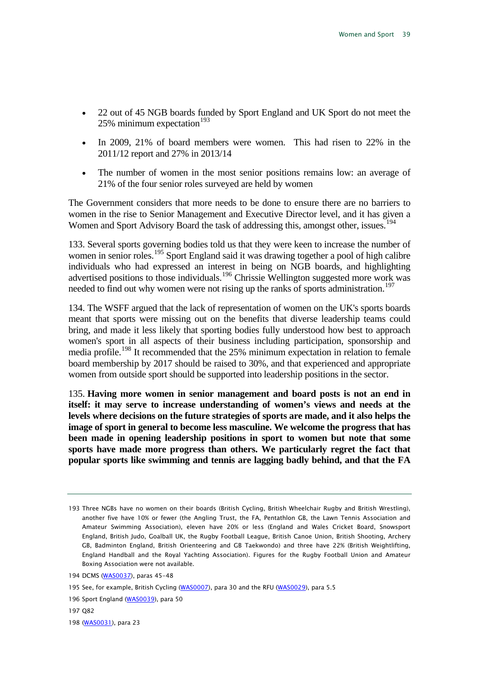- 22 out of 45 NGB boards funded by Sport England and UK Sport do not meet the 25% minimum expectation $193$
- In 2009, 21% of board members were women. This had risen to 22% in the 2011/12 report and 27% in 2013/14
- The number of women in the most senior positions remains low: an average of 21% of the four senior roles surveyed are held by women

The Government considers that more needs to be done to ensure there are no barriers to women in the rise to Senior Management and Executive Director level, and it has given a Women and Sport Advisory Board the task of addressing this, amongst other, issues.<sup>[194](#page-39-1)</sup>

133. Several sports governing bodies told us that they were keen to increase the number of women in senior roles.<sup>[195](#page-39-2)</sup> Sport England said it was drawing together a pool of high calibre individuals who had expressed an interest in being on NGB boards, and highlighting advertised positions to those individuals.<sup>[196](#page-39-3)</sup> Chrissie Wellington suggested more work was needed to find out why women were not rising up the ranks of sports administration.<sup>[197](#page-39-4)</sup>

134. The WSFF argued that the lack of representation of women on the UK's sports boards meant that sports were missing out on the benefits that diverse leadership teams could bring, and made it less likely that sporting bodies fully understood how best to approach women's sport in all aspects of their business including participation, sponsorship and media profile.[198](#page-39-5) It recommended that the 25% minimum expectation in relation to female board membership by 2017 should be raised to 30%, and that experienced and appropriate women from outside sport should be supported into leadership positions in the sector.

<span id="page-39-6"></span>135. **Having more women in senior management and board posts is not an end in itself: it may serve to increase understanding of women's views and needs at the levels where decisions on the future strategies of sports are made, and it also helps the image of sport in general to become less masculine. We welcome the progress that has been made in opening leadership positions in sport to women but note that some sports have made more progress than others. We particularly regret the fact that popular sports like swimming and tennis are lagging badly behind, and that the FA** 

- <span id="page-39-4"></span>197 Q82
- <span id="page-39-5"></span>198 [\(WAS0031\)](http://data.parliament.uk/WrittenEvidence/CommitteeEvidence.svc/EvidenceDocument/Culture,%20Media%20and%20Sport/Women%20and%20Sport/written/2246.html), para 23

<span id="page-39-0"></span><sup>193</sup> Three NGBs have no women on their boards (British Cycling, British Wheelchair Rugby and British Wrestling), another five have 10% or fewer (the Angling Trust, the FA, Pentathlon GB, the Lawn Tennis Association and Amateur Swimming Association), eleven have 20% or less (England and Wales Cricket Board, Snowsport England, British Judo, Goalball UK, the Rugby Football League, British Canoe Union, British Shooting, Archery GB, Badminton England, British Orienteering and GB Taekwondo) and three have 22% (British Weightlifting, England Handball and the Royal Yachting Association). Figures for the Rugby Football Union and Amateur Boxing Association were not available.

<span id="page-39-1"></span><sup>194</sup> DCMS [\(WAS0037\)](http://data.parliament.uk/WrittenEvidence/CommitteeEvidence.svc/EvidenceDocument/Culture,%20Media%20and%20Sport/Women%20and%20Sport/written/2328.html), paras 45-48

<span id="page-39-2"></span><sup>195</sup> See, for example, British Cycling [\(WAS0007\)](http://data.parliament.uk/WrittenEvidence/CommitteeEvidence.svc/EvidenceDocument/Culture,%20Media%20and%20Sport/Women%20and%20Sport/written/1992.html), para 30 and the RFU [\(WAS0029\)](http://data.parliament.uk/WrittenEvidence/CommitteeEvidence.svc/EvidenceDocument/Culture,%20Media%20and%20Sport/Women%20and%20Sport/written/2244.html), para 5.5

<span id="page-39-3"></span><sup>196</sup> Sport England [\(WAS0039\)](http://data.parliament.uk/WrittenEvidence/CommitteeEvidence.svc/EvidenceDocument/Culture,%20Media%20and%20Sport/Women%20and%20Sport/written/2528.html), para 50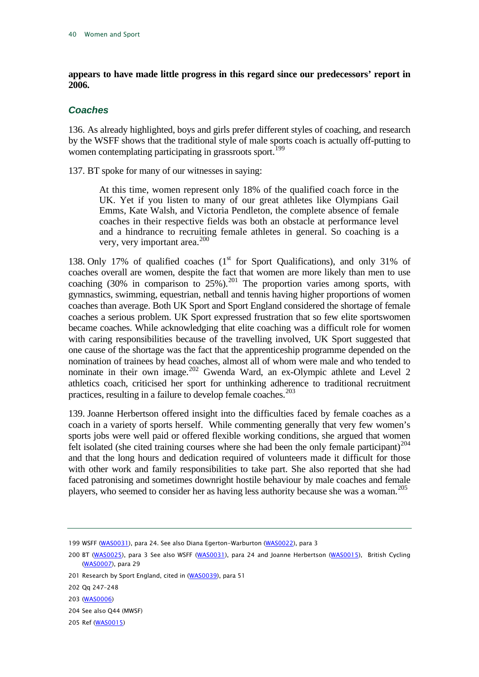#### **appears to have made little progress in this regard since our predecessors' report in 2006.**

#### <span id="page-40-0"></span>*Coaches*

136. As already highlighted, boys and girls prefer different styles of coaching, and research by the WSFF shows that the traditional style of male sports coach is actually off-putting to women contemplating participating in grassroots sport.<sup>[199](#page-40-1)</sup>

137. BT spoke for many of our witnesses in saying:

At this time, women represent only 18% of the qualified coach force in the UK. Yet if you listen to many of our great athletes like Olympians Gail Emms, Kate Walsh, and Victoria Pendleton, the complete absence of female coaches in their respective fields was both an obstacle at performance level and a hindrance to recruiting female athletes in general. So coaching is a very, very important area.<sup>[200](#page-40-2)</sup>

138. Only 17% of qualified coaches  $(1<sup>st</sup>$  for Sport Qualifications), and only 31% of coaches overall are women, despite the fact that women are more likely than men to use coaching  $(30\%$  in comparison to  $25\%$ ).<sup>[201](#page-40-3)</sup> The proportion varies among sports, with gymnastics, swimming, equestrian, netball and tennis having higher proportions of women coaches than average. Both UK Sport and Sport England considered the shortage of female coaches a serious problem. UK Sport expressed frustration that so few elite sportswomen became coaches. While acknowledging that elite coaching was a difficult role for women with caring responsibilities because of the travelling involved, UK Sport suggested that one cause of the shortage was the fact that the apprenticeship programme depended on the nomination of trainees by head coaches, almost all of whom were male and who tended to nominate in their own image.<sup>[202](#page-40-4)</sup> Gwenda Ward, an ex-Olympic athlete and Level 2 athletics coach, criticised her sport for unthinking adherence to traditional recruitment practices, resulting in a failure to develop female coaches.<sup>[203](#page-40-5)</sup>

139. Joanne Herbertson offered insight into the difficulties faced by female coaches as a coach in a variety of sports herself. While commenting generally that very few women's sports jobs were well paid or offered flexible working conditions, she argued that women felt isolated (she cited training courses where she had been the only female participant)<sup>[204](#page-40-6)</sup> and that the long hours and dedication required of volunteers made it difficult for those with other work and family responsibilities to take part. She also reported that she had faced patronising and sometimes downright hostile behaviour by male coaches and female players, who seemed to consider her as having less authority because she was a woman. [205](#page-40-7)

<span id="page-40-7"></span>205 Ref [\(WAS0015\)](http://data.parliament.uk/WrittenEvidence/CommitteeEvidence.svc/EvidenceDocument/Culture,%20Media%20and%20Sport/Women%20and%20Sport/written/2206.html)

<span id="page-40-1"></span><sup>199</sup> WSFF [\(WAS0031\)](http://data.parliament.uk/WrittenEvidence/CommitteeEvidence.svc/EvidenceDocument/Culture,%20Media%20and%20Sport/Women%20and%20Sport/written/2246.html), para 24. See also Diana Egerton-Warburton [\(WAS0022\)](http://data.parliament.uk/WrittenEvidence/CommitteeEvidence.svc/EvidenceDocument/Culture,%20Media%20and%20Sport/Women%20and%20Sport/written/2235.html), para 3

<span id="page-40-2"></span><sup>200</sup> BT [\(WAS0025\),](http://data.parliament.uk/WrittenEvidence/CommitteeEvidence.svc/EvidenceDocument/Culture,%20Media%20and%20Sport/Women%20and%20Sport/written/2240.html) para 3 See also WSFF [\(WAS0031\)](http://data.parliament.uk/WrittenEvidence/CommitteeEvidence.svc/EvidenceDocument/Culture,%20Media%20and%20Sport/Women%20and%20Sport/written/2246.html), para 24 and Joanne Herbertson [\(WAS0015\)](http://data.parliament.uk/WrittenEvidence/CommitteeEvidence.svc/EvidenceDocument/Culture,%20Media%20and%20Sport/Women%20and%20Sport/written/2206.html), British Cycling [\(WAS0007\)](http://data.parliament.uk/WrittenEvidence/CommitteeEvidence.svc/EvidenceDocument/Culture,%20Media%20and%20Sport/Women%20and%20Sport/written/1992.html), para 29

<span id="page-40-3"></span><sup>201</sup> Research by Sport England, cited in [\(WAS0039\)](http://data.parliament.uk/WrittenEvidence/CommitteeEvidence.svc/EvidenceDocument/Culture,%20Media%20and%20Sport/Women%20and%20Sport/written/2528.html), para 51

<span id="page-40-4"></span><sup>202</sup> Qq 247–248

<span id="page-40-5"></span><sup>203</sup> [\(WAS0006\)](http://data.parliament.uk/WrittenEvidence/CommitteeEvidence.svc/EvidenceDocument/Culture,%20Media%20and%20Sport/Women%20and%20Sport/written/1965.html)

<span id="page-40-6"></span><sup>204</sup> See also Q44 (MWSF)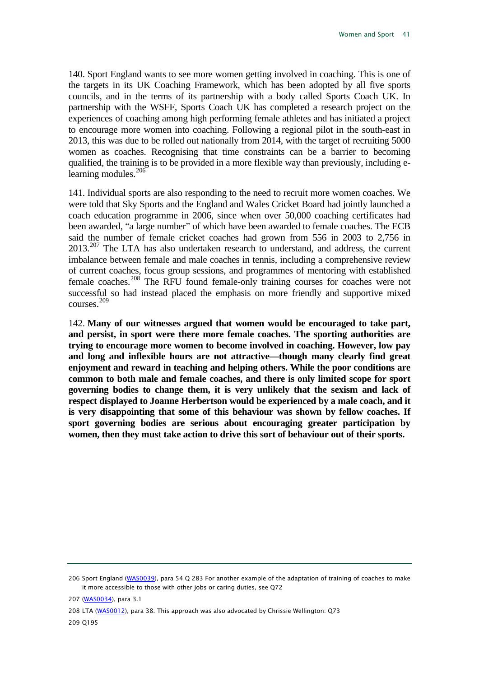140. Sport England wants to see more women getting involved in coaching. This is one of the targets in its UK Coaching Framework, which has been adopted by all five sports councils, and in the terms of its partnership with a body called Sports Coach UK. In partnership with the WSFF, Sports Coach UK has completed a research project on the experiences of coaching among high performing female athletes and has initiated a project to encourage more women into coaching. Following a regional pilot in the south-east in 2013, this was due to be rolled out nationally from 2014, with the target of recruiting 5000 women as coaches. Recognising that time constraints can be a barrier to becoming qualified, the training is to be provided in a more flexible way than previously, including e-learning modules.<sup>[206](#page-41-0)</sup>

141. Individual sports are also responding to the need to recruit more women coaches. We were told that Sky Sports and the England and Wales Cricket Board had jointly launched a coach education programme in 2006, since when over 50,000 coaching certificates had been awarded, "a large number" of which have been awarded to female coaches. The ECB said the number of female cricket coaches had grown from 556 in 2003 to 2,756 in 2013.<sup>[207](#page-41-1)</sup> The LTA has also undertaken research to understand, and address, the current imbalance between female and male coaches in tennis, including a comprehensive review of current coaches, focus group sessions, and programmes of mentoring with established female coaches.[208](#page-41-2) The RFU found female-only training courses for coaches were not successful so had instead placed the emphasis on more friendly and supportive mixed courses.[209](#page-41-3)

<span id="page-41-4"></span>142. **Many of our witnesses argued that women would be encouraged to take part, and persist, in sport were there more female coaches. The sporting authorities are trying to encourage more women to become involved in coaching. However, low pay and long and inflexible hours are not attractive—though many clearly find great enjoyment and reward in teaching and helping others. While the poor conditions are common to both male and female coaches, and there is only limited scope for sport governing bodies to change them, it is very unlikely that the sexism and lack of respect displayed to Joanne Herbertson would be experienced by a male coach, and it is very disappointing that some of this behaviour was shown by fellow coaches. If sport governing bodies are serious about encouraging greater participation by women, then they must take action to drive this sort of behaviour out of their sports.**

<span id="page-41-0"></span><sup>206</sup> Sport England [\(WAS0039\),](http://data.parliament.uk/WrittenEvidence/CommitteeEvidence.svc/EvidenceDocument/Culture,%20Media%20and%20Sport/Women%20and%20Sport/written/2528.html) para 54 Q 283 For another example of the adaptation of training of coaches to make it more accessible to those with other jobs or caring duties, see Q72

<span id="page-41-1"></span><sup>207</sup> [\(WAS0034\)](http://data.parliament.uk/WrittenEvidence/CommitteeEvidence.svc/EvidenceDocument/Culture,%20Media%20and%20Sport/Women%20and%20Sport/written/2254.html), para 3.1

<span id="page-41-3"></span><span id="page-41-2"></span><sup>208</sup> LTA [\(WAS0012\),](http://data.parliament.uk/WrittenEvidence/CommitteeEvidence.svc/EvidenceDocument/Culture,%20Media%20and%20Sport/Women%20and%20Sport/written/2201.html) para 38. This approach was also advocated by Chrissie Wellington: Q73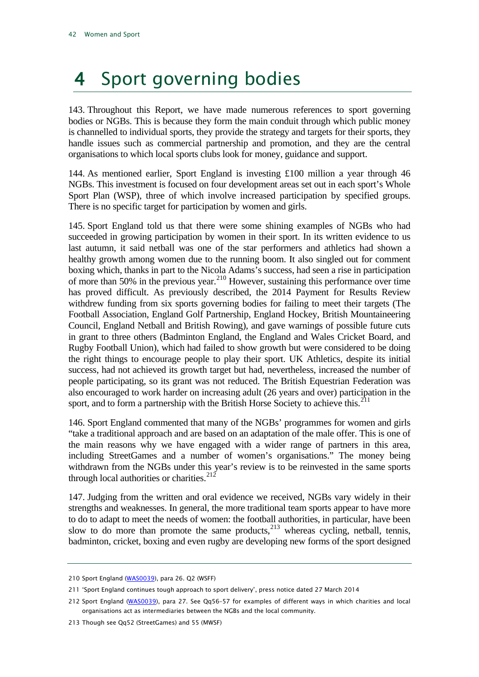## <span id="page-42-0"></span>4 Sport governing bodies

143. Throughout this Report, we have made numerous references to sport governing bodies or NGBs. This is because they form the main conduit through which public money is channelled to individual sports, they provide the strategy and targets for their sports, they handle issues such as commercial partnership and promotion, and they are the central organisations to which local sports clubs look for money, guidance and support.

144. As mentioned earlier, Sport England is investing £100 million a year through 46 NGBs. This investment is focused on four development areas set out in each sport's Whole Sport Plan (WSP), three of which involve increased participation by specified groups. There is no specific target for participation by women and girls.

145. Sport England told us that there were some shining examples of NGBs who had succeeded in growing participation by women in their sport. In its written evidence to us last autumn, it said netball was one of the star performers and athletics had shown a healthy growth among women due to the running boom. It also singled out for comment boxing which, thanks in part to the Nicola Adams's success, had seen a rise in participation of more than 50% in the previous year. [210](#page-42-1) However, sustaining this performance over time has proved difficult. As previously described, the 2014 Payment for Results Review withdrew funding from six sports governing bodies for failing to meet their targets (The Football Association, England Golf Partnership, England Hockey, British Mountaineering Council, England Netball and British Rowing), and gave warnings of possible future cuts in grant to three others (Badminton England, the England and Wales Cricket Board, and Rugby Football Union), which had failed to show growth but were considered to be doing the right things to encourage people to play their sport. UK Athletics, despite its initial success, had not achieved its growth target but had, nevertheless, increased the number of people participating, so its grant was not reduced. The British Equestrian Federation was also encouraged to work harder on increasing adult (26 years and over) participation in the sport, and to form a partnership with the British Horse Society to achieve this.<sup>[211](#page-42-2)</sup>

146. Sport England commented that many of the NGBs' programmes for women and girls "take a traditional approach and are based on an adaptation of the male offer. This is one of the main reasons why we have engaged with a wider range of partners in this area, including StreetGames and a number of women's organisations." The money being withdrawn from the NGBs under this year's review is to be reinvested in the same sports through local authorities or charities. $2^{12}$ 

147. Judging from the written and oral evidence we received, NGBs vary widely in their strengths and weaknesses. In general, the more traditional team sports appear to have more to do to adapt to meet the needs of women: the football authorities, in particular, have been slow to do more than promote the same products, $^{213}$  $^{213}$  $^{213}$  whereas cycling, netball, tennis, badminton, cricket, boxing and even rugby are developing new forms of the sport designed

<span id="page-42-1"></span><sup>210</sup> Sport England [\(WAS0039\)](http://data.parliament.uk/WrittenEvidence/CommitteeEvidence.svc/EvidenceDocument/Culture,%20Media%20and%20Sport/Women%20and%20Sport/written/2528.html), para 26. Q2 (WSFF)

<span id="page-42-2"></span><sup>211</sup> 'Sport England continues tough approach to sport delivery', press notice dated 27 March 2014

<span id="page-42-3"></span><sup>212</sup> Sport England [\(WAS0039\)](http://data.parliament.uk/WrittenEvidence/CommitteeEvidence.svc/EvidenceDocument/Culture,%20Media%20and%20Sport/Women%20and%20Sport/written/2528.html), para 27. See Qq56–57 for examples of different ways in which charities and local organisations act as intermediaries between the NGBs and the local community.

<span id="page-42-4"></span><sup>213</sup> Though see Qq52 (StreetGames) and 55 (MWSF)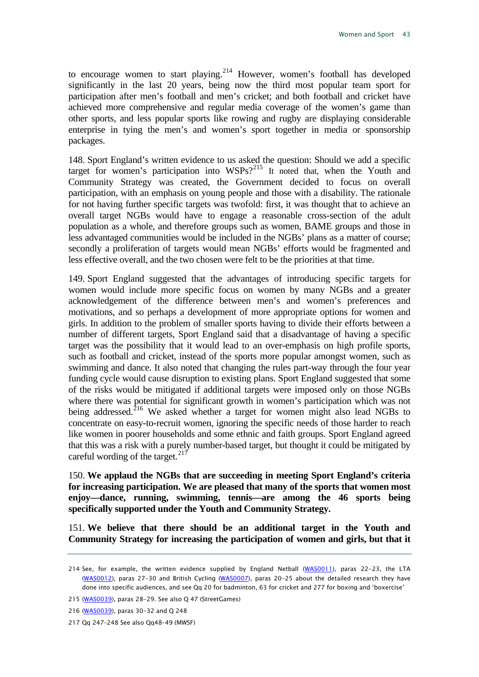to encourage women to start playing.<sup>[214](#page-43-0)</sup> However, women's football has developed significantly in the last 20 years, being now the third most popular team sport for participation after men's football and men's cricket; and both football and cricket have achieved more comprehensive and regular media coverage of the women's game than other sports, and less popular sports like rowing and rugby are displaying considerable enterprise in tying the men's and women's sport together in media or sponsorship packages.

148. Sport England's written evidence to us asked the question: Should we add a specific target for women's participation into WSPs?<sup>[215](#page-43-1)</sup> It noted that, when the Youth and Community Strategy was created, the Government decided to focus on overall participation, with an emphasis on young people and those with a disability. The rationale for not having further specific targets was twofold: first, it was thought that to achieve an overall target NGBs would have to engage a reasonable cross-section of the adult population as a whole, and therefore groups such as women, BAME groups and those in less advantaged communities would be included in the NGBs' plans as a matter of course; secondly a proliferation of targets would mean NGBs' efforts would be fragmented and less effective overall, and the two chosen were felt to be the priorities at that time.

149. Sport England suggested that the advantages of introducing specific targets for women would include more specific focus on women by many NGBs and a greater acknowledgement of the difference between men's and women's preferences and motivations, and so perhaps a development of more appropriate options for women and girls. In addition to the problem of smaller sports having to divide their efforts between a number of different targets, Sport England said that a disadvantage of having a specific target was the possibility that it would lead to an over-emphasis on high profile sports, such as football and cricket, instead of the sports more popular amongst women, such as swimming and dance. It also noted that changing the rules part-way through the four year funding cycle would cause disruption to existing plans. Sport England suggested that some of the risks would be mitigated if additional targets were imposed only on those NGBs where there was potential for significant growth in women's participation which was not being addressed.<sup>[216](#page-43-2)</sup> We asked whether a target for women might also lead NGBs to concentrate on easy-to-recruit women, ignoring the specific needs of those harder to reach like women in poorer households and some ethnic and faith groups. Sport England agreed that this was a risk with a purely number-based target, but thought it could be mitigated by careful wording of the target. $^{217}$  $^{217}$  $^{217}$ 

<span id="page-43-4"></span>150. **We applaud the NGBs that are succeeding in meeting Sport England's criteria for increasing participation. We are pleased that many of the sports that women most enjoy—dance, running, swimming, tennis—are among the 46 sports being specifically supported under the Youth and Community Strategy.**

<span id="page-43-5"></span>151. **We believe that there should be an additional target in the Youth and Community Strategy for increasing the participation of women and girls, but that it** 

<span id="page-43-0"></span><sup>214</sup> See, for example, the written evidence supplied by England Netball [\(WAS0011\),](http://data.parliament.uk/WrittenEvidence/CommitteeEvidence.svc/EvidenceDocument/Culture,%20Media%20and%20Sport/Women%20and%20Sport/written/2199.html) paras 22-23, the LTA [\(WAS0012\)](http://data.parliament.uk/WrittenEvidence/CommitteeEvidence.svc/EvidenceDocument/Culture,%20Media%20and%20Sport/Women%20and%20Sport/written/2201.html), paras 27-30 and British Cycling [\(WAS0007\)](http://data.parliament.uk/WrittenEvidence/CommitteeEvidence.svc/EvidenceDocument/Culture,%20Media%20and%20Sport/Women%20and%20Sport/written/1992.html), paras 20-25 about the detailed research they have done into specific audiences, and see Qq 20 for badminton, 63 for cricket and 277 for boxing and 'boxercise'

<span id="page-43-1"></span><sup>215</sup> [\(WAS0039\)](http://data.parliament.uk/WrittenEvidence/CommitteeEvidence.svc/EvidenceDocument/Culture,%20Media%20and%20Sport/Women%20and%20Sport/written/2528.html), paras 28-29. See also Q 47 (StreetGames)

<span id="page-43-2"></span><sup>216</sup> [\(WAS0039\)](http://data.parliament.uk/WrittenEvidence/CommitteeEvidence.svc/EvidenceDocument/Culture,%20Media%20and%20Sport/Women%20and%20Sport/written/2528.html), paras 30-32 and Q 248

<span id="page-43-3"></span><sup>217</sup> Qq 247–248 See also Qq48–49 (MWSF)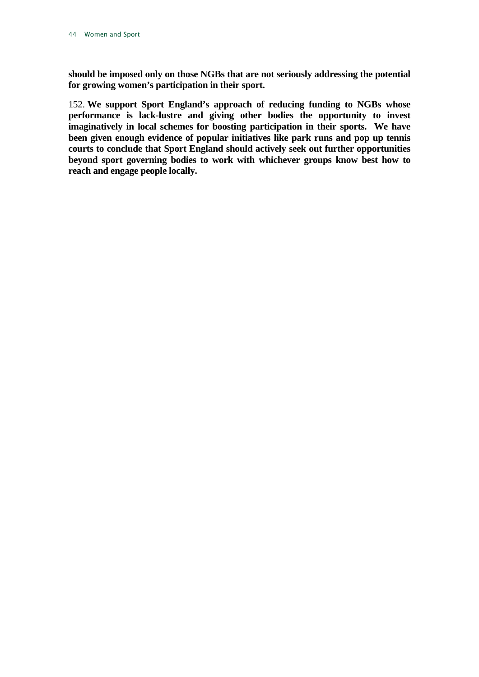**should be imposed only on those NGBs that are not seriously addressing the potential for growing women's participation in their sport.**

<span id="page-44-0"></span>152. **We support Sport England's approach of reducing funding to NGBs whose performance is lack-lustre and giving other bodies the opportunity to invest imaginatively in local schemes for boosting participation in their sports. We have been given enough evidence of popular initiatives like park runs and pop up tennis courts to conclude that Sport England should actively seek out further opportunities beyond sport governing bodies to work with whichever groups know best how to reach and engage people locally.**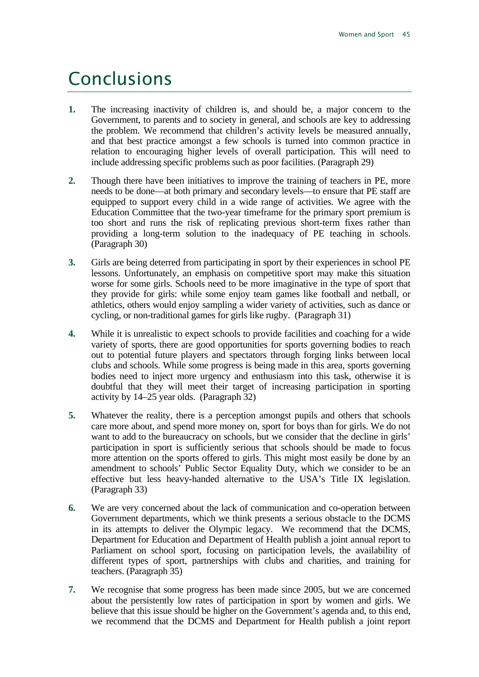### <span id="page-45-0"></span>Conclusions

- **1.** The increasing inactivity of children is, and should be, a major concern to the Government, to parents and to society in general, and schools are key to addressing the problem. We recommend that children's activity levels be measured annually, and that best practice amongst a few schools is turned into common practice in relation to encouraging higher levels of overall participation. This will need to include addressing specific problems such as poor facilities. (Paragraph [29\)](#page-14-2)
- **2.** Though there have been initiatives to improve the training of teachers in PE, more needs to be done—at both primary and secondary levels—to ensure that PE staff are equipped to support every child in a wide range of activities. We agree with the Education Committee that the two-year timeframe for the primary sport premium is too short and runs the risk of replicating previous short-term fixes rather than providing a long-term solution to the inadequacy of PE teaching in schools. (Paragraph [30\)](#page-14-3)
- **3.** Girls are being deterred from participating in sport by their experiences in school PE lessons. Unfortunately, an emphasis on competitive sport may make this situation worse for some girls. Schools need to be more imaginative in the type of sport that they provide for girls: while some enjoy team games like football and netball, or athletics, others would enjoy sampling a wider variety of activities, such as dance or cycling, or non-traditional games for girls like rugby. (Paragraph [31\)](#page-14-4)
- **4.** While it is unrealistic to expect schools to provide facilities and coaching for a wide variety of sports, there are good opportunities for sports governing bodies to reach out to potential future players and spectators through forging links between local clubs and schools. While some progress is being made in this area, sports governing bodies need to inject more urgency and enthusiasm into this task, otherwise it is doubtful that they will meet their target of increasing participation in sporting activity by 14–25 year olds. (Paragraph [32\)](#page-14-5)
- **5.** Whatever the reality, there is a perception amongst pupils and others that schools care more about, and spend more money on, sport for boys than for girls. We do not want to add to the bureaucracy on schools, but we consider that the decline in girls' participation in sport is sufficiently serious that schools should be made to focus more attention on the sports offered to girls. This might most easily be done by an amendment to schools' Public Sector Equality Duty, which we consider to be an effective but less heavy-handed alternative to the USA's Title IX legislation. (Paragraph [33\)](#page-14-6)
- **6.** We are very concerned about the lack of communication and co-operation between Government departments, which we think presents a serious obstacle to the DCMS in its attempts to deliver the Olympic legacy. We recommend that the DCMS, Department for Education and Department of Health publish a joint annual report to Parliament on school sport, focusing on participation levels, the availability of different types of sport, partnerships with clubs and charities, and training for teachers. (Paragraph [35\)](#page-15-4)
- **7.** We recognise that some progress has been made since 2005, but we are concerned about the persistently low rates of participation in sport by women and girls. We believe that this issue should be higher on the Government's agenda and, to this end, we recommend that the DCMS and Department for Health publish a joint report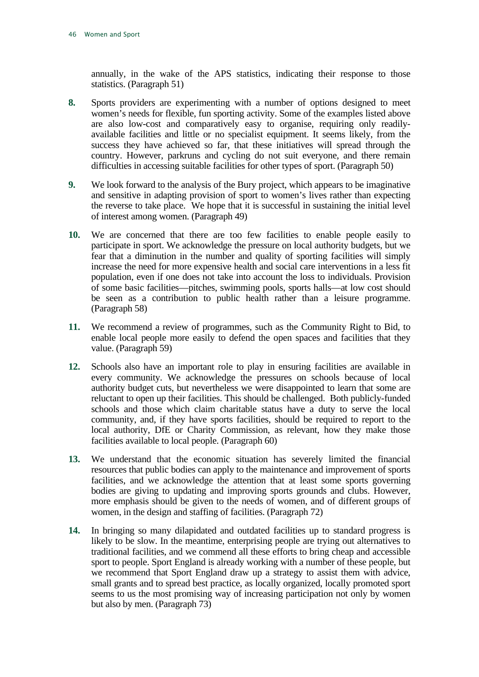annually, in the wake of the APS statistics, indicating their response to those statistics. (Paragraph [51\)](#page-19-5)

- **8.** Sports providers are experimenting with a number of options designed to meet women's needs for flexible, fun sporting activity. Some of the examples listed above are also low-cost and comparatively easy to organise, requiring only readilyavailable facilities and little or no specialist equipment. It seems likely, from the success they have achieved so far, that these initiatives will spread through the country. However, parkruns and cycling do not suit everyone, and there remain difficulties in accessing suitable facilities for other types of sport. (Paragraph [50\)](#page-19-6)
- **9.** We look forward to the analysis of the Bury project, which appears to be imaginative and sensitive in adapting provision of sport to women's lives rather than expecting the reverse to take place. We hope that it is successful in sustaining the initial level of interest among women. (Paragraph [49\)](#page-19-7)
- **10.** We are concerned that there are too few facilities to enable people easily to participate in sport. We acknowledge the pressure on local authority budgets, but we fear that a diminution in the number and quality of sporting facilities will simply increase the need for more expensive health and social care interventions in a less fit population, even if one does not take into account the loss to individuals. Provision of some basic facilities—pitches, swimming pools, sports halls—at low cost should be seen as a contribution to public health rather than a leisure programme. (Paragraph [58\)](#page-21-7)
- **11.** We recommend a review of programmes, such as the Community Right to Bid, to enable local people more easily to defend the open spaces and facilities that they value. (Paragraph [59\)](#page-21-8)
- **12.** Schools also have an important role to play in ensuring facilities are available in every community. We acknowledge the pressures on schools because of local authority budget cuts, but nevertheless we were disappointed to learn that some are reluctant to open up their facilities. This should be challenged. Both publicly-funded schools and those which claim charitable status have a duty to serve the local community, and, if they have sports facilities, should be required to report to the local authority, DfE or Charity Commission, as relevant, how they make those facilities available to local people. (Paragraph [60\)](#page-21-9)
- **13.** We understand that the economic situation has severely limited the financial resources that public bodies can apply to the maintenance and improvement of sports facilities, and we acknowledge the attention that at least some sports governing bodies are giving to updating and improving sports grounds and clubs. However, more emphasis should be given to the needs of women, and of different groups of women, in the design and staffing of facilities. (Paragraph [72\)](#page-24-4)
- **14.** In bringing so many dilapidated and outdated facilities up to standard progress is likely to be slow. In the meantime, enterprising people are trying out alternatives to traditional facilities, and we commend all these efforts to bring cheap and accessible sport to people. Sport England is already working with a number of these people, but we recommend that Sport England draw up a strategy to assist them with advice, small grants and to spread best practice, as locally organized, locally promoted sport seems to us the most promising way of increasing participation not only by women but also by men. (Paragraph [73\)](#page-24-5)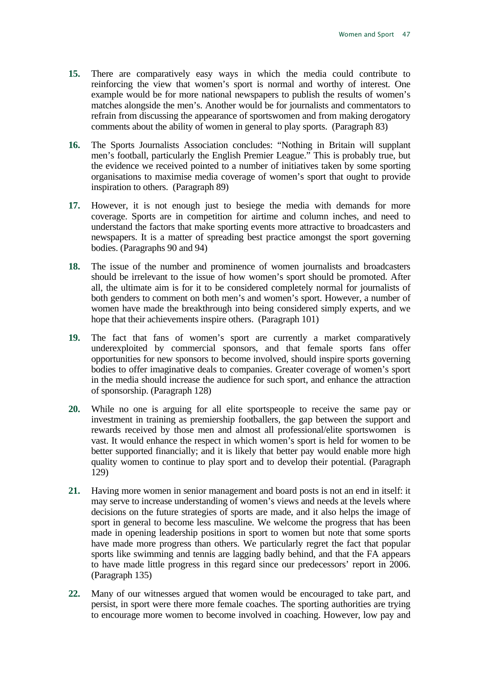- **15.** There are comparatively easy ways in which the media could contribute to reinforcing the view that women's sport is normal and worthy of interest. One example would be for more national newspapers to publish the results of women's matches alongside the men's. Another would be for journalists and commentators to refrain from discussing the appearance of sportswomen and from making derogatory comments about the ability of women in general to play sports. (Paragrap[h 83\)](#page-27-8)
- **16.** The Sports Journalists Association concludes: "Nothing in Britain will supplant men's football, particularly the English Premier League." This is probably true, but the evidence we received pointed to a number of initiatives taken by some sporting organisations to maximise media coverage of women's sport that ought to provide inspiration to others. (Paragraph [89\)](#page-28-8)
- **17.** However, it is not enough just to besiege the media with demands for more coverage. Sports are in competition for airtime and column inches, and need to understand the factors that make sporting events more attractive to broadcasters and newspapers. It is a matter of spreading best practice amongst the sport governing bodies. (Paragraphs [90](#page-29-9) and 94)
- **18.** The issue of the number and prominence of women journalists and broadcasters should be irrelevant to the issue of how women's sport should be promoted. After all, the ultimate aim is for it to be considered completely normal for journalists of both genders to comment on both men's and women's sport. However, a number of women have made the breakthrough into being considered simply experts, and we hope that their achievements inspire others. (Paragraph [101\)](#page-31-6)
- **19.** The fact that fans of women's sport are currently a market comparatively underexploited by commercial sponsors, and that female sports fans offer opportunities for new sponsors to become involved, should inspire sports governing bodies to offer imaginative deals to companies. Greater coverage of women's sport in the media should increase the audience for such sport, and enhance the attraction of sponsorship. (Paragraph [128\)](#page-38-6)
- **20.** While no one is arguing for all elite sportspeople to receive the same pay or investment in training as premiership footballers, the gap between the support and rewards received by those men and almost all professional/elite sportswomen is vast. It would enhance the respect in which women's sport is held for women to be better supported financially; and it is likely that better pay would enable more high quality women to continue to play sport and to develop their potential. (Paragraph [129\)](#page-38-7)
- **21.** Having more women in senior management and board posts is not an end in itself: it may serve to increase understanding of women's views and needs at the levels where decisions on the future strategies of sports are made, and it also helps the image of sport in general to become less masculine. We welcome the progress that has been made in opening leadership positions in sport to women but note that some sports have made more progress than others. We particularly regret the fact that popular sports like swimming and tennis are lagging badly behind, and that the FA appears to have made little progress in this regard since our predecessors' report in 2006. (Paragraph [135\)](#page-39-6)
- **22.** Many of our witnesses argued that women would be encouraged to take part, and persist, in sport were there more female coaches. The sporting authorities are trying to encourage more women to become involved in coaching. However, low pay and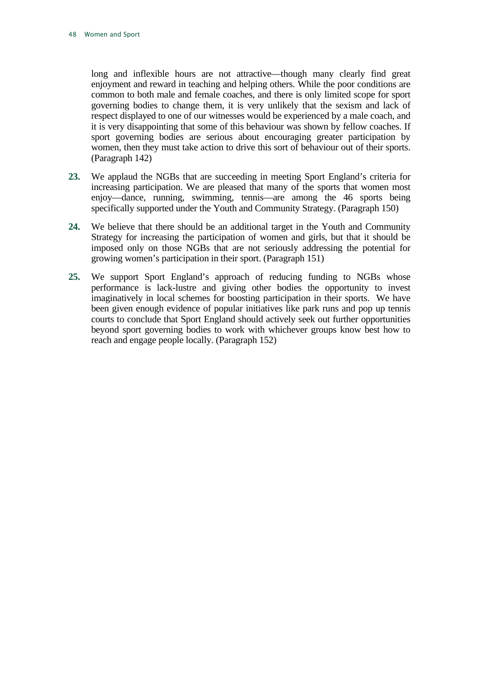long and inflexible hours are not attractive—though many clearly find great enjoyment and reward in teaching and helping others. While the poor conditions are common to both male and female coaches, and there is only limited scope for sport governing bodies to change them, it is very unlikely that the sexism and lack of respect displayed to one of our witnesses would be experienced by a male coach, and it is very disappointing that some of this behaviour was shown by fellow coaches. If sport governing bodies are serious about encouraging greater participation by women, then they must take action to drive this sort of behaviour out of their sports. (Paragraph [142\)](#page-41-4)

- **23.** We applaud the NGBs that are succeeding in meeting Sport England's criteria for increasing participation. We are pleased that many of the sports that women most enjoy—dance, running, swimming, tennis—are among the 46 sports being specifically supported under the Youth and Community Strategy. (Paragraph [150\)](#page-43-4)
- **24.** We believe that there should be an additional target in the Youth and Community Strategy for increasing the participation of women and girls, but that it should be imposed only on those NGBs that are not seriously addressing the potential for growing women's participation in their sport. (Paragraph [151\)](#page-43-5)
- **25.** We support Sport England's approach of reducing funding to NGBs whose performance is lack-lustre and giving other bodies the opportunity to invest imaginatively in local schemes for boosting participation in their sports. We have been given enough evidence of popular initiatives like park runs and pop up tennis courts to conclude that Sport England should actively seek out further opportunities beyond sport governing bodies to work with whichever groups know best how to reach and engage people locally. (Paragraph [152\)](#page-44-0)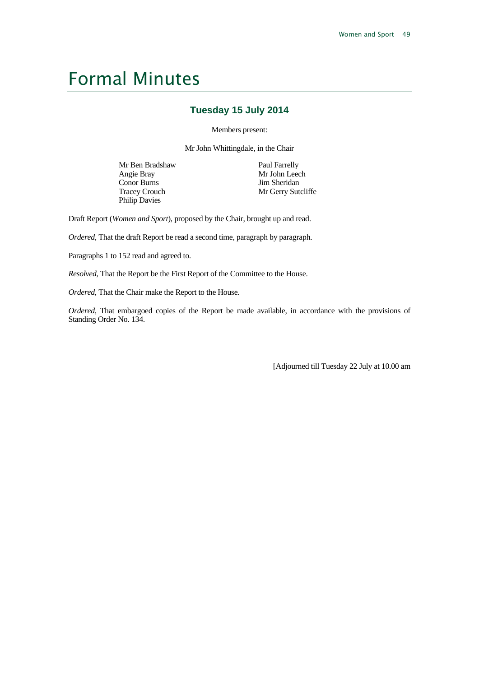## <span id="page-49-0"></span>Formal Minutes

#### **Tuesday 15 July 2014**

Members present:

Mr John Whittingdale, in the Chair

Mr Ben Bradshaw Angie Bray Conor Burns Tracey Crouch Philip Davies

Paul Farrelly Mr John Leech Jim Sheridan Mr Gerry Sutcliffe

Draft Report (*Women and Sport*), proposed by the Chair, brought up and read.

*Ordered*, That the draft Report be read a second time, paragraph by paragraph.

Paragraphs 1 to 152 read and agreed to.

*Resolved*, That the Report be the First Report of the Committee to the House.

*Ordered*, That the Chair make the Report to the House.

*Ordered*, That embargoed copies of the Report be made available, in accordance with the provisions of Standing Order No. 134.

[Adjourned till Tuesday 22 July at 10.00 am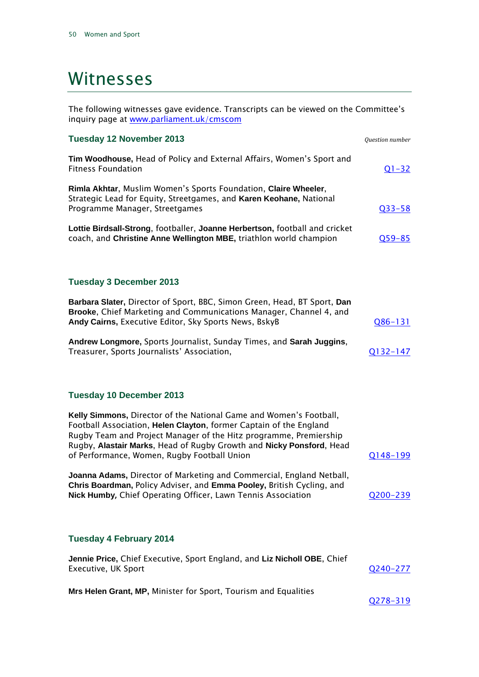### <span id="page-50-0"></span>Witnesses

The following witnesses gave evidence. Transcripts can be viewed on the Committee's inquiry page at [www.parliament.uk/cmscom](http://www.parliament.uk/cmscom)

| <b>Tuesday 12 November 2013</b>                                                                                                                                                                                                                                                                                                      | Question number |
|--------------------------------------------------------------------------------------------------------------------------------------------------------------------------------------------------------------------------------------------------------------------------------------------------------------------------------------|-----------------|
| Tim Woodhouse, Head of Policy and External Affairs, Women's Sport and<br><b>Fitness Foundation</b>                                                                                                                                                                                                                                   | $Q1 - 32$       |
| Rimla Akhtar, Muslim Women's Sports Foundation, Claire Wheeler,<br>Strategic Lead for Equity, Streetgames, and Karen Keohane, National<br>Programme Manager, Streetgames                                                                                                                                                             | $Q33 - 58$      |
| Lottie Birdsall-Strong, footballer, Joanne Herbertson, football and cricket<br>coach, and Christine Anne Wellington MBE, triathlon world champion                                                                                                                                                                                    | $Q59 - 85$      |
| <b>Tuesday 3 December 2013</b>                                                                                                                                                                                                                                                                                                       |                 |
| Barbara Slater, Director of Sport, BBC, Simon Green, Head, BT Sport, Dan<br>Brooke, Chief Marketing and Communications Manager, Channel 4, and<br>Andy Cairns, Executive Editor, Sky Sports News, BskyB                                                                                                                              | $Q86 - 131$     |
| Andrew Longmore, Sports Journalist, Sunday Times, and Sarah Juggins,<br>Treasurer, Sports Journalists' Association,                                                                                                                                                                                                                  | <u>Q132–147</u> |
| <b>Tuesday 10 December 2013</b>                                                                                                                                                                                                                                                                                                      |                 |
| Kelly Simmons, Director of the National Game and Women's Football,<br>Football Association, Helen Clayton, former Captain of the England<br>Rugby Team and Project Manager of the Hitz programme, Premiership<br>Rugby, Alastair Marks, Head of Rugby Growth and Nicky Ponsford, Head<br>of Performance, Women, Rugby Football Union | <u>Q148-199</u> |
| Joanna Adams, Director of Marketing and Commercial, England Netball,<br>Chris Boardman, Policy Adviser, and Emma Pooley, British Cycling, and<br>Nick Humby, Chief Operating Officer, Lawn Tennis Association                                                                                                                        | Q200-239        |
| <b>Tuesday 4 February 2014</b>                                                                                                                                                                                                                                                                                                       |                 |
| Jennie Price, Chief Executive, Sport England, and Liz Nicholl OBE, Chief<br>Executive, UK Sport                                                                                                                                                                                                                                      | <u>Q240–277</u> |
| Mrs Helen Grant, MP, Minister for Sport, Tourism and Equalities                                                                                                                                                                                                                                                                      |                 |

[Q278-319](http://data.parliament.uk/writtenevidence/committeeevidence.svc/evidencedocument/culture-media-and-sport-committee/women-and-sport/oral/5938.html)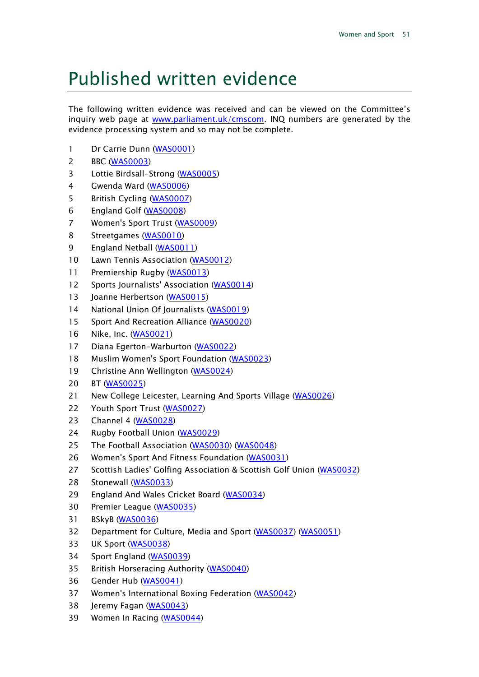## <span id="page-51-0"></span>Published written evidence

The following written evidence was received and can be viewed on the Committee's inquiry web page at [www.parliament.uk/cmscom.](http://www.parliament.uk/cmscom) INQ numbers are generated by the evidence processing system and so may not be complete.

- 1 Dr Carrie Dunn [\(WAS0001\)](http://data.parliament.uk/WrittenEvidence/CommitteeEvidence.svc/EvidenceDocument/Culture,%20Media%20and%20Sport/Women%20and%20Sport/written/1247.html)
- BBC [\(WAS0003\)](http://data.parliament.uk/WrittenEvidence/CommitteeEvidence.svc/EvidenceDocument/Culture,%20Media%20and%20Sport/Women%20and%20Sport/written/1336.html)
- Lottie Birdsall-Strong [\(WAS0005\)](http://data.parliament.uk/WrittenEvidence/CommitteeEvidence.svc/EvidenceDocument/Culture,%20Media%20and%20Sport/Women%20and%20Sport/written/1901.html)
- Gwenda Ward [\(WAS0006\)](http://data.parliament.uk/WrittenEvidence/CommitteeEvidence.svc/EvidenceDocument/Culture,%20Media%20and%20Sport/Women%20and%20Sport/written/1965.html)
- British Cycling [\(WAS0007\)](http://data.parliament.uk/WrittenEvidence/CommitteeEvidence.svc/EvidenceDocument/Culture,%20Media%20and%20Sport/Women%20and%20Sport/written/1992.html)
- England Golf [\(WAS0008\)](http://data.parliament.uk/WrittenEvidence/CommitteeEvidence.svc/EvidenceDocument/Culture,%20Media%20and%20Sport/Women%20and%20Sport/written/2168.html)
- Women's Sport Trust [\(WAS0009\)](http://data.parliament.uk/WrittenEvidence/CommitteeEvidence.svc/EvidenceDocument/Culture,%20Media%20and%20Sport/Women%20and%20Sport/written/2193.html)
- Streetgames [\(WAS0010\)](http://data.parliament.uk/WrittenEvidence/CommitteeEvidence.svc/EvidenceDocument/Culture,%20Media%20and%20Sport/Women%20and%20Sport/written/2197.html)
- 9 England Netball [\(WAS0011\)](http://data.parliament.uk/WrittenEvidence/CommitteeEvidence.svc/EvidenceDocument/Culture,%20Media%20and%20Sport/Women%20and%20Sport/written/2199.html)
- Lawn Tennis Association [\(WAS0012\)](http://data.parliament.uk/WrittenEvidence/CommitteeEvidence.svc/EvidenceDocument/Culture,%20Media%20and%20Sport/Women%20and%20Sport/written/2201.html)
- Premiership Rugby [\(WAS0013\)](http://data.parliament.uk/WrittenEvidence/CommitteeEvidence.svc/EvidenceDocument/Culture,%20Media%20and%20Sport/Women%20and%20Sport/written/2203.html)
- 12 Sports Journalists' Association [\(WAS0014\)](http://data.parliament.uk/WrittenEvidence/CommitteeEvidence.svc/EvidenceDocument/Culture,%20Media%20and%20Sport/Women%20and%20Sport/written/2205.html)
- 13 Joanne Herbertson [\(WAS0015\)](http://data.parliament.uk/WrittenEvidence/CommitteeEvidence.svc/EvidenceDocument/Culture,%20Media%20and%20Sport/Women%20and%20Sport/written/2206.html)
- 14 National Union Of Journalists [\(WAS0019\)](http://data.parliament.uk/WrittenEvidence/CommitteeEvidence.svc/EvidenceDocument/Culture,%20Media%20and%20Sport/Women%20and%20Sport/written/2228.html)
- Sport And Recreation Alliance [\(WAS0020\)](http://data.parliament.uk/WrittenEvidence/CommitteeEvidence.svc/EvidenceDocument/Culture,%20Media%20and%20Sport/Women%20and%20Sport/written/2229.html)
- Nike, Inc. [\(WAS0021\)](http://data.parliament.uk/WrittenEvidence/CommitteeEvidence.svc/EvidenceDocument/Culture,%20Media%20and%20Sport/Women%20and%20Sport/written/2234.html)
- 17 Diana Egerton-Warburton [\(WAS0022\)](http://data.parliament.uk/WrittenEvidence/CommitteeEvidence.svc/EvidenceDocument/Culture,%20Media%20and%20Sport/Women%20and%20Sport/written/2235.html)
- Muslim Women's Sport Foundation [\(WAS0023\)](http://data.parliament.uk/WrittenEvidence/CommitteeEvidence.svc/EvidenceDocument/Culture,%20Media%20and%20Sport/Women%20and%20Sport/written/2237.html)
- Christine Ann Wellington [\(WAS0024\)](http://data.parliament.uk/WrittenEvidence/CommitteeEvidence.svc/EvidenceDocument/Culture,%20Media%20and%20Sport/Women%20and%20Sport/written/2239.html)
- BT [\(WAS0025\)](http://data.parliament.uk/WrittenEvidence/CommitteeEvidence.svc/EvidenceDocument/Culture,%20Media%20and%20Sport/Women%20and%20Sport/written/2240.html)
- 21 New College Leicester, Learning And Sports Village [\(WAS0026\)](http://data.parliament.uk/WrittenEvidence/CommitteeEvidence.svc/EvidenceDocument/Culture,%20Media%20and%20Sport/Women%20and%20Sport/written/2241.html)
- 22 Youth Sport Trust [\(WAS0027\)](http://data.parliament.uk/WrittenEvidence/CommitteeEvidence.svc/EvidenceDocument/Culture,%20Media%20and%20Sport/Women%20and%20Sport/written/2242.html)
- Channel 4 [\(WAS0028\)](http://data.parliament.uk/WrittenEvidence/CommitteeEvidence.svc/EvidenceDocument/Culture,%20Media%20and%20Sport/Women%20and%20Sport/written/2243.html)
- Rugby Football Union [\(WAS0029\)](http://data.parliament.uk/WrittenEvidence/CommitteeEvidence.svc/EvidenceDocument/Culture,%20Media%20and%20Sport/Women%20and%20Sport/written/2244.html)
- The Football Association [\(WAS0030\)](http://data.parliament.uk/WrittenEvidence/CommitteeEvidence.svc/EvidenceDocument/Culture,%20Media%20and%20Sport/Women%20and%20Sport/written/2245.html) [\(WAS0048\)](http://data.parliament.uk/WrittenEvidence/CommitteeEvidence.svc/EvidenceDocument/Culture,%20Media%20and%20Sport/Women%20and%20Sport/written/4851.html)
- Women's Sport And Fitness Foundation [\(WAS0031\)](http://data.parliament.uk/WrittenEvidence/CommitteeEvidence.svc/EvidenceDocument/Culture,%20Media%20and%20Sport/Women%20and%20Sport/written/2246.html)
- 27 Scottish Ladies' Golfing Association & Scottish Golf Union [\(WAS0032\)](http://data.parliament.uk/WrittenEvidence/CommitteeEvidence.svc/EvidenceDocument/Culture,%20Media%20and%20Sport/Women%20and%20Sport/written/2247.html)
- Stonewall [\(WAS0033\)](http://data.parliament.uk/WrittenEvidence/CommitteeEvidence.svc/EvidenceDocument/Culture,%20Media%20and%20Sport/Women%20and%20Sport/written/2248.html)
- England And Wales Cricket Board [\(WAS0034\)](http://data.parliament.uk/WrittenEvidence/CommitteeEvidence.svc/EvidenceDocument/Culture,%20Media%20and%20Sport/Women%20and%20Sport/written/2254.html)
- Premier League [\(WAS0035\)](http://data.parliament.uk/WrittenEvidence/CommitteeEvidence.svc/EvidenceDocument/Culture,%20Media%20and%20Sport/Women%20and%20Sport/written/2309.html)
- BSkyB [\(WAS0036\)](http://data.parliament.uk/WrittenEvidence/CommitteeEvidence.svc/EvidenceDocument/Culture,%20Media%20and%20Sport/Women%20and%20Sport/written/2327.html)
- Department for Culture, Media and Sport [\(WAS0037\)](http://data.parliament.uk/WrittenEvidence/CommitteeEvidence.svc/EvidenceDocument/Culture,%20Media%20and%20Sport/Women%20and%20Sport/written/2328.html) [\(WAS0051\)](http://data.parliament.uk/WrittenEvidence/CommitteeEvidence.svc/EvidenceDocument/Culture,%20Media%20and%20Sport/Women%20and%20Sport/written/7653.html)
- UK Sport [\(WAS0038\)](http://data.parliament.uk/WrittenEvidence/CommitteeEvidence.svc/EvidenceDocument/Culture,%20Media%20and%20Sport/Women%20and%20Sport/written/2386.html)
- Sport England [\(WAS0039\)](http://data.parliament.uk/WrittenEvidence/CommitteeEvidence.svc/EvidenceDocument/Culture,%20Media%20and%20Sport/Women%20and%20Sport/written/2528.html)
- British Horseracing Authority [\(WAS0040\)](http://data.parliament.uk/WrittenEvidence/CommitteeEvidence.svc/EvidenceDocument/Culture,%20Media%20and%20Sport/Women%20and%20Sport/written/2602.html)
- Gender Hub [\(WAS0041\)](http://data.parliament.uk/WrittenEvidence/CommitteeEvidence.svc/EvidenceDocument/Culture,%20Media%20and%20Sport/Women%20and%20Sport/written/2604.html)
- Women's International Boxing Federation [\(WAS0042\)](http://data.parliament.uk/WrittenEvidence/CommitteeEvidence.svc/EvidenceDocument/Culture,%20Media%20and%20Sport/Women%20and%20Sport/written/2981.html)
- Jeremy Fagan [\(WAS0043\)](http://data.parliament.uk/WrittenEvidence/CommitteeEvidence.svc/EvidenceDocument/Culture,%20Media%20and%20Sport/Women%20and%20Sport/written/3531.html)
- Women In Racing [\(WAS0044\)](http://data.parliament.uk/WrittenEvidence/CommitteeEvidence.svc/EvidenceDocument/Culture,%20Media%20and%20Sport/Women%20and%20Sport/written/3725.html)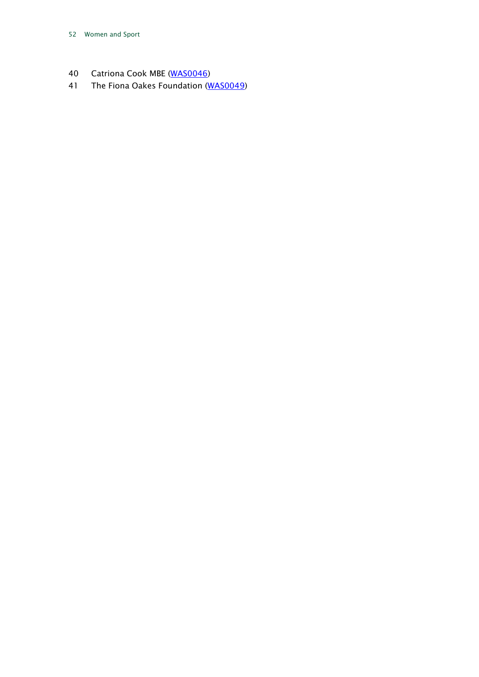- 40 Catriona Cook MBE [\(WAS0046\)](http://data.parliament.uk/WrittenEvidence/CommitteeEvidence.svc/EvidenceDocument/Culture,%20Media%20and%20Sport/Women%20and%20Sport/written/4497.html)
- 41 The Fiona Oakes Foundation [\(WAS0049\)](http://data.parliament.uk/WrittenEvidence/CommitteeEvidence.svc/EvidenceDocument/Culture,%20Media%20and%20Sport/Women%20and%20Sport/written/5467.html)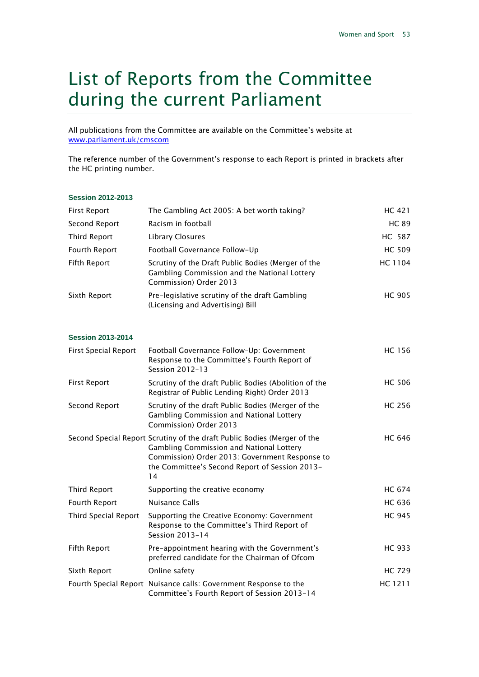### <span id="page-53-0"></span>List of Reports from the Committee during the current Parliament

All publications from the Committee are available on the Committee's website at [www.parliament.uk/cmscom](http://www.parliament.uk/cmscom)

The reference number of the Government's response to each Report is printed in brackets after the HC printing number.

#### **Session 2012-2013**

| First Report        | The Gambling Act 2005: A bet worth taking?                                                                                   | HC 421        |
|---------------------|------------------------------------------------------------------------------------------------------------------------------|---------------|
| Second Report       | Racism in football                                                                                                           | <b>HC 89</b>  |
| <b>Third Report</b> | Library Closures                                                                                                             | <b>HC 587</b> |
| Fourth Report       | Football Governance Follow-Up                                                                                                | <b>HC 509</b> |
| Fifth Report        | Scrutiny of the Draft Public Bodies (Merger of the<br>Gambling Commission and the National Lottery<br>Commission) Order 2013 | HC 1104       |
| Sixth Report        | Pre-legislative scrutiny of the draft Gambling<br>(Licensing and Advertising) Bill                                           | <b>HC 905</b> |

#### **Session 2013-2014**

| <b>First Special Report</b> | Football Governance Follow-Up: Government<br>Response to the Committee's Fourth Report of<br>Session 2012-13                                                                                                                   | <b>HC 156</b> |
|-----------------------------|--------------------------------------------------------------------------------------------------------------------------------------------------------------------------------------------------------------------------------|---------------|
| <b>First Report</b>         | Scrutiny of the draft Public Bodies (Abolition of the<br>Registrar of Public Lending Right) Order 2013                                                                                                                         | <b>HC 506</b> |
| Second Report               | Scrutiny of the draft Public Bodies (Merger of the<br>Gambling Commission and National Lottery<br>Commission) Order 2013                                                                                                       | <b>HC 256</b> |
|                             | Second Special Report Scrutiny of the draft Public Bodies (Merger of the<br>Gambling Commission and National Lottery<br>Commission) Order 2013: Government Response to<br>the Committee's Second Report of Session 2013-<br>14 | <b>HC 646</b> |
| Third Report                | Supporting the creative economy                                                                                                                                                                                                | <b>HC 674</b> |
| Fourth Report               | <b>Nuisance Calls</b>                                                                                                                                                                                                          | <b>HC 636</b> |
| Third Special Report        | Supporting the Creative Economy: Government<br>Response to the Committee's Third Report of<br>Session 2013-14                                                                                                                  | <b>HC 945</b> |
| Fifth Report                | Pre-appointment hearing with the Government's<br>preferred candidate for the Chairman of Ofcom                                                                                                                                 | HC 933        |
| Sixth Report                | Online safety                                                                                                                                                                                                                  | <b>HC 729</b> |
|                             | Fourth Special Report Nuisance calls: Government Response to the<br>Committee's Fourth Report of Session 2013-14                                                                                                               | HC 1211       |